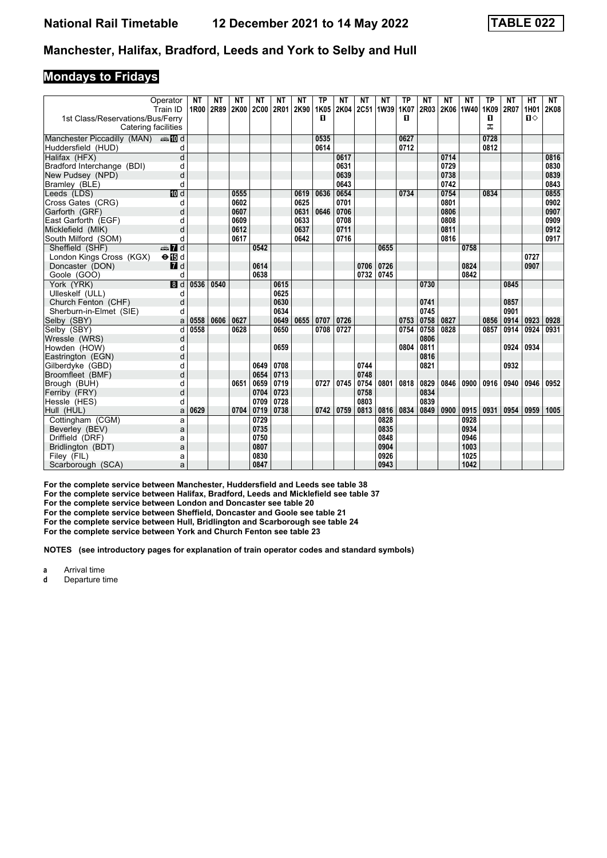#### **Mondays to Fridays**

|                                  | Operator<br>Train ID    | <b>NT</b> | <b>NT</b><br>1R00 2R89 2K00 2C00 | <b>NT</b> | <b>NT</b> | <b>NT</b><br>2R01 | <b>NT</b><br>2K90 | <b>TP</b><br>1K05 | <b>NT</b> | <b>NT</b> | <b>NT</b><br>2K04 2C51 1W39 1K07 | <b>TP</b> | <b>NT</b><br>2R03 | <b>NT</b> | <b>NT</b><br>2K06 1W40 | <b>TP</b><br>1K09 | <b>NT</b><br><b>2R07</b> | <b>HT</b><br>1H01 | <b>NT</b><br><b>2K08</b> |
|----------------------------------|-------------------------|-----------|----------------------------------|-----------|-----------|-------------------|-------------------|-------------------|-----------|-----------|----------------------------------|-----------|-------------------|-----------|------------------------|-------------------|--------------------------|-------------------|--------------------------|
| 1st Class/Reservations/Bus/Ferry | Catering facilities     |           |                                  |           |           |                   |                   | п                 |           |           |                                  | п         |                   |           |                        | п<br>ㅈ            |                          | $\mathbf{u}$      |                          |
| Manchester Piccadilly (MAN) And  |                         |           |                                  |           |           |                   |                   | 0535              |           |           |                                  | 0627      |                   |           |                        | 0728              |                          |                   |                          |
| Huddersfield (HUD)               | d                       |           |                                  |           |           |                   |                   | 0614              |           |           |                                  | 0712      |                   |           |                        | 0812              |                          |                   |                          |
| Halifax (HFX)                    | $\overline{\mathsf{d}}$ |           |                                  |           |           |                   |                   |                   | 0617      |           |                                  |           |                   | 0714      |                        |                   |                          |                   | 0816                     |
| Bradford Interchange (BDI)       | d                       |           |                                  |           |           |                   |                   |                   | 0631      |           |                                  |           |                   | 0729      |                        |                   |                          |                   | 0830                     |
| New Pudsey (NPD)                 | d                       |           |                                  |           |           |                   |                   |                   | 0639      |           |                                  |           |                   | 0738      |                        |                   |                          |                   | 0839                     |
| Bramley (BLE)                    | d                       |           |                                  |           |           |                   |                   |                   | 0643      |           |                                  |           |                   | 0742      |                        |                   |                          |                   | 0843                     |
| Leeds (LDS)                      | $\overline{10}$ d       |           |                                  | 0555      |           |                   | 0619              | 0636              | 0654      |           |                                  | 0734      |                   | 0754      |                        | 0834              |                          |                   | 0855                     |
| Cross Gates (CRG)                | d                       |           |                                  | 0602      |           |                   | 0625              |                   | 0701      |           |                                  |           |                   | 0801      |                        |                   |                          |                   | 0902                     |
| Garforth (GRF)                   | d                       |           |                                  | 0607      |           |                   | 0631              | 0646              | 0706      |           |                                  |           |                   | 0806      |                        |                   |                          |                   | 0907                     |
| East Garforth (EGF)              | d                       |           |                                  | 0609      |           |                   | 0633              |                   | 0708      |           |                                  |           |                   | 0808      |                        |                   |                          |                   | 0909                     |
| Micklefield (MIK)                | d                       |           |                                  | 0612      |           |                   | 0637              |                   | 0711      |           |                                  |           |                   | 0811      |                        |                   |                          |                   | 0912                     |
| South Milford (SOM)              | q                       |           |                                  | 0617      |           |                   | 0642              |                   | 0716      |           |                                  |           |                   | 0816      |                        |                   |                          |                   | 0917                     |
| Sheffield (SHF)                  | $\frac{1}{2}$ d         |           |                                  |           | 0542      |                   |                   |                   |           |           | 0655                             |           |                   |           | 0758                   |                   |                          |                   |                          |
| London Kings Cross (KGX)         | $\Theta$ is d           |           |                                  |           |           |                   |                   |                   |           |           |                                  |           |                   |           |                        |                   |                          | 0727              |                          |
| Doncaster (DON)                  | $\blacksquare$          |           |                                  |           | 0614      |                   |                   |                   |           | 0706      | 0726                             |           |                   |           | 0824                   |                   |                          | 0907              |                          |
| Goole (GOO)                      | d                       |           |                                  |           | 0638      |                   |                   |                   |           | 0732      | 0745                             |           |                   |           | 0842                   |                   |                          |                   |                          |
| York (YRK)                       | 8d                      | 0536      | 0540                             |           |           | 0615              |                   |                   |           |           |                                  |           | 0730              |           |                        |                   | 0845                     |                   |                          |
| Ulleskelf (ULL)                  | d                       |           |                                  |           |           | 0625              |                   |                   |           |           |                                  |           |                   |           |                        |                   |                          |                   |                          |
| Church Fenton (CHF)              | d                       |           |                                  |           |           | 0630              |                   |                   |           |           |                                  |           | 0741              |           |                        |                   | 0857                     |                   |                          |
| Sherburn-in-Elmet (SIE)          | d                       |           |                                  |           |           | 0634              |                   |                   |           |           |                                  |           | 0745              |           |                        |                   | 0901                     |                   |                          |
| Selby (SBY)                      | a                       | 0558      | 0606                             | 0627      |           | 0649              | 0655              | 0707              | 0726      |           |                                  | 0753      | 0758              | 0827      |                        | 0856              | 0914                     | 0923              | 0928                     |
| Selby (SBY)                      | d                       | 0558      |                                  | 0628      |           | 0650              |                   | 0708              | 0727      |           |                                  | 0754      | 0758              | 0828      |                        | 0857              | 0914                     | 0924              | 0931                     |
| Wressle (WRS)                    | d                       |           |                                  |           |           |                   |                   |                   |           |           |                                  |           | 0806              |           |                        |                   |                          |                   |                          |
| Howden (HOW)                     | d                       |           |                                  |           |           | 0659              |                   |                   |           |           |                                  | 0804      | 0811              |           |                        |                   | 0924                     | 0934              |                          |
| Eastrington (EGN)                | d                       |           |                                  |           |           |                   |                   |                   |           |           |                                  |           | 0816              |           |                        |                   |                          |                   |                          |
| Gilberdyke (GBD)                 | d                       |           |                                  |           | 0649      | 0708              |                   |                   |           | 0744      |                                  |           | 0821              |           |                        |                   | 0932                     |                   |                          |
| Broomfleet (BMF)                 | d                       |           |                                  |           | 0654      | 0713              |                   |                   |           | 0748      |                                  |           |                   |           |                        |                   |                          |                   |                          |
| Brough (BUH)                     | d                       |           |                                  | 0651      | 0659      | 0719              |                   | 0727              | 0745      | 0754      | 0801                             | 0818      | 0829              | 0846      | 0900                   | 0916              | 0940                     | 0946              | 0952                     |
| Ferriby (FRY)                    | d                       |           |                                  |           | 0704      | 0723              |                   |                   |           | 0758      |                                  |           | 0834              |           |                        |                   |                          |                   |                          |
| Hessle (HES)                     | d                       |           |                                  |           | 0709      | 0728              |                   |                   |           | 0803      |                                  |           | 0839              |           |                        |                   |                          |                   |                          |
| Hull (HUL)                       | a                       | 0629      |                                  | 0704      | 0719      | 0738              |                   | 0742              | 0759      | 0813      | 0816                             | 0834      | 0849              | 0900      | 0915                   | 0931              | 0954                     | 0959              | 1005                     |
| Cottingham (CGM)                 | a                       |           |                                  |           | 0729      |                   |                   |                   |           |           | 0828                             |           |                   |           | 0928                   |                   |                          |                   |                          |
| Beverley (BEV)                   | a                       |           |                                  |           | 0735      |                   |                   |                   |           |           | 0835                             |           |                   |           | 0934                   |                   |                          |                   |                          |
| Driffield (DRF)                  | a                       |           |                                  |           | 0750      |                   |                   |                   |           |           | 0848                             |           |                   |           | 0946                   |                   |                          |                   |                          |
| Bridlington (BDT)                | a                       |           |                                  |           | 0807      |                   |                   |                   |           |           | 0904                             |           |                   |           | 1003                   |                   |                          |                   |                          |
| Filey (FIL)                      | a                       |           |                                  |           | 0830      |                   |                   |                   |           |           | 0926                             |           |                   |           | 1025                   |                   |                          |                   |                          |
| Scarborough (SCA)                | a                       |           |                                  |           | 0847      |                   |                   |                   |           |           | 0943                             |           |                   |           | 1042                   |                   |                          |                   |                          |

For the complete service between Manchester, Huddersfield and Leeds see table 38

For the complete service between Halifax, Bradford, Leeds and Micklefield see table 37

**For the complete service between London and Doncaster see table 20**

**For the complete service between Sheffield, Doncaster and Goole see table 21**

**For the complete service between +ull, Bridlington and Scarborough see table 24**

For the complete service between York and Church Fenton see table 23

**NOTES (see introductory pages for explanation of train operator codes and standard symbols)**

**a** Arrival time<br>**d** Departure to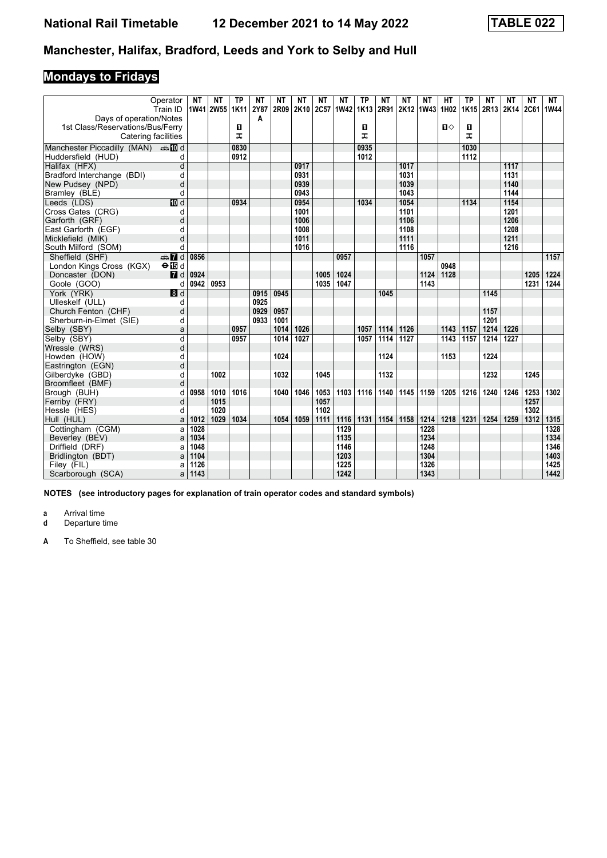# **Mondays to Fridays**

|                                                                           | Operator<br>Train ID | <b>NT</b> | NΤ<br>1W41 2W55 1K11 | <b>TP</b> | NΤ<br>2Y87 | NΤ<br>2R09 | NΤ<br>2K10 | NΤ<br><b>2C57</b> | NΤ<br>1W42 1K13  | <b>TP</b> | NΤ<br>2R91 | NΤ   | NΤ<br>  2K12   1W43   1H02 | НT   | ТP<br>1K15 | NΤ<br>2R13 2K14 | NΤ   | ΝT<br>2C61 | NT<br>1W44 |
|---------------------------------------------------------------------------|----------------------|-----------|----------------------|-----------|------------|------------|------------|-------------------|------------------|-----------|------------|------|----------------------------|------|------------|-----------------|------|------------|------------|
| Days of operation/Notes                                                   |                      |           |                      |           | A          |            |            |                   |                  |           |            |      |                            |      |            |                 |      |            |            |
| 1st Class/Reservations/Bus/Ferry                                          |                      |           |                      | O         |            |            |            |                   |                  | п         |            |      |                            | п⇔   | 0          |                 |      |            |            |
| Catering facilities                                                       |                      |           |                      | ᠼ         |            |            |            |                   |                  | ᠼ         |            |      |                            |      | ᅚ          |                 |      |            |            |
|                                                                           |                      |           |                      | 0830      |            |            |            |                   |                  | 0935      |            |      |                            |      | 1030       |                 |      |            |            |
| Manchester Piccadilly (MAN) $\oplus \blacksquare$ d<br>Huddersfield (HUD) | d                    |           |                      | 0912      |            |            |            |                   |                  | 1012      |            |      |                            |      | 1112       |                 |      |            |            |
| Halifax (HFX)                                                             | d                    |           |                      |           |            |            | 0917       |                   |                  |           |            | 1017 |                            |      |            |                 | 1117 |            |            |
| Bradford Interchange (BDI)                                                | d                    |           |                      |           |            |            | 0931       |                   |                  |           |            | 1031 |                            |      |            |                 | 1131 |            |            |
| New Pudsey (NPD)                                                          | d                    |           |                      |           |            |            | 0939       |                   |                  |           |            | 1039 |                            |      |            |                 | 1140 |            |            |
| Bramley (BLE)                                                             | d                    |           |                      |           |            |            | 0943       |                   |                  |           |            | 1043 |                            |      |            |                 | 1144 |            |            |
| Leeds (LDS)                                                               | <b>ID</b> d          |           |                      | 0934      |            |            | 0954       |                   |                  | 1034      |            | 1054 |                            |      | 1134       |                 | 1154 |            |            |
| Cross Gates (CRG)                                                         | d                    |           |                      |           |            |            | 1001       |                   |                  |           |            | 1101 |                            |      |            |                 | 1201 |            |            |
| Garforth (GRF)                                                            | d                    |           |                      |           |            |            | 1006       |                   |                  |           |            | 1106 |                            |      |            |                 | 1206 |            |            |
| East Garforth (EGF)                                                       | d                    |           |                      |           |            |            | 1008       |                   |                  |           |            | 1108 |                            |      |            |                 | 1208 |            |            |
| Micklefield (MIK)                                                         | d                    |           |                      |           |            |            | 1011       |                   |                  |           |            | 1111 |                            |      |            |                 | 1211 |            |            |
| South Milford (SOM)                                                       | d                    |           |                      |           |            |            | 1016       |                   |                  |           |            | 1116 |                            |      |            |                 | 1216 |            |            |
| Sheffield (SHF)                                                           | $\oplus$ 7 d         | 0856      |                      |           |            |            |            |                   | 0957             |           |            |      | 1057                       |      |            |                 |      |            | 1157       |
| London Kings Cross (KGX)                                                  | $\Theta$ is d        |           |                      |           |            |            |            |                   |                  |           |            |      |                            | 0948 |            |                 |      |            |            |
| Doncaster (DON)                                                           | $\blacksquare$       | 0924      |                      |           |            |            |            | 1005              | 1024             |           |            |      | 1124                       | 1128 |            |                 |      | 1205       | 1224       |
| Goole (GOO)                                                               | d                    | 0942      | 0953                 |           |            |            |            | 1035              | 1047             |           |            |      | 1143                       |      |            |                 |      | 1231       | 1244       |
| York (YRK)                                                                | $\blacksquare$       |           |                      |           | 0915       | 0945       |            |                   |                  |           | 1045       |      |                            |      |            | 1145            |      |            |            |
| Ulleskelf (ULL)                                                           | d                    |           |                      |           | 0925       |            |            |                   |                  |           |            |      |                            |      |            |                 |      |            |            |
| Church Fenton (CHF)                                                       | d                    |           |                      |           | 0929       | 0957       |            |                   |                  |           |            |      |                            |      |            | 1157            |      |            |            |
| Sherburn-in-Elmet (SIE)                                                   | d                    |           |                      |           | 0933       | 1001       |            |                   |                  |           |            |      |                            |      |            | 1201            |      |            |            |
| Selby (SBY)                                                               | a                    |           |                      | 0957      |            | 1014       | 1026       |                   |                  | 1057      | 1114       | 1126 |                            | 1143 | 1157       | 1214            | 1226 |            |            |
| Selby (SBY)                                                               | d                    |           |                      | 0957      |            | 1014       | 1027       |                   |                  | 1057      | 1114       | 1127 |                            | 1143 | 1157       | 1214            | 1227 |            |            |
| Wressle (WRS)                                                             | d                    |           |                      |           |            |            |            |                   |                  |           |            |      |                            |      |            |                 |      |            |            |
| Howden (HOW)                                                              | d                    |           |                      |           |            | 1024       |            |                   |                  |           | 1124       |      |                            | 1153 |            | 1224            |      |            |            |
| Eastrington (EGN)                                                         | d                    |           |                      |           |            |            |            |                   |                  |           |            |      |                            |      |            |                 |      |            |            |
| Gilberdyke (GBD)                                                          | d                    |           | 1002                 |           |            | 1032       |            | 1045              |                  |           | 1132       |      |                            |      |            | 1232            |      | 1245       |            |
| Broomfleet (BMF)                                                          | d                    |           |                      |           |            |            |            |                   |                  |           |            |      |                            |      |            |                 |      |            |            |
| Brough (BUH)                                                              | d                    | 0958      | 1010                 | 1016      |            | 1040       | 1046       | 1053              | 1103             | 1116      | 1140       | 1145 | 1159                       | 1205 | 1216       | 1240            | 1246 | 1253       | 1302       |
| Ferriby (FRY)                                                             | d                    |           | 1015                 |           |            |            |            | 1057              |                  |           |            |      |                            |      |            |                 |      | 1257       |            |
| Hessle (HES)                                                              | d                    |           | 1020                 |           |            |            |            | 1102              |                  |           |            |      |                            |      |            |                 |      | 1302       |            |
| Hull (HUL)                                                                | a                    | 1012      | 1029                 | 1034      |            | 1054       | 1059       | 1111              | 1116             | 1131      | 1154       | 1158 | 1214                       | 1218 | 1231       | 1254            | 1259 | 1312       | 1315       |
| Cottingham (CGM)                                                          | a                    | 1028      |                      |           |            |            |            |                   | $\frac{1129}{2}$ |           |            |      | 1228                       |      |            |                 |      |            | 1328       |
| Beverley (BEV)                                                            | a                    | 1034      |                      |           |            |            |            |                   | 1135             |           |            |      | 1234                       |      |            |                 |      |            | 1334       |
| Driffield (DRF)                                                           | a                    | 1048      |                      |           |            |            |            |                   | 1146             |           |            |      | 1248                       |      |            |                 |      |            | 1346       |
| Bridlington (BDT)                                                         | a                    | 1104      |                      |           |            |            |            |                   | 1203             |           |            |      | 1304                       |      |            |                 |      |            | 1403       |
| Filey (FIL)                                                               | a                    | 1126      |                      |           |            |            |            |                   | 1225             |           |            |      | 1326                       |      |            |                 |      |            | 1425       |
| Scarborough (SCA)                                                         | a                    | 1143      |                      |           |            |            |            |                   | 1242             |           |            |      | 1343                       |      |            |                 |      |            | 1442       |

**NOTES (see introductory pages for explanation of train operator codes and standard symbols)**

**a** Arrival time<br>**d** Departure ti

**d** Departure time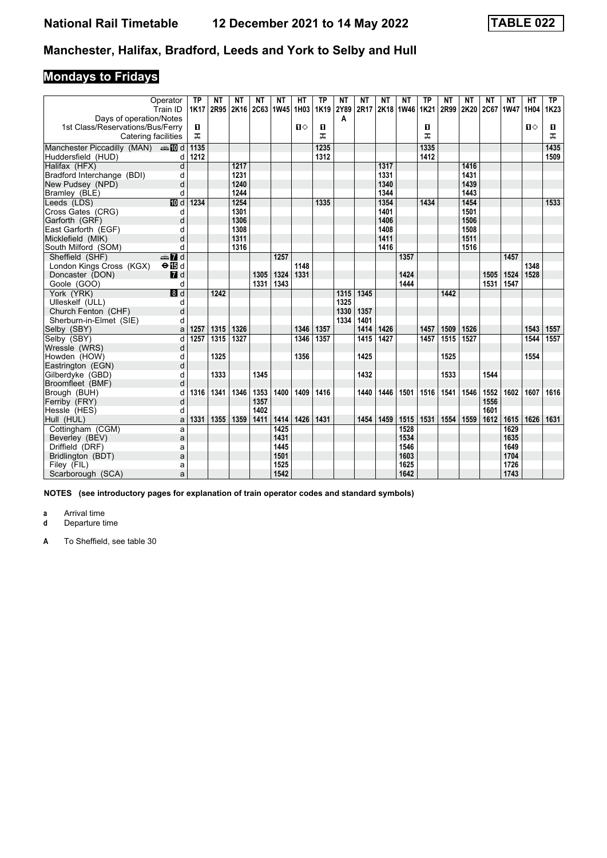# **Mondays to Fridays**

|                                               | Operator                       | ТP   | ΝT   | NΤ   | NΤ   | NΤ                 | HТ   | <b>TP</b> | <b>NT</b> | ΝT   | NΤ   | NΤ        | ТP          | <b>NT</b> | NΤ        | <b>NT</b> | NΤ   | HT           | <b>TP</b>        |
|-----------------------------------------------|--------------------------------|------|------|------|------|--------------------|------|-----------|-----------|------|------|-----------|-------------|-----------|-----------|-----------|------|--------------|------------------|
|                                               | Train ID                       | 1K17 | 2R95 |      |      | 2K16   2C63   1W45 | 1H03 | 1K19      | 2Y89      | 2R17 |      | 2K18 1W46 | <b>1K21</b> | 2R99      | 2K20 2C67 |           | 1W47 | 1H04         | 1K <sub>23</sub> |
| Days of operation/Notes                       |                                |      |      |      |      |                    |      |           | A         |      |      |           |             |           |           |           |      |              |                  |
| 1st Class/Reservations/Bus/Ferry              |                                | D.   |      |      |      |                    | п⇔   | O         |           |      |      |           | п           |           |           |           |      | $\mathbf{u}$ | O                |
| Catering facilities                           |                                | ᠼ    |      |      |      |                    |      | ᠼ         |           |      |      |           | ᠼ           |           |           |           |      |              | ᠼ                |
| Manchester Piccadilly (MAN) $\triangleq 10$ d |                                | 1135 |      |      |      |                    |      | 1235      |           |      |      |           | 1335        |           |           |           |      |              | 1435             |
| Huddersfield (HUD)                            | d                              | 1212 |      |      |      |                    |      | 1312      |           |      |      |           | 1412        |           |           |           |      |              | 1509             |
| Halifax (HFX)                                 | d                              |      |      | 1217 |      |                    |      |           |           |      | 1317 |           |             |           | 1416      |           |      |              |                  |
| Bradford Interchange (BDI)                    | d                              |      |      | 1231 |      |                    |      |           |           |      | 1331 |           |             |           | 1431      |           |      |              |                  |
| New Pudsey (NPD)                              | d                              |      |      | 1240 |      |                    |      |           |           |      | 1340 |           |             |           | 1439      |           |      |              |                  |
| Bramley (BLE)                                 | d                              |      |      | 1244 |      |                    |      |           |           |      | 1344 |           |             |           | 1443      |           |      |              |                  |
| Leeds (LDS)                                   | <b>TO</b> d                    | 1234 |      | 1254 |      |                    |      | 1335      |           |      | 1354 |           | 1434        |           | 1454      |           |      |              | 1533             |
| Cross Gates (CRG)                             | d                              |      |      | 1301 |      |                    |      |           |           |      | 1401 |           |             |           | 1501      |           |      |              |                  |
| Garforth (GRF)                                | d                              |      |      | 1306 |      |                    |      |           |           |      | 1406 |           |             |           | 1506      |           |      |              |                  |
| East Garforth (EGF)                           | d                              |      |      | 1308 |      |                    |      |           |           |      | 1408 |           |             |           | 1508      |           |      |              |                  |
| Micklefield (MIK)                             | d                              |      |      | 1311 |      |                    |      |           |           |      | 1411 |           |             |           | 1511      |           |      |              |                  |
| South Milford (SOM)                           | d                              |      |      | 1316 |      |                    |      |           |           |      | 1416 |           |             |           | 1516      |           |      |              |                  |
| Sheffield (SHF)                               | $\frac{1}{2}$ of $\frac{1}{2}$ |      |      |      |      | 1257               |      |           |           |      |      | 1357      |             |           |           |           | 1457 |              |                  |
| London Kings Cross (KGX)                      | $\Theta$ is d                  |      |      |      |      |                    | 1148 |           |           |      |      |           |             |           |           |           |      | 1348         |                  |
| Doncaster (DON)                               | $I$ d                          |      |      |      | 1305 | 1324               | 1331 |           |           |      |      | 1424      |             |           |           | 1505      | 1524 | 1528         |                  |
| Goole (GOO)                                   | d                              |      |      |      | 1331 | 1343               |      |           |           |      |      | 1444      |             |           |           | 1531      | 1547 |              |                  |
| York (YRK)                                    | $\overline{\mathbf{B}}$ d      |      | 1242 |      |      |                    |      |           | 1315      | 1345 |      |           |             | 1442      |           |           |      |              |                  |
| Ulleskelf (ULL)                               | d                              |      |      |      |      |                    |      |           | 1325      |      |      |           |             |           |           |           |      |              |                  |
| Church Fenton (CHF)                           | d                              |      |      |      |      |                    |      |           | 1330      | 1357 |      |           |             |           |           |           |      |              |                  |
| Sherburn-in-Elmet (SIE)                       | d                              |      |      |      |      |                    |      |           | 1334      | 1401 |      |           |             |           |           |           |      |              |                  |
| Selby (SBY)                                   | a                              | 1257 | 1315 | 1326 |      |                    | 1346 | 1357      |           | 1414 | 1426 |           | 1457        | 1509      | 1526      |           |      | 1543         | 1557             |
| Selby (SBY)                                   | d                              | 1257 | 1315 | 1327 |      |                    | 1346 | 1357      |           | 1415 | 1427 |           | 1457        | 1515      | 1527      |           |      | 1544         | 1557             |
| Wressle (WRS)                                 | d                              |      |      |      |      |                    |      |           |           |      |      |           |             |           |           |           |      |              |                  |
| Howden (HOW)                                  | d                              |      | 1325 |      |      |                    | 1356 |           |           | 1425 |      |           |             | 1525      |           |           |      | 1554         |                  |
| Eastrington (EGN)                             | d                              |      |      |      |      |                    |      |           |           |      |      |           |             |           |           |           |      |              |                  |
| Gilberdyke (GBD)                              | d                              |      | 1333 |      | 1345 |                    |      |           |           | 1432 |      |           |             | 1533      |           | 1544      |      |              |                  |
| Broomfleet (BMF)                              | d                              |      |      |      |      |                    |      |           |           |      |      |           |             |           |           |           |      |              |                  |
| Brough (BUH)                                  | d                              | 1316 | 1341 | 1346 | 1353 | 1400               | 1409 | 1416      |           | 1440 | 1446 | 1501      | 1516        | 1541      | 1546      | 1552      | 1602 | 1607         | 1616             |
| Ferriby (FRY)                                 | d                              |      |      |      | 1357 |                    |      |           |           |      |      |           |             |           |           | 1556      |      |              |                  |
| Hessle (HES)                                  | d                              |      |      |      | 1402 |                    |      |           |           |      |      |           |             |           |           | 1601      |      |              |                  |
| Hull (HUL)                                    | a                              | 1331 | 1355 | 1359 | 1411 | 1414               | 1426 | 1431      |           | 1454 | 1459 | 1515      | 1531        | 1554      | 1559      | 1612      | 1615 | 1626         | 1631             |
| Cottingham (CGM)                              | a                              |      |      |      |      | 1425               |      |           |           |      |      | 1528      |             |           |           |           | 1629 |              |                  |
| Beverley (BEV)                                | a                              |      |      |      |      | 1431               |      |           |           |      |      | 1534      |             |           |           |           | 1635 |              |                  |
| Driffield (DRF)                               | a                              |      |      |      |      | 1445               |      |           |           |      |      | 1546      |             |           |           |           | 1649 |              |                  |
| Bridlington (BDT)                             | a                              |      |      |      |      | 1501               |      |           |           |      |      | 1603      |             |           |           |           | 1704 |              |                  |
| Filey (FIL)                                   | a                              |      |      |      |      | 1525               |      |           |           |      |      | 1625      |             |           |           |           | 1726 |              |                  |
| Scarborough (SCA)                             | a                              |      |      |      |      | 1542               |      |           |           |      |      | 1642      |             |           |           |           | 1743 |              |                  |

**NOTES (see introductory pages for explanation of train operator codes and standard symbols)**

**a** Arrival time<br>**d** Departure ti

**d** Departure time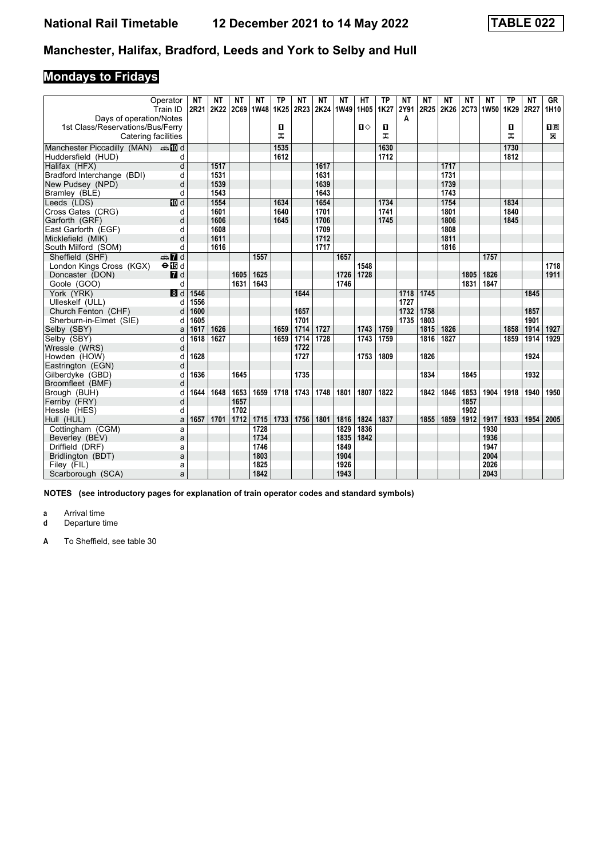# **Mondays to Fridays**

|                                                     | Operator<br>Train ID    | <b>NT</b><br>2R21 | ΝT   | NΤ   | NΤ<br>2K22 2C69 1W48 1K25 | <b>TP</b> | ΝT<br>2R23 | <b>NT</b> | ΝT<br>2K24 1W49 | HТ<br>1H <sub>05</sub> | <b>TP</b><br>1K27 | <b>NT</b><br>2Y91 | NΤ   | NΤ<br>2R25 2K26 2C73 1W50 | NΤ   | <b>NT</b> | <b>TP</b><br>1K29 | <b>NT</b><br>2R27 | GR<br>1H10     |
|-----------------------------------------------------|-------------------------|-------------------|------|------|---------------------------|-----------|------------|-----------|-----------------|------------------------|-------------------|-------------------|------|---------------------------|------|-----------|-------------------|-------------------|----------------|
| Days of operation/Notes                             |                         |                   |      |      |                           |           |            |           |                 |                        |                   | A                 |      |                           |      |           |                   |                   |                |
| 1st Class/Reservations/Bus/Ferry                    |                         |                   |      |      |                           | п         |            |           |                 | п⇔                     | O                 |                   |      |                           |      |           | п                 |                   | $\mathbf{I}$ R |
| Catering facilities                                 |                         |                   |      |      |                           | ᠼ         |            |           |                 |                        | ᠼ                 |                   |      |                           |      |           | ᠼ                 |                   | $\boxtimes$    |
| Manchester Piccadilly (MAN) $\oplus \blacksquare$ d |                         |                   |      |      |                           | 1535      |            |           |                 |                        | 1630              |                   |      |                           |      |           | 1730              |                   |                |
| Huddersfield (HUD)                                  | d                       |                   |      |      |                           | 1612      |            |           |                 |                        | 1712              |                   |      |                           |      |           | 1812              |                   |                |
| Halifax (HFX)                                       | d                       |                   | 1517 |      |                           |           |            | 1617      |                 |                        |                   |                   |      | 1717                      |      |           |                   |                   |                |
| Bradford Interchange (BDI)                          | d                       |                   | 1531 |      |                           |           |            | 1631      |                 |                        |                   |                   |      | 1731                      |      |           |                   |                   |                |
| New Pudsey (NPD)                                    | d                       |                   | 1539 |      |                           |           |            | 1639      |                 |                        |                   |                   |      | 1739                      |      |           |                   |                   |                |
| Bramley (BLE)                                       | d                       |                   | 1543 |      |                           |           |            | 1643      |                 |                        |                   |                   |      | 1743                      |      |           |                   |                   |                |
| Leeds (LDS)                                         | <b>ID</b> d             |                   | 1554 |      |                           | 1634      |            | 1654      |                 |                        | 1734              |                   |      | 1754                      |      |           | 1834              |                   |                |
| Cross Gates (CRG)                                   | d                       |                   | 1601 |      |                           | 1640      |            | 1701      |                 |                        | 1741              |                   |      | 1801                      |      |           | 1840              |                   |                |
| Garforth (GRF)                                      | d                       |                   | 1606 |      |                           | 1645      |            | 1706      |                 |                        | 1745              |                   |      | 1806                      |      |           | 1845              |                   |                |
| East Garforth (EGF)                                 | d                       |                   | 1608 |      |                           |           |            | 1709      |                 |                        |                   |                   |      | 1808                      |      |           |                   |                   |                |
| Micklefield (MIK)                                   | d                       |                   | 1611 |      |                           |           |            | 1712      |                 |                        |                   |                   |      | 1811                      |      |           |                   |                   |                |
| South Milford (SOM)                                 | d                       |                   | 1616 |      |                           |           |            | 1717      |                 |                        |                   |                   |      | 1816                      |      |           |                   |                   |                |
| Sheffield (SHF)                                     | $\oplus \blacksquare$ d |                   |      |      | 1557                      |           |            |           | 1657            |                        |                   |                   |      |                           |      | 1757      |                   |                   |                |
| London Kings Cross (KGX)                            | $\Theta$ is d           |                   |      |      |                           |           |            |           |                 | 1548                   |                   |                   |      |                           |      |           |                   |                   | 1718           |
| Doncaster (DON)                                     | $I$ d                   |                   |      | 1605 | 1625                      |           |            |           | 1726            | 1728                   |                   |                   |      |                           | 1805 | 1826      |                   |                   | 1911           |
| Goole (GOO)                                         | d                       |                   |      | 1631 | 1643                      |           |            |           | 1746            |                        |                   |                   |      |                           | 1831 | 1847      |                   |                   |                |
| York (YRK)                                          | $\blacksquare$          | 1546              |      |      |                           |           | 1644       |           |                 |                        |                   | 1718              | 1745 |                           |      |           |                   | 1845              |                |
| Ulleskelf (ULL)                                     | d                       | 1556              |      |      |                           |           |            |           |                 |                        |                   | 1727              |      |                           |      |           |                   |                   |                |
| Church Fenton (CHF)                                 | d                       | 1600              |      |      |                           |           | 1657       |           |                 |                        |                   | 1732              | 1758 |                           |      |           |                   | 1857              |                |
| Sherburn-in-Elmet (SIE)                             | d                       | 1605              |      |      |                           |           | 1701       |           |                 |                        |                   | 1735              | 1803 |                           |      |           |                   | 1901              |                |
| Selby (SBY)                                         | a                       | 1617              | 1626 |      |                           | 1659      | 1714       | 1727      |                 | 1743                   | 1759              |                   | 1815 | 1826                      |      |           | 1858              | 1914              | 1927           |
| Selby (SBY)                                         | q                       | 1618              | 1627 |      |                           | 1659      | 1714       | 1728      |                 | 1743                   | 1759              |                   | 1816 | 1827                      |      |           | 1859              | 1914              | 1929           |
| Wressle (WRS)                                       | d                       |                   |      |      |                           |           | 1722       |           |                 |                        |                   |                   |      |                           |      |           |                   |                   |                |
| Howden (HOW)                                        | d                       | 1628              |      |      |                           |           | 1727       |           |                 | 1753                   | 1809              |                   | 1826 |                           |      |           |                   | 1924              |                |
| Eastrington (EGN)                                   | d                       |                   |      |      |                           |           |            |           |                 |                        |                   |                   |      |                           |      |           |                   |                   |                |
| Gilberdyke (GBD)                                    | d                       | 1636              |      | 1645 |                           |           | 1735       |           |                 |                        |                   |                   | 1834 |                           | 1845 |           |                   | 1932              |                |
| Broomfleet (BMF)                                    | d                       |                   |      |      |                           |           |            |           |                 |                        |                   |                   |      |                           |      |           |                   |                   |                |
| Brough (BUH)                                        |                         | 1644              | 1648 | 1653 | 1659                      | 1718      | 1743       | 1748      | 1801            | 1807                   | 1822              |                   | 1842 | 1846                      | 1853 | 1904      | 1918              | 1940              | 1950           |
| Ferriby (FRY)                                       | d                       |                   |      | 1657 |                           |           |            |           |                 |                        |                   |                   |      |                           | 1857 |           |                   |                   |                |
| Hessle (HES)                                        | d                       |                   |      | 1702 |                           |           |            |           |                 |                        |                   |                   |      |                           | 1902 |           |                   |                   |                |
| Hull (HUL)                                          | a                       | 1657              | 1701 | 1712 | 1715                      | 1733      | 1756       | 1801      | 1816            | 1824                   | 1837              |                   | 1855 | 1859                      | 1912 | 1917      | 1933              | 1954              | 2005           |
| Cottingham (CGM)                                    | a                       |                   |      |      | 1728                      |           |            |           | 1829            | 1836                   |                   |                   |      |                           |      | 1930      |                   |                   |                |
| Beverley (BEV)                                      | a                       |                   |      |      | 1734                      |           |            |           | 1835            | 1842                   |                   |                   |      |                           |      | 1936      |                   |                   |                |
| Driffield (DRF)                                     | a                       |                   |      |      | 1746                      |           |            |           | 1849            |                        |                   |                   |      |                           |      | 1947      |                   |                   |                |
| Bridlington (BDT)                                   | a                       |                   |      |      | 1803                      |           |            |           | 1904            |                        |                   |                   |      |                           |      | 2004      |                   |                   |                |
| Filey (FIL)                                         | a                       |                   |      |      | 1825                      |           |            |           | 1926            |                        |                   |                   |      |                           |      | 2026      |                   |                   |                |
| Scarborough (SCA)                                   | a                       |                   |      |      | 1842                      |           |            |           | 1943            |                        |                   |                   |      |                           |      | 2043      |                   |                   |                |

**NOTES (see introductory pages for explanation of train operator codes and standard symbols)**

**a** Arrival time<br>**d** Departure ti

**d** Departure time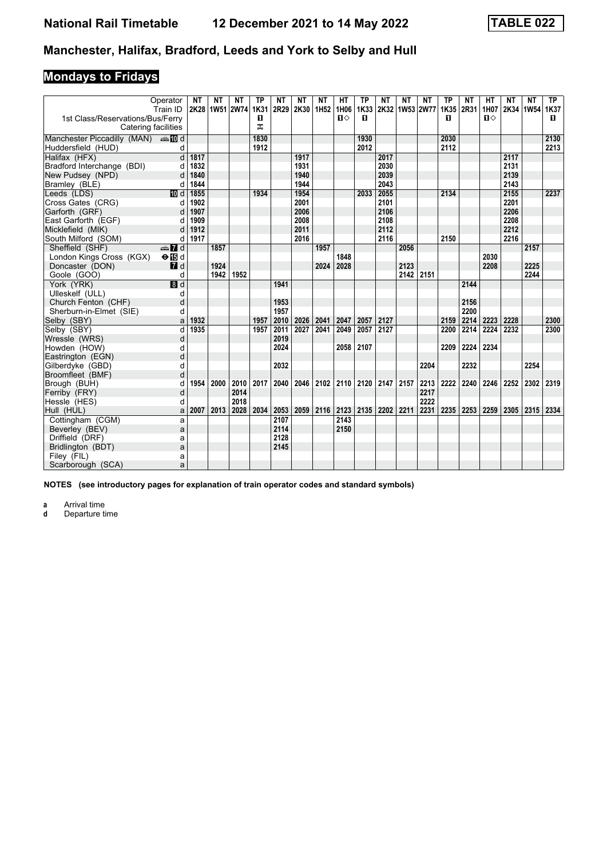# **Mondays to Fridays**

|                                                         | Operator<br>Train ID | NΤ   | NΤ   | NΤ<br>2K28 1W51 2W74 1K31 | ΤP     | <b>NT</b><br>2R29 | ΝT<br>2K30 1H52 | NΤ   | HТ<br>1H06 | <b>TP</b><br>1K33 | ΝT                        | <b>NT</b><br>2K32 1W53 2W77 | <b>NT</b> | <b>TP</b><br>1K35 | <b>NT</b><br>2R31 | HТ<br>1H07 | NΤ<br>2K34 1W54 1K37 | ΝT   | ТP   |
|---------------------------------------------------------|----------------------|------|------|---------------------------|--------|-------------------|-----------------|------|------------|-------------------|---------------------------|-----------------------------|-----------|-------------------|-------------------|------------|----------------------|------|------|
| 1st Class/Reservations/Bus/Ferry<br>Catering facilities |                      |      |      |                           | 0<br>ᅚ |                   |                 |      | п⇔         | п                 |                           |                             |           | п                 |                   | п⇔         |                      |      | п    |
| Manchester Piccadilly (MAN) $\oplus$ 10 d               |                      |      |      |                           | 1830   |                   |                 |      |            | 1930              |                           |                             |           | 2030              |                   |            |                      |      | 2130 |
| Huddersfield (HUD)                                      | d                    |      |      |                           | 1912   |                   |                 |      |            | 2012              |                           |                             |           | 2112              |                   |            |                      |      | 2213 |
| Halifax (HFX)                                           | $\overline{d}$       | 1817 |      |                           |        |                   | 1917            |      |            |                   | 2017                      |                             |           |                   |                   |            | 2117                 |      |      |
| Bradford Interchange (BDI)                              | d                    | 1832 |      |                           |        |                   | 1931            |      |            |                   | 2030                      |                             |           |                   |                   |            | 2131                 |      |      |
| New Pudsey (NPD)                                        | d                    | 1840 |      |                           |        |                   | 1940            |      |            |                   | 2039                      |                             |           |                   |                   |            | 2139                 |      |      |
| Bramley (BLE)                                           | d                    | 1844 |      |                           |        |                   | 1944            |      |            |                   | 2043                      |                             |           |                   |                   |            | 2143                 |      |      |
| Leeds (LDS)                                             | <b>ID</b> d          | 1855 |      |                           | 1934   |                   | 1954            |      |            | 2033              | 2055                      |                             |           | 2134              |                   |            | 2155                 |      | 2237 |
| Cross Gates (CRG)                                       | d                    | 1902 |      |                           |        |                   | 2001            |      |            |                   | 2101                      |                             |           |                   |                   |            | 2201                 |      |      |
| Garforth (GRF)                                          |                      | 1907 |      |                           |        |                   | 2006            |      |            |                   | 2106                      |                             |           |                   |                   |            | 2206                 |      |      |
| East Garforth (EGF)                                     | d                    | 1909 |      |                           |        |                   | 2008            |      |            |                   | 2108                      |                             |           |                   |                   |            | 2208                 |      |      |
| Micklefield (MIK)                                       | d                    | 1912 |      |                           |        |                   | 2011            |      |            |                   | 2112                      |                             |           |                   |                   |            | 2212                 |      |      |
| South Milford (SOM)                                     | d                    | 1917 |      |                           |        |                   | 2016            |      |            |                   | 2116                      |                             |           | 2150              |                   |            | 2216                 |      |      |
| Sheffield (SHF)                                         | <b>⊕M</b> d          |      | 1857 |                           |        |                   |                 | 1957 |            |                   |                           | 2056                        |           |                   |                   |            |                      | 2157 |      |
| London Kings Cross (KGX)                                | $\Theta$ is d        |      |      |                           |        |                   |                 |      | 1848       |                   |                           |                             |           |                   |                   | 2030       |                      |      |      |
| Doncaster (DON)                                         | $\blacksquare$ d     |      | 1924 |                           |        |                   |                 | 2024 | 2028       |                   |                           | 2123                        |           |                   |                   | 2208       |                      | 2225 |      |
| Goole (GOO)                                             | d                    |      | 1942 | 1952                      |        |                   |                 |      |            |                   |                           | 2142                        | 2151      |                   |                   |            |                      | 2244 |      |
| York (YRK)                                              | 8d                   |      |      |                           |        | 1941              |                 |      |            |                   |                           |                             |           |                   | 2144              |            |                      |      |      |
| Ulleskelf (ULL)                                         | d                    |      |      |                           |        |                   |                 |      |            |                   |                           |                             |           |                   |                   |            |                      |      |      |
| Church Fenton (CHF)                                     | d                    |      |      |                           |        | 1953              |                 |      |            |                   |                           |                             |           |                   | 2156              |            |                      |      |      |
| Sherburn-in-Elmet (SIE)                                 | d                    |      |      |                           |        | 1957              |                 |      |            |                   |                           |                             |           |                   | 2200              |            |                      |      |      |
| Selby (SBY)                                             | a                    | 1932 |      |                           | 1957   | 2010              | 2026            | 2041 | 2047       | 2057              | 2127                      |                             |           | 2159              | 2214              | 2223       | 2228                 |      | 2300 |
| Selby (SBY)                                             | d                    | 1935 |      |                           | 1957   | 2011              | 2027            | 2041 | 2049       | 2057              | 2127                      |                             |           | 2200              | 2214              | 2224       | 2232                 |      | 2300 |
| Wressle (WRS)                                           | d                    |      |      |                           |        | 2019              |                 |      |            |                   |                           |                             |           |                   |                   |            |                      |      |      |
| Howden (HOW)                                            | d                    |      |      |                           |        | 2024              |                 |      | 2058       | 2107              |                           |                             |           | 2209              | 2224              | 2234       |                      |      |      |
| Eastrington (EGN)                                       | d                    |      |      |                           |        |                   |                 |      |            |                   |                           |                             |           |                   |                   |            |                      |      |      |
| Gilberdyke (GBD)                                        | d                    |      |      |                           |        | 2032              |                 |      |            |                   |                           |                             | 2204      |                   | 2232              |            |                      | 2254 |      |
| Broomfleet (BMF)                                        | d                    |      |      |                           |        |                   |                 |      |            |                   |                           |                             |           |                   |                   |            |                      |      |      |
| Brough (BUH)                                            | d                    | 1954 | 2000 | 2010                      | 2017   | 2040              | 2046            | 2102 |            |                   | 2110   2120   2147   2157 |                             | 2213      | 2222              | 2240              | 2246       | 2252                 | 2302 | 2319 |
| Ferriby (FRY)                                           | d                    |      |      | 2014                      |        |                   |                 |      |            |                   |                           |                             | 2217      |                   |                   |            |                      |      |      |
| Hessle (HES)                                            | d                    |      |      | 2018                      |        |                   |                 |      |            |                   |                           |                             | 2222      |                   |                   |            |                      |      |      |
| Hull (HUL)                                              | a                    | 2007 | 2013 | 2028                      | 2034   | 2053              | 2059            | 2116 | 2123       | 2135              | 2202                      | 2211                        | 2231      | 2235              | 2253              | 2259       | 2305                 | 2315 | 2334 |
| Cottingham (CGM)                                        | a                    |      |      |                           |        | 2107              |                 |      | 2143       |                   |                           |                             |           |                   |                   |            |                      |      |      |
| Beverley (BEV)                                          | a                    |      |      |                           |        | 2114              |                 |      | 2150       |                   |                           |                             |           |                   |                   |            |                      |      |      |
| Driffield (DRF)                                         | a                    |      |      |                           |        | 2128<br>2145      |                 |      |            |                   |                           |                             |           |                   |                   |            |                      |      |      |
| Bridlington (BDT)                                       | a                    |      |      |                           |        |                   |                 |      |            |                   |                           |                             |           |                   |                   |            |                      |      |      |
| Filey (FIL)                                             | a                    |      |      |                           |        |                   |                 |      |            |                   |                           |                             |           |                   |                   |            |                      |      |      |
| Scarborough (SCA)                                       | a                    |      |      |                           |        |                   |                 |      |            |                   |                           |                             |           |                   |                   |            |                      |      |      |

**NOTES (see introductory pages for explanation of train operator codes and standard symbols)**

**a** Arrival time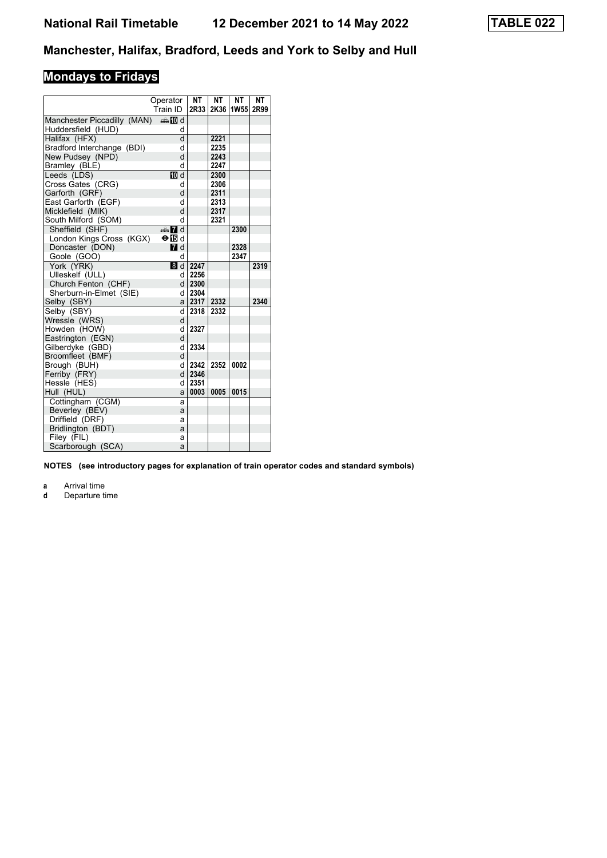# **Mondays to Fridays**

|                             | Operator<br>Train ID | <b>NT</b><br>2R33 | <b>NT</b><br>2K36 | <b>NT</b><br><b>1W55</b> | NΤ<br>2R99 |
|-----------------------------|----------------------|-------------------|-------------------|--------------------------|------------|
| Manchester Piccadilly (MAN) | nnen middi           |                   |                   |                          |            |
| Huddersfield (HUD)          | d                    |                   |                   |                          |            |
| Halifax (HFX)               | d                    |                   | 2221              |                          |            |
| Bradford Interchange (BDI)  | d                    |                   | 2235              |                          |            |
| New Pudsey (NPD)            | d                    |                   | 2243              |                          |            |
| Bramley (BLE)               | d                    |                   | 2247              |                          |            |
| Leeds (LDS)                 | 10 d                 |                   | 2300              |                          |            |
| Cross Gates (CRG)           | d                    |                   | 2306              |                          |            |
| Garforth (GRF)              | d                    |                   | 2311              |                          |            |
| East Garforth (EGF)         | d                    |                   | 2313              |                          |            |
| Micklefield (MIK)           | d                    |                   | 2317              |                          |            |
| South Milford (SOM)         | d                    |                   | 2321              |                          |            |
| Sheffield (SHF)             | d and                |                   |                   | 2300                     |            |
| London Kings Cross (KGX)    | $\Theta$ is d        |                   |                   |                          |            |
| Doncaster (DON)             | $\blacksquare$ d     |                   |                   | 2328                     |            |
| Goole (GOO)                 | d                    |                   |                   | 2347                     |            |
| York (YRK)                  | 8d                   | 2247              |                   |                          | 2319       |
| Ulleskelf (ULL)             | d                    | 2256              |                   |                          |            |
| Church Fenton (CHF)         | d l                  | 2300              |                   |                          |            |
| Sherburn-in-Elmet (SIE)     | d                    | 2304              |                   |                          |            |
| Selby (SBY)                 | a                    | 2317              | 2332              |                          | 2340       |
| Selby (SBY)                 | d                    | 2318              | 2332              |                          |            |
| Wressle (WRS)               | d                    |                   |                   |                          |            |
| Howden (HOW)                | d                    | 2327              |                   |                          |            |
| Eastrington (EGN)           | d                    |                   |                   |                          |            |
| Gilberdyke (GBD)            | d                    | 2334              |                   |                          |            |
| Broomfleet (BMF)            | d                    |                   |                   |                          |            |
| Brough (BUH)                | d                    | 2342              | 2352              | 0002                     |            |
| Ferriby (FRY)               | d                    | 2346              |                   |                          |            |
| Hessle (HES)                | d                    | 2351              |                   |                          |            |
| Hull (HUL)                  | a                    | 0003              | 0005              | 0015                     |            |
| Cottingham (CGM)            | a                    |                   |                   |                          |            |
| Beverley (BEV)              | a                    |                   |                   |                          |            |
| Driffield (DRF)             | a                    |                   |                   |                          |            |
| Bridlington (BDT)           | a                    |                   |                   |                          |            |
| Filey (FIL)                 | a                    |                   |                   |                          |            |
| Scarborough (SCA)           | a                    |                   |                   |                          |            |

**NOTES (see introductory pages for explanation of train operator codes and standard symbols)**

**a** Arrival time<br>**d** Departure t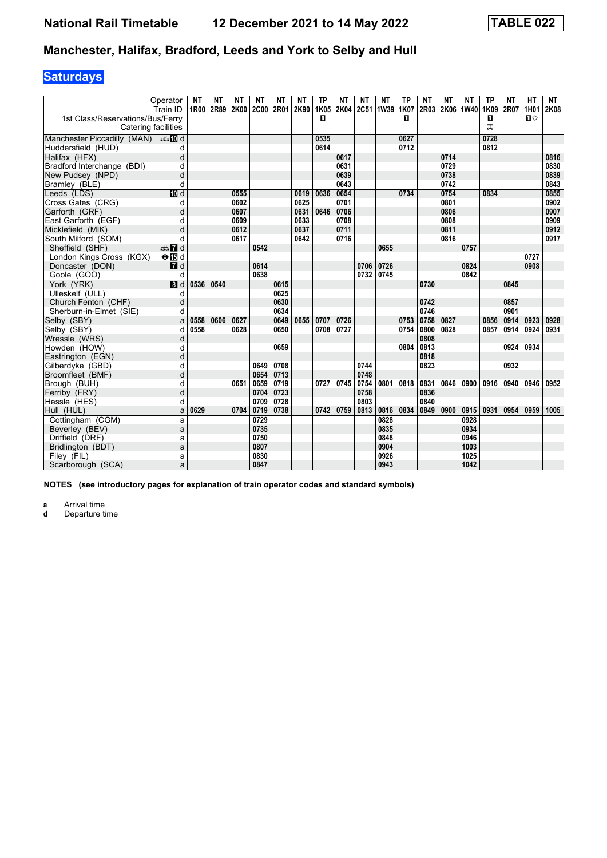# **Saturdays**

|                                                         | Operator                       | <b>NT</b> | NΤ        | <b>NT</b>    | NΤ           | <b>NT</b>    | <b>NT</b>    | <b>TP</b> | <b>NT</b>         | <b>NT</b>    | <b>NT</b>    | <b>TP</b> | <b>NT</b>    | <b>NT</b>      | <b>NT</b>    | <b>TP</b> | <b>NT</b> | <b>HT</b>      | <b>NT</b>    |
|---------------------------------------------------------|--------------------------------|-----------|-----------|--------------|--------------|--------------|--------------|-----------|-------------------|--------------|--------------|-----------|--------------|----------------|--------------|-----------|-----------|----------------|--------------|
|                                                         | Train ID                       |           | 1R00 2R89 | 2K00         | 2C00 2R01    |              | 2K90         | 1K05      | 2K04              |              | 2C51 1W39    | 1K07      |              | 2R03 2K06 1W40 |              | 1K09      | 2R07      | 1H01           | 2K08         |
| 1st Class/Reservations/Bus/Ferry<br>Catering facilities |                                |           |           |              |              |              |              | п         |                   |              |              | п         |              |                |              | 0<br>ᅚ    |           | $\blacksquare$ |              |
| Manchester Piccadilly (MAN) And                         |                                |           |           |              |              |              |              | 0535      |                   |              |              | 0627      |              |                |              | 0728      |           |                |              |
|                                                         |                                |           |           |              |              |              |              | 0614      |                   |              |              | 0712      |              |                |              | 0812      |           |                |              |
| Huddersfield (HUD)<br>Halifax (HFX)                     | d<br>d                         |           |           |              |              |              |              |           | 0617              |              |              |           |              | 0714           |              |           |           |                | 0816         |
|                                                         |                                |           |           |              |              |              |              |           | 0631              |              |              |           |              | 0729           |              |           |           |                | 0830         |
| Bradford Interchange (BDI)<br>New Pudsey (NPD)          | d<br>d                         |           |           |              |              |              |              |           | 0639              |              |              |           |              | 0738           |              |           |           |                | 0839         |
|                                                         | d                              |           |           |              |              |              |              |           | 0643              |              |              |           |              | 0742           |              |           |           |                | 0843         |
| Bramley (BLE)                                           |                                |           |           |              |              |              |              |           |                   |              |              |           |              | 0754           |              |           |           |                |              |
| Leeds (LDS)                                             | 10 d                           |           |           | 0555         |              |              | 0619         | 0636      | 0654<br>0701      |              |              | 0734      |              | 0801           |              | 0834      |           |                | 0855         |
| Cross Gates (CRG)                                       | d                              |           |           | 0602         |              |              | 0625         |           |                   |              |              |           |              |                |              |           |           |                | 0902         |
| Garforth (GRF)                                          | d                              |           |           | 0607<br>0609 |              |              | 0631<br>0633 | 0646      | 0706<br>0708      |              |              |           |              | 0806<br>0808   |              |           |           |                | 0907<br>0909 |
| East Garforth (EGF)                                     | d                              |           |           | 0612         |              |              | 0637         |           |                   |              |              |           |              |                |              |           |           |                |              |
| Micklefield (MIK)                                       | d                              |           |           | 0617         |              |              | 0642         |           | 0711              |              |              |           |              | 0811<br>0816   |              |           |           |                | 0912<br>0917 |
| South Milford (SOM)                                     | d                              |           |           |              |              |              |              |           | 0716              |              |              |           |              |                |              |           |           |                |              |
| Sheffield (SHF)                                         | $\frac{1}{2}$ of $\frac{1}{2}$ |           |           |              | 0542         |              |              |           |                   |              | 0655         |           |              |                | 0757         |           |           | 0727           |              |
| London Kings Cross (KGX)                                | $\Theta$ is d                  |           |           |              |              |              |              |           |                   |              |              |           |              |                |              |           |           |                |              |
| Doncaster (DON)                                         | $\blacksquare$                 |           |           |              | 0614<br>0638 |              |              |           |                   | 0706         | 0726         |           |              |                | 0824         |           |           | 0908           |              |
| Goole (GOO)                                             | d                              |           |           |              |              |              |              |           |                   | 0732         | 0745         |           |              |                | 0842         |           |           |                |              |
| York (YRK)                                              | 8d                             | 0536      | 0540      |              |              | 0615         |              |           |                   |              |              |           | 0730         |                |              |           | 0845      |                |              |
| Ulleskelf (ULL)                                         | d                              |           |           |              |              | 0625         |              |           |                   |              |              |           |              |                |              |           |           |                |              |
| Church Fenton (CHF)                                     | d                              |           |           |              |              | 0630         |              |           |                   |              |              |           | 0742         |                |              |           | 0857      |                |              |
| Sherburn-in-Elmet (SIE)                                 | d                              |           |           |              |              | 0634         |              |           |                   |              |              |           | 0746         |                |              | 0856      | 0901      |                |              |
| Selby (SBY)                                             | a                              | 0558      | 0606      | 0627         |              | 0649         | 0655         | 0707      | 0726              |              |              | 0753      | 0758         | 0827           |              |           | 0914      | 0923           | 0928         |
| Selby (SBY)                                             | d                              | 0558      |           | 0628         |              | 0650         |              | 0708      | $\overline{0727}$ |              |              | 0754      | 0800         | 0828           |              | 0857      | 0914      | 0924           | 0931         |
| Wressle (WRS)                                           | d                              |           |           |              |              |              |              |           |                   |              |              |           | 0808         |                |              |           |           |                |              |
| Howden (HOW)                                            | d                              |           |           |              |              | 0659         |              |           |                   |              |              | 0804      | 0813         |                |              |           | 0924      | 0934           |              |
| Eastrington (EGN)                                       | d                              |           |           |              |              |              |              |           |                   |              |              |           | 0818         |                |              |           |           |                |              |
| Gilberdyke (GBD)                                        | d                              |           |           |              | 0649         | 0708         |              |           |                   | 0744         |              |           | 0823         |                |              |           | 0932      |                |              |
| Broomfleet (BMF)                                        | d                              |           |           |              | 0654         | 0713         |              |           |                   | 0748         |              |           |              |                |              |           |           |                |              |
| Brough (BUH)                                            | d<br>d                         |           |           | 0651         | 0659<br>0704 | 0719<br>0723 |              | 0727      | 0745              | 0754<br>0758 | 0801         | 0818      | 0831<br>0836 | 0846           | 0900         | 0916      | 0940      | 0946           | 0952         |
| Ferriby (FRY)                                           |                                |           |           |              |              | 0728         |              |           |                   | 0803         |              |           | 0840         |                |              |           |           |                |              |
| Hessle (HES)                                            | d                              | 0629      |           | 0704         | 0709<br>0719 | 0738         |              | 0742      | 0759              |              | 0816         | 0834      | 0849         | 0900           | 0915         | 0931      | 0954      | 0959           | 1005         |
| Hull (HUL)                                              | a                              |           |           |              | 0729         |              |              |           |                   | 0813         | 0828         |           |              |                | 0928         |           |           |                |              |
| Cottingham (CGM)                                        | a                              |           |           |              |              |              |              |           |                   |              |              |           |              |                |              |           |           |                |              |
| Beverley (BEV)                                          | a                              |           |           |              | 0735<br>0750 |              |              |           |                   |              | 0835<br>0848 |           |              |                | 0934<br>0946 |           |           |                |              |
| Driffield (DRF)                                         | a                              |           |           |              | 0807         |              |              |           |                   |              | 0904         |           |              |                | 1003         |           |           |                |              |
| Bridlington (BDT)                                       | a                              |           |           |              |              |              |              |           |                   |              |              |           |              |                |              |           |           |                |              |
| Filey (FIL)                                             | а                              |           |           |              | 0830         |              |              |           |                   |              | 0926         |           |              |                | 1025         |           |           |                |              |
| Scarborough (SCA)                                       | a                              |           |           |              | 0847         |              |              |           |                   |              | 0943         |           |              |                | 1042         |           |           |                |              |

**NOTES (see introductory pages for explanation of train operator codes and standard symbols)**

**a** Arrival time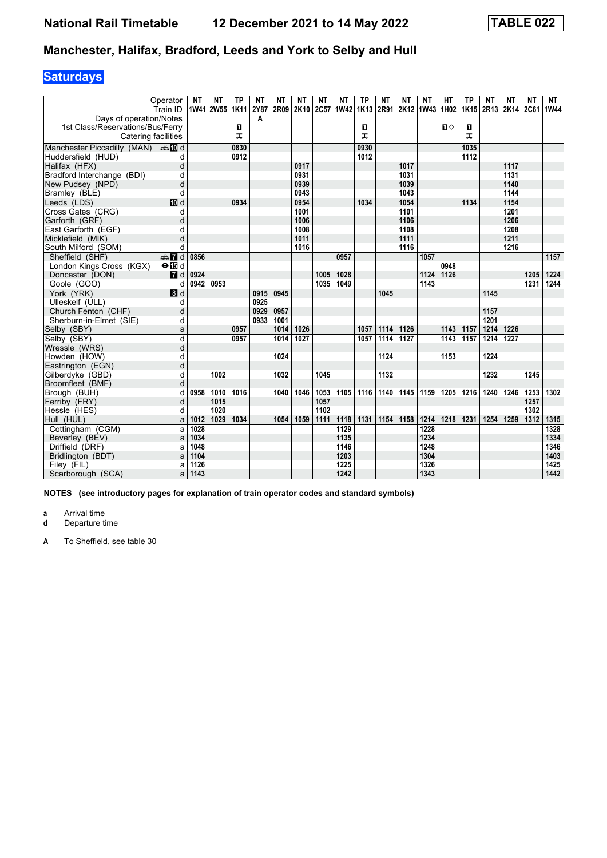# **Saturdays**

| Operator<br>Train ID                                | <b>NT</b> | NΤ<br>1W41 2W55 1K11 | ТP   | NΤ<br>2Y87 | NΤ<br>2R09 | NΤ<br>2K10 | NΤ<br>2C57 | NΤ<br>1W42 1K13 | <b>TP</b> | NΤ<br>2R91 | NΤ   | NΤ<br>2K12 1W43 1H02 | НT   | ТP<br>1K15 | NΤ<br>2R13 | NΤ<br><b>2K14</b> | NΤ<br>2C61 | NΤ<br>1W44 |
|-----------------------------------------------------|-----------|----------------------|------|------------|------------|------------|------------|-----------------|-----------|------------|------|----------------------|------|------------|------------|-------------------|------------|------------|
| Days of operation/Notes                             |           |                      |      | A          |            |            |            |                 |           |            |      |                      |      |            |            |                   |            |            |
| 1st Class/Reservations/Bus/Ferry                    |           |                      | 0    |            |            |            |            |                 | O         |            |      |                      | п⇔   | 0          |            |                   |            |            |
| Catering facilities                                 |           |                      | ᠼ    |            |            |            |            |                 | ᠼ         |            |      |                      |      | ᠼ          |            |                   |            |            |
| Manchester Piccadilly (MAN) $\oplus \blacksquare$ d |           |                      | 0830 |            |            |            |            |                 | 0930      |            |      |                      |      | 1035       |            |                   |            |            |
| Huddersfield (HUD)                                  | d         |                      | 0912 |            |            |            |            |                 | 1012      |            |      |                      |      | 1112       |            |                   |            |            |
| Halifax (HFX)                                       | d         |                      |      |            |            | 0917       |            |                 |           |            | 1017 |                      |      |            |            | 1117              |            |            |
| Bradford Interchange (BDI)                          | d         |                      |      |            |            | 0931       |            |                 |           |            | 1031 |                      |      |            |            | 1131              |            |            |
| New Pudsey (NPD)                                    | d         |                      |      |            |            | 0939       |            |                 |           |            | 1039 |                      |      |            |            | 1140              |            |            |
| Bramley (BLE)                                       | d         |                      |      |            |            | 0943       |            |                 |           |            | 1043 |                      |      |            |            | 1144              |            |            |
| <b>ID</b> d<br>Leeds (LDS)                          |           |                      | 0934 |            |            | 0954       |            |                 | 1034      |            | 1054 |                      |      | 1134       |            | 1154              |            |            |
| Cross Gates (CRG)                                   | d         |                      |      |            |            | 1001       |            |                 |           |            | 1101 |                      |      |            |            | 1201              |            |            |
| Garforth (GRF)                                      | d         |                      |      |            |            | 1006       |            |                 |           |            | 1106 |                      |      |            |            | 1206              |            |            |
| East Garforth (EGF)                                 | d         |                      |      |            |            | 1008       |            |                 |           |            | 1108 |                      |      |            |            | 1208              |            |            |
| Micklefield (MIK)                                   | d         |                      |      |            |            | 1011       |            |                 |           |            | 1111 |                      |      |            |            | 1211              |            |            |
| South Milford (SOM)                                 | d         |                      |      |            |            | 1016       |            |                 |           |            | 1116 |                      |      |            |            | 1216              |            |            |
| Sheffield (SHF)<br>$\oplus$ 7 d                     | 0856      |                      |      |            |            |            |            | 0957            |           |            |      | 1057                 |      |            |            |                   |            | 1157       |
| London Kings Cross (KGX)<br>$\Theta$ is d           |           |                      |      |            |            |            |            |                 |           |            |      |                      | 0948 |            |            |                   |            |            |
| Doncaster (DON)<br>$\blacksquare$                   | 0924      |                      |      |            |            |            | 1005       | 1028            |           |            |      | 1124                 | 1126 |            |            |                   | 1205       | 1224       |
| Goole (GOO)                                         | 0942<br>d | 0953                 |      |            |            |            | 1035       | 1049            |           |            |      | 1143                 |      |            |            |                   | 1231       | 1244       |
| $\blacksquare$<br>York (YRK)                        |           |                      |      | 0915       | 0945       |            |            |                 |           | 1045       |      |                      |      |            | 1145       |                   |            |            |
| Ulleskelf (ULL)                                     | d         |                      |      | 0925       |            |            |            |                 |           |            |      |                      |      |            |            |                   |            |            |
| Church Fenton (CHF)                                 | d         |                      |      | 0929       | 0957       |            |            |                 |           |            |      |                      |      |            | 1157       |                   |            |            |
| Sherburn-in-Elmet (SIE)                             | d         |                      |      | 0933       | 1001       |            |            |                 |           |            |      |                      |      |            | 1201       |                   |            |            |
| Selby (SBY)                                         | a         |                      | 0957 |            | 1014       | 1026       |            |                 | 1057      | 1114       | 1126 |                      | 1143 | 1157       | 1214       | 1226              |            |            |
| Selby (SBY)                                         | d         |                      | 0957 |            | 1014       | 1027       |            |                 | 1057      | 1114       | 1127 |                      | 1143 | 1157       | 1214       | 1227              |            |            |
| Wressle (WRS)                                       | d         |                      |      |            |            |            |            |                 |           |            |      |                      |      |            |            |                   |            |            |
| Howden (HOW)                                        | d         |                      |      |            | 1024       |            |            |                 |           | 1124       |      |                      | 1153 |            | 1224       |                   |            |            |
| Eastrington (EGN)<br>Gilberdyke (GBD)               | d<br>d    | 1002                 |      |            | 1032       |            | 1045       |                 |           | 1132       |      |                      |      |            | 1232       |                   | 1245       |            |
| Broomfleet (BMF)                                    | d         |                      |      |            |            |            |            |                 |           |            |      |                      |      |            |            |                   |            |            |
| Brough (BUH)                                        | 0958<br>d | 1010                 | 1016 |            | 1040       | 1046       | 1053       | 1105            | 1116      | 1140       | 1145 | 1159                 | 1205 | 1216       | 1240       | 1246              | 1253       | 1302       |
| Ferriby (FRY)                                       | d         | 1015                 |      |            |            |            | 1057       |                 |           |            |      |                      |      |            |            |                   | 1257       |            |
| Hessle (HES)                                        | d         | 1020                 |      |            |            |            | 1102       |                 |           |            |      |                      |      |            |            |                   | 1302       |            |
| Hull (HUL)                                          | 1012<br>a | 1029                 | 1034 |            | 1054       | 1059       | 1111       | 1118            | 1131      | 1154       | 1158 | 1214                 | 1218 | 1231       | 1254       | 1259              | 1312       | 1315       |
| Cottingham (CGM)                                    | 1028<br>a |                      |      |            |            |            |            | 1129            |           |            |      | 1228                 |      |            |            |                   |            | 1328       |
| Beverley (BEV)                                      | 1034<br>a |                      |      |            |            |            |            | 1135            |           |            |      | 1234                 |      |            |            |                   |            | 1334       |
| Driffield (DRF)                                     | 1048<br>a |                      |      |            |            |            |            | 1146            |           |            |      | 1248                 |      |            |            |                   |            | 1346       |
| Bridlington (BDT)                                   | 1104<br>a |                      |      |            |            |            |            | 1203            |           |            |      | 1304                 |      |            |            |                   |            | 1403       |
| Filey (FIL)                                         | 1126<br>a |                      |      |            |            |            |            | 1225            |           |            |      | 1326                 |      |            |            |                   |            | 1425       |
| Scarborough (SCA)                                   | 1143<br>a |                      |      |            |            |            |            | 1242            |           |            |      | 1343                 |      |            |            |                   |            | 1442       |

**NOTES (see introductory pages for explanation of train operator codes and standard symbols)**

**a** Arrival time<br>**d** Departure t

**d** Departure time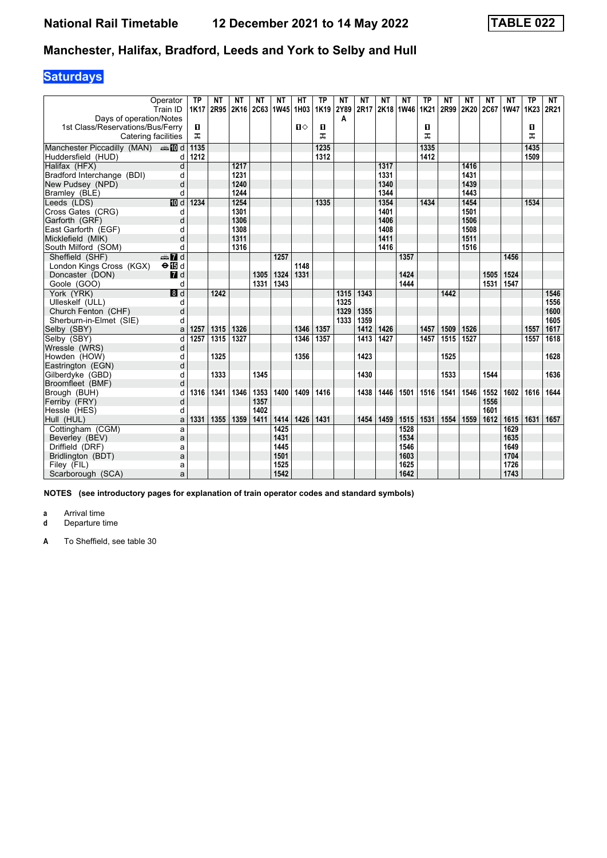# **Saturdays**

|                                    | Operator<br>Train ID    | <b>TP</b><br><b>1K17</b> | NΤ   | NΤ   | NΤ<br>2R95 2K16 2C63 1W45 1H03 1K19 | NΤ   | HТ   | <b>TP</b> | <b>NT</b><br>2Y89 | ΝT<br>2R17 | NΤ   | <b>NT</b><br>2K18 1W46 | ТP<br><b>1K21</b> | <b>NT</b><br>2R99 | NΤ<br>2K20 | <b>NT</b><br>2C67 | NΤ<br><b>1W47</b> | <b>TP</b><br>1K23 | <b>NT</b><br>2R21 |
|------------------------------------|-------------------------|--------------------------|------|------|-------------------------------------|------|------|-----------|-------------------|------------|------|------------------------|-------------------|-------------------|------------|-------------------|-------------------|-------------------|-------------------|
| Days of operation/Notes            |                         |                          |      |      |                                     |      |      |           | A                 |            |      |                        |                   |                   |            |                   |                   |                   |                   |
| 1st Class/Reservations/Bus/Ferry   |                         | D.                       |      |      |                                     |      | п⇔   | O         |                   |            |      |                        | п                 |                   |            |                   |                   | п                 |                   |
| Catering facilities                |                         | ᅚ                        |      |      |                                     |      |      | ᠼ         |                   |            |      |                        | ᅚ                 |                   |            |                   |                   | ᠼ                 |                   |
| Manchester Piccadilly (MAN) = 10 d |                         | 1135                     |      |      |                                     |      |      | 1235      |                   |            |      |                        | 1335              |                   |            |                   |                   | 1435              |                   |
| Huddersfield (HUD)                 | d                       | 1212                     |      |      |                                     |      |      | 1312      |                   |            |      |                        | 1412              |                   |            |                   |                   | 1509              |                   |
| Halifax (HFX)                      | d                       |                          |      | 1217 |                                     |      |      |           |                   |            | 1317 |                        |                   |                   | 1416       |                   |                   |                   |                   |
| Bradford Interchange (BDI)         | d                       |                          |      | 1231 |                                     |      |      |           |                   |            | 1331 |                        |                   |                   | 1431       |                   |                   |                   |                   |
| New Pudsey (NPD)                   | d                       |                          |      | 1240 |                                     |      |      |           |                   |            | 1340 |                        |                   |                   | 1439       |                   |                   |                   |                   |
| Bramley (BLE)                      | d                       |                          |      | 1244 |                                     |      |      |           |                   |            | 1344 |                        |                   |                   | 1443       |                   |                   |                   |                   |
| Leeds (LDS)                        | <b>ID</b> d             | 1234                     |      | 1254 |                                     |      |      | 1335      |                   |            | 1354 |                        | 1434              |                   | 1454       |                   |                   | 1534              |                   |
| Cross Gates (CRG)                  | d                       |                          |      | 1301 |                                     |      |      |           |                   |            | 1401 |                        |                   |                   | 1501       |                   |                   |                   |                   |
| Garforth (GRF)                     | d                       |                          |      | 1306 |                                     |      |      |           |                   |            | 1406 |                        |                   |                   | 1506       |                   |                   |                   |                   |
| East Garforth (EGF)                | d                       |                          |      | 1308 |                                     |      |      |           |                   |            | 1408 |                        |                   |                   | 1508       |                   |                   |                   |                   |
| Micklefield (MIK)                  | d                       |                          |      | 1311 |                                     |      |      |           |                   |            | 1411 |                        |                   |                   | 1511       |                   |                   |                   |                   |
| South Milford (SOM)                | d                       |                          |      | 1316 |                                     |      |      |           |                   |            | 1416 |                        |                   |                   | 1516       |                   |                   |                   |                   |
| Sheffield (SHF)                    | $\oplus \blacksquare$ d |                          |      |      |                                     | 1257 |      |           |                   |            |      | 1357                   |                   |                   |            |                   | 1456              |                   |                   |
| London Kings Cross (KGX)           | $\Theta$ is d           |                          |      |      |                                     |      | 1148 |           |                   |            |      |                        |                   |                   |            |                   |                   |                   |                   |
| Doncaster (DON)                    | 7d                      |                          |      |      | 1305                                | 1324 | 1331 |           |                   |            |      | 1424                   |                   |                   |            | 1505              | 1524              |                   |                   |
| Goole (GOO)                        | d                       |                          |      |      | 1331                                | 1343 |      |           |                   |            |      | 1444                   |                   |                   |            | 1531              | 1547              |                   |                   |
| York (YRK)                         | 3d                      |                          | 1242 |      |                                     |      |      |           | 1315              | 1343       |      |                        |                   | 1442              |            |                   |                   |                   | 1546              |
| Ulleskelf (ULL)                    | d                       |                          |      |      |                                     |      |      |           | 1325              |            |      |                        |                   |                   |            |                   |                   |                   | 1556              |
| Church Fenton (CHF)                | d                       |                          |      |      |                                     |      |      |           | 1329              | 1355       |      |                        |                   |                   |            |                   |                   |                   | 1600              |
| Sherburn-in-Elmet (SIE)            | d                       |                          |      |      |                                     |      |      |           | 1333              | 1359       |      |                        |                   |                   |            |                   |                   |                   | 1605              |
| Selby (SBY)                        | a                       | 1257                     | 1315 | 1326 |                                     |      | 1346 | 1357      |                   | 1412       | 1426 |                        | 1457              | 1509              | 1526       |                   |                   | 1557              | 1617              |
| Selby (SBY)                        | d                       | 1257                     | 1315 | 1327 |                                     |      | 1346 | 1357      |                   | 1413       | 1427 |                        | 1457              | 1515              | 1527       |                   |                   | 1557              | 1618              |
| Wressle (WRS)                      | d                       |                          |      |      |                                     |      |      |           |                   |            |      |                        |                   |                   |            |                   |                   |                   |                   |
| Howden (HOW)                       | d                       |                          | 1325 |      |                                     |      | 1356 |           |                   | 1423       |      |                        |                   | 1525              |            |                   |                   |                   | 1628              |
| Eastrington (EGN)                  | d                       |                          |      |      |                                     |      |      |           |                   |            |      |                        |                   |                   |            |                   |                   |                   |                   |
| Gilberdyke (GBD)                   | d                       |                          | 1333 |      | 1345                                |      |      |           |                   | 1430       |      |                        |                   | 1533              |            | 1544              |                   |                   | 1636              |
| Broomfleet (BMF)                   | d                       |                          |      |      |                                     |      |      |           |                   |            |      |                        |                   |                   |            |                   |                   |                   |                   |
| Brough (BUH)                       | d                       | 1316                     | 1341 | 1346 | 1353                                | 1400 | 1409 | 1416      |                   | 1438       | 1446 | 1501                   | 1516              | 1541              | 1546       | 1552              | 1602              | 1616              | 1644              |
| Ferriby (FRY)                      | d                       |                          |      |      | 1357                                |      |      |           |                   |            |      |                        |                   |                   |            | 1556              |                   |                   |                   |
| Hessle (HES)                       | d                       |                          |      |      | 1402                                |      |      |           |                   |            |      |                        |                   |                   |            | 1601              |                   |                   |                   |
| Hull (HUL)                         | a                       | 1331                     | 1355 | 1359 | 1411                                | 1414 | 1426 | 1431      |                   | 1454       | 1459 | 1515                   | 1531              | 1554              | 1559       | 1612              | 1615              | 1631              | 1657              |
| Cottingham (CGM)                   | a                       |                          |      |      |                                     | 1425 |      |           |                   |            |      | 1528                   |                   |                   |            |                   | 1629              |                   |                   |
| Beverley (BEV)                     | a                       |                          |      |      |                                     | 1431 |      |           |                   |            |      | 1534                   |                   |                   |            |                   | 1635              |                   |                   |
| Driffield (DRF)                    | a                       |                          |      |      |                                     | 1445 |      |           |                   |            |      | 1546                   |                   |                   |            |                   | 1649              |                   |                   |
| Bridlington (BDT)                  | a                       |                          |      |      |                                     | 1501 |      |           |                   |            |      | 1603                   |                   |                   |            |                   | 1704              |                   |                   |
| Filey (FIL)                        | a                       |                          |      |      |                                     | 1525 |      |           |                   |            |      | 1625                   |                   |                   |            |                   | 1726              |                   |                   |
| Scarborough (SCA)                  | a                       |                          |      |      |                                     | 1542 |      |           |                   |            |      | 1642                   |                   |                   |            |                   | 1743              |                   |                   |

**NOTES (see introductory pages for explanation of train operator codes and standard symbols)**

**a** Arrival time<br>**d** Departure t

**d** Departure time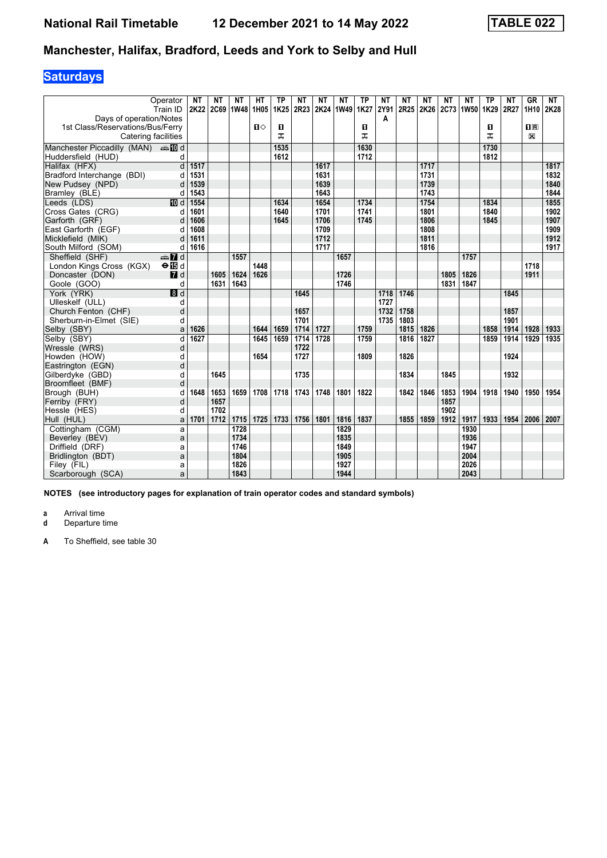# **Saturdays**

|                                                             | Operator                  | <b>NT</b>    | NΤ        | NΤ   | HТ           | <b>TP</b>    | ΝT   | NΤ           | NΤ             | <b>TP</b>    | ΝT   | NΤ   | NΤ           | ΝT   | NΤ             | <b>TP</b>    | <b>NT</b> | <b>GR</b>   | NT           |
|-------------------------------------------------------------|---------------------------|--------------|-----------|------|--------------|--------------|------|--------------|----------------|--------------|------|------|--------------|------|----------------|--------------|-----------|-------------|--------------|
|                                                             | Train ID                  | 2K22         | 2C69 1W48 |      | 1H05         | 1K25         | 2R23 |              | 2K24 1W49 1K27 |              | 2Y91 | 2R25 |              |      | 2K26 2C73 1W50 | 1K29 2R27    |           |             | 1H10 2K28    |
| Days of operation/Notes<br>1st Class/Reservations/Bus/Ferry |                           |              |           |      | $\mathbf{u}$ | п            |      |              |                | O            | A    |      |              |      |                | O            |           | $n_{\rm R}$ |              |
| Catering facilities                                         |                           |              |           |      |              | ᠼ            |      |              |                | ᠼ            |      |      |              |      |                | ᠼ            |           | X           |              |
|                                                             |                           |              |           |      |              |              |      |              |                |              |      |      |              |      |                |              |           |             |              |
| Manchester Piccadilly (MAN) $\oplus \blacksquare$ d         |                           |              |           |      |              | 1535         |      |              |                | 1630         |      |      |              |      |                | 1730         |           |             |              |
| Huddersfield (HUD)                                          | d                         |              |           |      |              | 1612         |      |              |                | 1712         |      |      |              |      |                | 1812         |           |             |              |
| Halifax (HFX)                                               | d                         | 1517         |           |      |              |              |      | 1617         |                |              |      |      | 1717         |      |                |              |           |             | 1817         |
| Bradford Interchange (BDI)                                  | d                         | 1531         |           |      |              |              |      | 1631<br>1639 |                |              |      |      | 1731<br>1739 |      |                |              |           |             | 1832         |
| New Pudsey (NPD)                                            | d                         | 1539<br>1543 |           |      |              |              |      | 1643         |                |              |      |      | 1743         |      |                |              |           |             | 1840<br>1844 |
| Bramley (BLE)                                               | d                         | 1554         |           |      |              |              |      | 1654         |                |              |      |      | 1754         |      |                |              |           |             |              |
| Leeds (LDS)<br>Cross Gates (CRG)                            | <b>TO</b> d               | 1601         |           |      |              | 1634<br>1640 |      | 1701         |                | 1734<br>1741 |      |      | 1801         |      |                | 1834<br>1840 |           |             | 1855<br>1902 |
| Garforth (GRF)                                              | d<br>d                    | 1606         |           |      |              | 1645         |      | 1706         |                | 1745         |      |      | 1806         |      |                | 1845         |           |             | 1907         |
| East Garforth (EGF)                                         |                           | 1608         |           |      |              |              |      | 1709         |                |              |      |      | 1808         |      |                |              |           |             | 1909         |
| Micklefield (MIK)                                           | d                         | 1611         |           |      |              |              |      | 1712         |                |              |      |      | 1811         |      |                |              |           |             | 1912         |
| South Milford (SOM)                                         | d                         | 1616         |           |      |              |              |      | 1717         |                |              |      |      | 1816         |      |                |              |           |             | 1917         |
| Sheffield (SHF)                                             | $\oplus$ 7 d              |              |           | 1557 |              |              |      |              | 1657           |              |      |      |              |      | 1757           |              |           |             |              |
| London Kings Cross (KGX)                                    | $\Theta$ in d             |              |           |      | 1448         |              |      |              |                |              |      |      |              |      |                |              |           | 1718        |              |
| Doncaster (DON)                                             | $\blacksquare$ d          |              | 1605      | 1624 | 1626         |              |      |              | 1726           |              |      |      |              | 1805 | 1826           |              |           | 1911        |              |
| Goole (GOO)                                                 | d                         |              | 1631      | 1643 |              |              |      |              | 1746           |              |      |      |              | 1831 | 1847           |              |           |             |              |
| York (YRK)                                                  | $\overline{\mathbf{B}}$ d |              |           |      |              |              | 1645 |              |                |              | 1718 | 1746 |              |      |                |              | 1845      |             |              |
| Ulleskelf (ULL)                                             | d                         |              |           |      |              |              |      |              |                |              | 1727 |      |              |      |                |              |           |             |              |
| Church Fenton (CHF)                                         | d                         |              |           |      |              |              | 1657 |              |                |              | 1732 | 1758 |              |      |                |              | 1857      |             |              |
| Sherburn-in-Elmet (SIE)                                     | d                         |              |           |      |              |              | 1701 |              |                |              | 1735 | 1803 |              |      |                |              | 1901      |             |              |
| Selby (SBY)                                                 | a                         | 1626         |           |      | 1644         | 1659         | 1714 | 1727         |                | 1759         |      | 1815 | 1826         |      |                | 1858         | 1914      | 1928        | 1933         |
| Selby (SBY)                                                 | d                         | 1627         |           |      | 1645         | 1659         | 1714 | 1728         |                | 1759         |      | 1816 | 1827         |      |                | 1859         | 1914      | 1929        | 1935         |
| Wressle (WRS)                                               | d                         |              |           |      |              |              | 1722 |              |                |              |      |      |              |      |                |              |           |             |              |
| Howden (HOW)                                                | d                         |              |           |      | 1654         |              | 1727 |              |                | 1809         |      | 1826 |              |      |                |              | 1924      |             |              |
| Eastrington (EGN)                                           | d                         |              |           |      |              |              |      |              |                |              |      |      |              |      |                |              |           |             |              |
| Gilberdyke (GBD)                                            | d                         |              | 1645      |      |              |              | 1735 |              |                |              |      | 1834 |              | 1845 |                |              | 1932      |             |              |
| Broomfleet (BMF)                                            | d                         |              |           |      |              |              |      |              |                |              |      |      |              |      |                |              |           |             |              |
| Brough (BUH)                                                | d                         | 1648         | 1653      | 1659 | 1708         | 1718         | 1743 | 1748         | 1801           | 1822         |      | 1842 | 1846         | 1853 | 1904           | 1918         | 1940      | 1950        | 1954         |
| Ferriby (FRY)                                               | d                         |              | 1657      |      |              |              |      |              |                |              |      |      |              | 1857 |                |              |           |             |              |
| Hessle (HES)                                                | d                         |              | 1702      |      |              |              |      |              |                |              |      |      |              | 1902 |                |              |           |             |              |
| Hull (HUL)                                                  | a                         | 1701         | 1712      | 1715 | 1725         | 1733         | 1756 | 1801         | 1816           | 1837         |      | 1855 | 1859         | 1912 | 1917           | 1933         | 1954      | 2006        | 2007         |
| Cottingham (CGM)                                            | a                         |              |           | 1728 |              |              |      |              | 1829           |              |      |      |              |      | 1930           |              |           |             |              |
| Beverley (BEV)                                              | a                         |              |           | 1734 |              |              |      |              | 1835           |              |      |      |              |      | 1936           |              |           |             |              |
| Driffield (DRF)                                             | a                         |              |           | 1746 |              |              |      |              | 1849           |              |      |      |              |      | 1947           |              |           |             |              |
| Bridlington (BDT)                                           | a                         |              |           | 1804 |              |              |      |              | 1905           |              |      |      |              |      | 2004           |              |           |             |              |
| Filey (FIL)                                                 | a                         |              |           | 1826 |              |              |      |              | 1927           |              |      |      |              |      | 2026           |              |           |             |              |
| Scarborough (SCA)                                           | a                         |              |           | 1843 |              |              |      |              | 1944           |              |      |      |              |      | 2043           |              |           |             |              |

**NOTES (see introductory pages for explanation of train operator codes and standard symbols)**

**a** Arrival time<br>**d** Departure t

**d** Departure time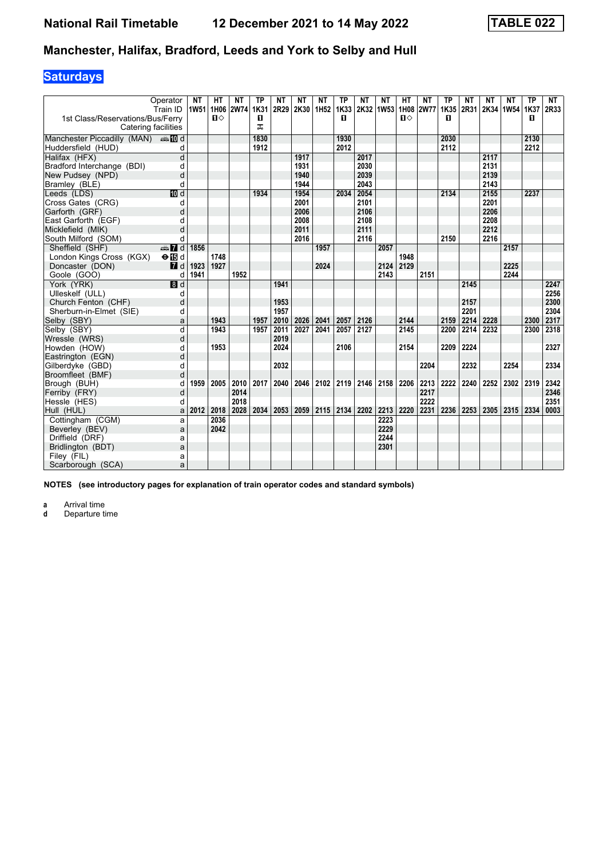# **Saturdays**

|                                           | Operator<br>Train ID      | NΤ   | НΤ<br>1W51 1H06 2W74 | NΤ   | ТP<br>1K31 | NΤ<br>2R29 | <b>NT</b><br>2K30 1H52 | NΤ   | ТP<br>1K33 | ΝT<br>2K32 1W53 | NΤ           | HТ           | <b>NT</b><br>1H08 2W77 | <b>TP</b><br>1K35 | NΤ<br>2R31 | NΤ   | <b>NT</b><br>2K34 1W54 1K37 | ТP   | NT<br>2R33   |
|-------------------------------------------|---------------------------|------|----------------------|------|------------|------------|------------------------|------|------------|-----------------|--------------|--------------|------------------------|-------------------|------------|------|-----------------------------|------|--------------|
| 1st Class/Reservations/Bus/Ferry          |                           |      | $\mathbf{u}$         |      | O          |            |                        |      | п          |                 |              | $\mathbf{u}$ |                        | п                 |            |      |                             | п    |              |
| Catering facilities                       |                           |      |                      |      | ᠼ          |            |                        |      |            |                 |              |              |                        |                   |            |      |                             |      |              |
| Manchester Piccadilly (MAN) $\oplus$ 10 d |                           |      |                      |      | 1830       |            |                        |      | 1930       |                 |              |              |                        | 2030              |            |      |                             | 2130 |              |
| Huddersfield (HUD)                        | d                         |      |                      |      | 1912       |            |                        |      | 2012       |                 |              |              |                        | 2112              |            |      |                             | 2212 |              |
| Halifax (HFX)                             | $\overline{\mathsf{d}}$   |      |                      |      |            |            | 1917                   |      |            | 2017            |              |              |                        |                   |            | 2117 |                             |      |              |
| Bradford Interchange (BDI)                | d                         |      |                      |      |            |            | 1931                   |      |            | 2030            |              |              |                        |                   |            | 2131 |                             |      |              |
| New Pudsey (NPD)                          | d                         |      |                      |      |            |            | 1940                   |      |            | 2039            |              |              |                        |                   |            | 2139 |                             |      |              |
| Bramley (BLE)                             | d                         |      |                      |      |            |            | 1944                   |      |            | 2043            |              |              |                        |                   |            | 2143 |                             |      |              |
| Leeds (LDS)                               | 10d                       |      |                      |      | 1934       |            | 1954                   |      | 2034       | 2054            |              |              |                        | 2134              |            | 2155 |                             | 2237 |              |
| Cross Gates (CRG)                         | d                         |      |                      |      |            |            | 2001                   |      |            | 2101            |              |              |                        |                   |            | 2201 |                             |      |              |
| Garforth (GRF)                            | d                         |      |                      |      |            |            | 2006                   |      |            | 2106            |              |              |                        |                   |            | 2206 |                             |      |              |
| East Garforth (EGF)                       | d                         |      |                      |      |            |            | 2008                   |      |            | 2108            |              |              |                        |                   |            | 2208 |                             |      |              |
| Micklefield (MIK)                         | d                         |      |                      |      |            |            | 2011                   |      |            | 2111            |              |              |                        |                   |            | 2212 |                             |      |              |
| South Milford (SOM)                       | d                         |      |                      |      |            |            | 2016                   |      |            | 2116            |              |              |                        | 2150              |            | 2216 |                             |      |              |
| Sheffield (SHF)                           | $\oplus$ 7 d              | 1856 |                      |      |            |            |                        | 1957 |            |                 | 2057         |              |                        |                   |            |      | 2157                        |      |              |
| London Kings Cross (KGX)                  | $\Theta$ is d             |      | 1748                 |      |            |            |                        |      |            |                 |              | 1948         |                        |                   |            |      |                             |      |              |
| Doncaster (DON)                           | $\blacksquare$ d          | 1923 | 1927                 |      |            |            |                        | 2024 |            |                 | 2124         | 2129         |                        |                   |            |      | 2225                        |      |              |
| Goole (GOO)                               | d                         | 1941 |                      | 1952 |            |            |                        |      |            |                 | 2143         |              | 2151                   |                   |            |      | 2244                        |      |              |
| York (YRK)                                | $\overline{\mathbf{B}}$ d |      |                      |      |            | 1941       |                        |      |            |                 |              |              |                        |                   | 2145       |      |                             |      | 2247         |
| Ulleskelf (ULL)                           | d                         |      |                      |      |            |            |                        |      |            |                 |              |              |                        |                   |            |      |                             |      | 2256         |
| Church Fenton (CHF)                       | d                         |      |                      |      |            | 1953       |                        |      |            |                 |              |              |                        |                   | 2157       |      |                             |      | 2300         |
| Sherburn-in-Elmet (SIE)                   | d                         |      |                      |      |            | 1957       |                        |      |            |                 |              |              |                        |                   | 2201       |      |                             |      | 2304         |
| Selby (SBY)                               | a                         |      | 1943                 |      | 1957       | 2010       | 2026                   | 2041 | 2057       | 2126            |              | 2144         |                        | 2159              | 2214       | 2228 |                             | 2300 | 2317         |
| Selby (SBY)                               | d                         |      | 1943                 |      | 1957       | 2011       | 2027                   | 2041 | 2057       | 2127            |              | 2145         |                        | 2200              | 2214       | 2232 |                             | 2300 | 2318         |
| Wressle (WRS)                             | d                         |      |                      |      |            | 2019       |                        |      |            |                 |              |              |                        |                   |            |      |                             |      |              |
| Howden (HOW)                              | d                         |      | 1953                 |      |            | 2024       |                        |      | 2106       |                 |              | 2154         |                        | 2209              | 2224       |      |                             |      | 2327         |
| Eastrington (EGN)                         | d                         |      |                      |      |            |            |                        |      |            |                 |              |              |                        |                   |            |      |                             |      |              |
| Gilberdyke (GBD)                          | d                         |      |                      |      |            | 2032       |                        |      |            |                 |              |              | 2204                   |                   | 2232       |      | 2254                        |      | 2334         |
| Broomfleet (BMF)                          | d                         |      |                      |      |            |            |                        |      |            |                 |              |              |                        |                   |            |      |                             |      |              |
| Brough (BUH)                              | d                         | 1959 | 2005                 | 2010 | 2017       | 2040       | 2046                   | 2102 | 2119       | 2146            | 2158         | 2206         | 2213                   | 2222              | 2240       | 2252 | 2302                        | 2319 | 2342         |
| Ferriby (FRY)                             | d                         |      |                      | 2014 |            |            |                        |      |            |                 |              |              | 2217                   |                   |            |      |                             |      | 2346         |
| Hessle (HES)                              | d                         |      |                      | 2018 |            |            |                        |      |            |                 |              |              | 2222<br>2231           | 2236              |            |      |                             |      | 2351<br>0003 |
| Hull (HUL)                                | a                         | 2012 | 2018                 | 2028 | 2034       | 2053       | 2059                   | 2115 | 2134       | 2202            | 2213<br>2223 | 2220         |                        |                   | 2253       | 2305 | 2315                        | 2334 |              |
| Cottingham (CGM)                          | a                         |      | 2036                 |      |            |            |                        |      |            |                 | 2229         |              |                        |                   |            |      |                             |      |              |
| Beverley (BEV)                            | a                         |      | 2042                 |      |            |            |                        |      |            |                 | 2244         |              |                        |                   |            |      |                             |      |              |
| Driffield (DRF)                           | a                         |      |                      |      |            |            |                        |      |            |                 | 2301         |              |                        |                   |            |      |                             |      |              |
| Bridlington (BDT)                         | a                         |      |                      |      |            |            |                        |      |            |                 |              |              |                        |                   |            |      |                             |      |              |
| Filey (FIL)                               | a                         |      |                      |      |            |            |                        |      |            |                 |              |              |                        |                   |            |      |                             |      |              |
| Scarborough (SCA)                         | a                         |      |                      |      |            |            |                        |      |            |                 |              |              |                        |                   |            |      |                             |      |              |

**NOTES (see introductory pages for explanation of train operator codes and standard symbols)**

**a** Arrival time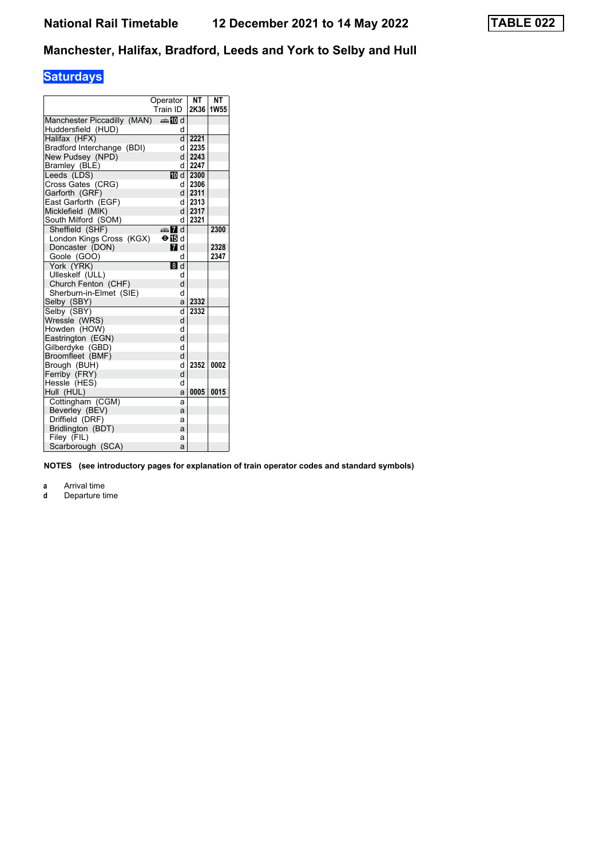# **Saturdays**

|                             | Operator                  | NT        | NΤ          |
|-----------------------------|---------------------------|-----------|-------------|
|                             | Train ID                  | 2K36      | <b>1W55</b> |
| Manchester Piccadilly (MAN) | <b>⊯Md</b>                |           |             |
| Huddersfield (HUD)          | d                         |           |             |
| Halifax (HFX)               |                           | d 2221    |             |
| Bradford Interchange (BDI)  | d                         | 2235      |             |
| New Pudsey (NPD)            | d l                       | 2243      |             |
| Bramley (BLE)               | d                         | 2247      |             |
| Leeds (LDS)                 |                           | TO d 2300 |             |
| Cross Gates (CRG)           |                           | d 2306    |             |
| Garforth (GRF)              |                           | $d$ 2311  |             |
| East Garforth (EGF)         |                           | d 2313    |             |
| Micklefield (MIK)           |                           | d 2317    |             |
| South Milford (SOM)         | d                         | 2321      |             |
| Sheffield (SHF)             | <b>AD</b> d               |           | 2300        |
| London Kings Cross (KGX)    | $\Theta$ is d             |           |             |
| Doncaster (DON)             | $I$ d                     |           | 2328        |
| Goole (GOO)                 | d                         |           | 2347        |
| York (YRK)                  | $\overline{\mathbf{8}}$ d |           |             |
| Ulleskelf (ULL)             | d                         |           |             |
| Church Fenton (CHF)         | d                         |           |             |
| Sherburn-in-Elmet (SIE)     | d                         |           |             |
| Selby (SBY)                 | a                         | 2332      |             |
| Selby (SBY)                 | d                         | 2332      |             |
| Wressle (WRS)               | d                         |           |             |
| Howden (HOW)                | d                         |           |             |
| Eastrington (EGN)           | d                         |           |             |
| Gilberdyke (GBD)            | d                         |           |             |
| Broomfleet (BMF)            | d                         |           |             |
| Brough (BUH)                | d                         | 2352      | 0002        |
| Ferriby (FRY)               | d                         |           |             |
| Hessle (HES)                | d                         |           |             |
| Hull (HUL)                  | a                         | 0005      | 0015        |
| Cottingham (CGM)            | a                         |           |             |
| Beverley (BEV)              | a                         |           |             |
| Driffield (DRF)             | a                         |           |             |
| Bridlington (BDT)           | a                         |           |             |
| Filey (FIL)                 | а                         |           |             |
| Scarborough (SCA)           | a                         |           |             |

**NOTES (see introductory pages for explanation of train operator codes and standard symbols)**

**a** Arrival time<br>**d** Departure t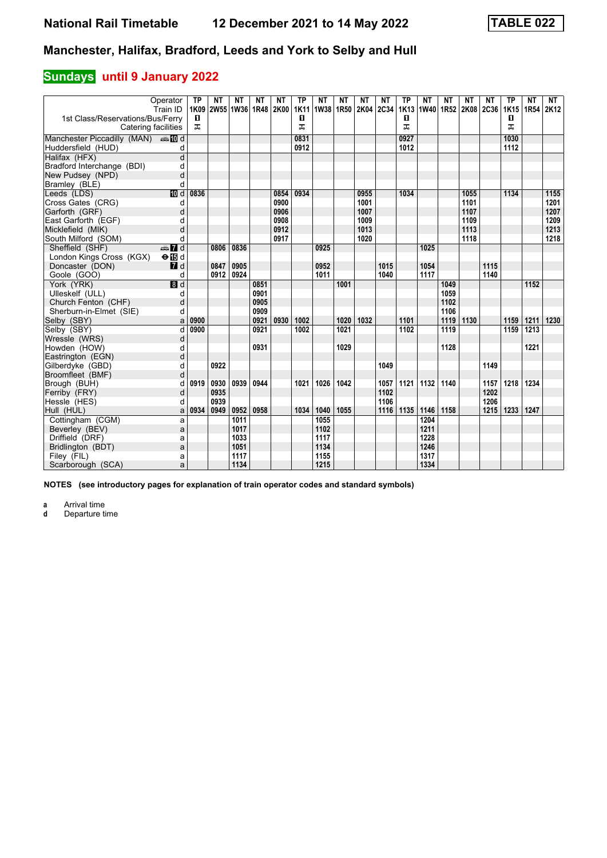### **Sundays** until 9 January 2022

|                                           | Operator<br>Train ID    | <b>TP</b><br>1K09 | ΝT<br>2W55 1W36 1R48 2K00 | <b>NT</b>    | NΤ   | <b>NT</b> | <b>TP</b><br><b>1K11</b> | <b>NT</b><br>1W38 1R50 | NΤ               | <b>NT</b><br>2K04 2C34 | NΤ           | <b>TP</b><br>1K13 | NΤ<br>1W40 1R52 2K08 2C36 | NΤ   | NΤ   | <b>NT</b>    | <b>TP</b><br>1K15 | <b>NT</b><br>1R54 | <b>NT</b><br>2K12 |
|-------------------------------------------|-------------------------|-------------------|---------------------------|--------------|------|-----------|--------------------------|------------------------|------------------|------------------------|--------------|-------------------|---------------------------|------|------|--------------|-------------------|-------------------|-------------------|
| 1st Class/Reservations/Bus/Ferry          |                         | D.                |                           |              |      |           | 0                        |                        |                  |                        |              | 0                 |                           |      |      |              | 0                 |                   |                   |
| Catering facilities                       |                         | ᠼ                 |                           |              |      |           | ᠼ                        |                        |                  |                        |              | ᠼ                 |                           |      |      |              | ᠼ                 |                   |                   |
|                                           |                         |                   |                           |              |      |           |                          |                        |                  |                        |              |                   |                           |      |      |              |                   |                   |                   |
| Manchester Piccadilly (MAN) $\oplus$ 10 d |                         |                   |                           |              |      |           | 0831                     |                        |                  |                        |              | 0927              |                           |      |      |              | 1030              |                   |                   |
| Huddersfield (HUD)                        | d                       |                   |                           |              |      |           | 0912                     |                        |                  |                        |              | 1012              |                           |      |      |              | 1112              |                   |                   |
| Halifax (HFX)                             | $\overline{\mathsf{d}}$ |                   |                           |              |      |           |                          |                        |                  |                        |              |                   |                           |      |      |              |                   |                   |                   |
| Bradford Interchange (BDI)                | d                       |                   |                           |              |      |           |                          |                        |                  |                        |              |                   |                           |      |      |              |                   |                   |                   |
| New Pudsey (NPD)                          | d                       |                   |                           |              |      |           |                          |                        |                  |                        |              |                   |                           |      |      |              |                   |                   |                   |
| Bramley (BLE)                             | d                       |                   |                           |              |      |           |                          |                        |                  |                        |              |                   |                           |      |      |              |                   |                   |                   |
| Leeds (LDS)                               | $\overline{m}$ d        | 0836              |                           |              |      | 0854      | 0934                     |                        |                  | 0955                   |              | 1034              |                           |      | 1055 |              | 1134              |                   | 1155              |
| Cross Gates (CRG)                         | d                       |                   |                           |              |      | 0900      |                          |                        |                  | 1001                   |              |                   |                           |      | 1101 |              |                   |                   | 1201              |
| Garforth (GRF)                            | d                       |                   |                           |              |      | 0906      |                          |                        |                  | 1007                   |              |                   |                           |      | 1107 |              |                   |                   | 1207              |
| East Garforth (EGF)                       | d                       |                   |                           |              |      | 0908      |                          |                        |                  | 1009                   |              |                   |                           |      | 1109 |              |                   |                   | 1209              |
| Micklefield (MIK)                         | d                       |                   |                           |              |      | 0912      |                          |                        |                  | 1013                   |              |                   |                           |      | 1113 |              |                   |                   | 1213              |
| South Milford (SOM)                       | d                       |                   |                           |              |      | 0917      |                          |                        |                  | 1020                   |              |                   |                           |      | 1118 |              |                   |                   | 1218              |
| Sheffield (SHF)                           | $\oplus \blacksquare$ d |                   | 0806                      | 0836         |      |           |                          | 0925                   |                  |                        |              |                   | 1025                      |      |      |              |                   |                   |                   |
| London Kings Cross (KGX)                  | $\Theta$ is d           |                   |                           |              |      |           |                          |                        |                  |                        |              |                   |                           |      |      |              |                   |                   |                   |
| Doncaster (DON)                           | $I$ d                   |                   | 0847                      | 0905         |      |           |                          | 0952                   |                  |                        | 1015         |                   | 1054                      |      |      | 1115         |                   |                   |                   |
| Goole (GOO)                               | d                       |                   | 0912                      | 0924         |      |           |                          | 1011                   |                  |                        | 1040         |                   | 1117                      |      |      | 1140         |                   |                   |                   |
| York (YRK)                                | $\blacksquare$          |                   |                           |              | 0851 |           |                          |                        | 1001             |                        |              |                   |                           | 1049 |      |              |                   | 1152              |                   |
| Ulleskelf (ULL)                           | d                       |                   |                           |              | 0901 |           |                          |                        |                  |                        |              |                   |                           | 1059 |      |              |                   |                   |                   |
| Church Fenton (CHF)                       | d                       |                   |                           |              | 0905 |           |                          |                        |                  |                        |              |                   |                           | 1102 |      |              |                   |                   |                   |
| Sherburn-in-Elmet (SIE)                   | d                       |                   |                           |              | 0909 |           |                          |                        |                  |                        |              |                   |                           | 1106 |      |              |                   |                   |                   |
| Selby (SBY)                               | a                       | 0900              |                           |              | 0921 | 0930      | 1002                     |                        | 1020             | 1032                   |              | 1101              |                           | 1119 | 1130 |              | 1159              | 1211              | 1230              |
| Selby (SBY)                               | d                       | 0900              |                           |              | 0921 |           | $\frac{1002}{ }$         |                        | $\frac{1021}{2}$ |                        |              | 1102              |                           | 1119 |      |              | 1159              | 1213              |                   |
| Wressle (WRS)                             | d                       |                   |                           |              |      |           |                          |                        |                  |                        |              |                   |                           |      |      |              |                   |                   |                   |
| Howden (HOW)                              | d                       |                   |                           |              | 0931 |           |                          |                        | 1029             |                        |              |                   |                           | 1128 |      |              |                   | 1221              |                   |
| Eastrington (EGN)                         | d                       |                   |                           |              |      |           |                          |                        |                  |                        |              |                   |                           |      |      |              |                   |                   |                   |
| Gilberdyke (GBD)                          | d                       |                   | 0922                      |              |      |           |                          |                        |                  |                        | 1049         |                   |                           |      |      | 1149         |                   |                   |                   |
| Broomfleet (BMF)                          | d                       |                   |                           |              |      |           |                          |                        |                  |                        |              |                   |                           |      |      |              |                   |                   |                   |
| Brough (BUH)                              | d                       | 0919              | 0930                      | 0939         | 0944 |           | 1021                     | 1026                   | 1042             |                        | 1057         | 1121              | 1132                      | 1140 |      | 1157         | 1218              | 1234              |                   |
| Ferriby (FRY)                             | d                       |                   | 0935<br>0939              |              |      |           |                          |                        |                  |                        | 1102         |                   |                           |      |      | 1202<br>1206 |                   |                   |                   |
| Hessle (HES)                              | d                       | 0934              | 0949                      | 0952         | 0958 |           | 1034                     | 1040                   | 1055             |                        | 1106<br>1116 | 1135              | 1146                      | 1158 |      | 1215         | 1233              | 1247              |                   |
| Hull (HUL)                                | a                       |                   |                           |              |      |           |                          |                        |                  |                        |              |                   |                           |      |      |              |                   |                   |                   |
| Cottingham (CGM)                          | a                       |                   |                           | 1011         |      |           |                          | 1055                   |                  |                        |              |                   | 1204                      |      |      |              |                   |                   |                   |
| Beverley (BEV)                            | a                       |                   |                           | 1017         |      |           |                          | 1102                   |                  |                        |              |                   | 1211<br>1228              |      |      |              |                   |                   |                   |
| Driffield (DRF)                           | a                       |                   |                           | 1033<br>1051 |      |           |                          | 1117<br>1134           |                  |                        |              |                   | 1246                      |      |      |              |                   |                   |                   |
| Bridlington (BDT)                         | a                       |                   |                           | 1117         |      |           |                          | 1155                   |                  |                        |              |                   | 1317                      |      |      |              |                   |                   |                   |
| Filey (FIL)<br>Scarborough (SCA)          | a                       |                   |                           | 1134         |      |           |                          | 1215                   |                  |                        |              |                   | 1334                      |      |      |              |                   |                   |                   |
|                                           | a                       |                   |                           |              |      |           |                          |                        |                  |                        |              |                   |                           |      |      |              |                   |                   |                   |

**NOTES (see introductory pages for explanation of train operator codes and standard symbols)**

**a** Arrival time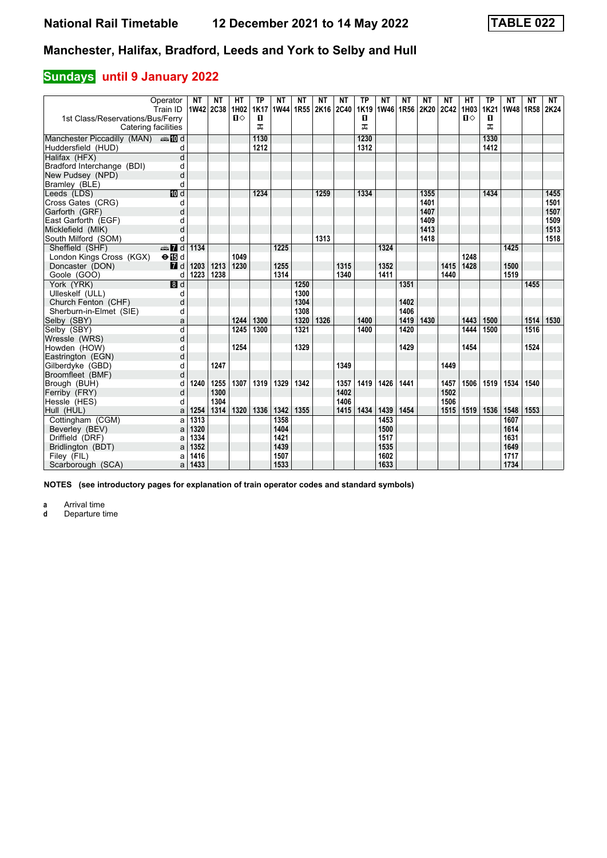### **Sundays** until 9 January 2022

|                                           | Operator<br>Train ID          | <b>NT</b> | NΤ<br>1W42 2C38 1H02 | HТ   | ТP<br><b>1K17</b> | NΤ<br>1W44 1R55 | NΤ   | NΤ<br>2K16 2C40 | <b>NT</b> | <b>TP</b><br>1K19 | NΤ<br>1W46 1R56 | NΤ   | NΤ<br>2K20 2C42 | ΝT   | HТ<br>1H03   | ТP<br>1K21 | NΤ<br>1W48 1R58 | ΝT   | NT<br>2K24 |
|-------------------------------------------|-------------------------------|-----------|----------------------|------|-------------------|-----------------|------|-----------------|-----------|-------------------|-----------------|------|-----------------|------|--------------|------------|-----------------|------|------------|
| 1st Class/Reservations/Bus/Ferry          |                               |           |                      | $\P$ | П                 |                 |      |                 |           | п                 |                 |      |                 |      | $\mathbf{u}$ | п          |                 |      |            |
|                                           | Catering facilities           |           |                      |      | ᅚ                 |                 |      |                 |           | ㅈ                 |                 |      |                 |      |              | ㅈ          |                 |      |            |
| Manchester Piccadilly (MAN) $\oplus$ 10 d |                               |           |                      |      | 1130              |                 |      |                 |           | 1230              |                 |      |                 |      |              | 1330       |                 |      |            |
| Huddersfield (HUD)                        | d                             |           |                      |      | 1212              |                 |      |                 |           | 1312              |                 |      |                 |      |              | 1412       |                 |      |            |
| Halifax (HFX)                             | $\overline{\mathsf{d}}$       |           |                      |      |                   |                 |      |                 |           |                   |                 |      |                 |      |              |            |                 |      |            |
| Bradford Interchange (BDI)                | d                             |           |                      |      |                   |                 |      |                 |           |                   |                 |      |                 |      |              |            |                 |      |            |
| New Pudsey (NPD)                          | d                             |           |                      |      |                   |                 |      |                 |           |                   |                 |      |                 |      |              |            |                 |      |            |
| Bramley (BLE)                             | d                             |           |                      |      |                   |                 |      |                 |           |                   |                 |      |                 |      |              |            |                 |      |            |
| Leeds (LDS)                               | $\overline{m}$ d              |           |                      |      | 1234              |                 |      | 1259            |           | 1334              |                 |      | 1355            |      |              | 1434       |                 |      | 1455       |
| Cross Gates (CRG)                         | d                             |           |                      |      |                   |                 |      |                 |           |                   |                 |      | 1401            |      |              |            |                 |      | 1501       |
| Garforth (GRF)                            | d                             |           |                      |      |                   |                 |      |                 |           |                   |                 |      | 1407            |      |              |            |                 |      | 1507       |
| East Garforth (EGF)                       | d                             |           |                      |      |                   |                 |      |                 |           |                   |                 |      | 1409            |      |              |            |                 |      | 1509       |
| Micklefield (MIK)                         | d                             |           |                      |      |                   |                 |      |                 |           |                   |                 |      | 1413            |      |              |            |                 |      | 1513       |
| South Milford (SOM)                       | d                             |           |                      |      |                   |                 |      | 1313            |           |                   |                 |      | 1418            |      |              |            |                 |      | 1518       |
| Sheffield (SHF)                           | $\frac{1}{2}$ $\frac{1}{2}$ d | 1134      |                      |      |                   | 1225            |      |                 |           |                   | 1324            |      |                 |      |              |            | 1425            |      |            |
| London Kings Cross (KGX)                  | $\Theta$ is d                 |           |                      | 1049 |                   |                 |      |                 |           |                   |                 |      |                 |      | 1248         |            |                 |      |            |
| Doncaster (DON)                           | $I$ d                         | 1203      | 1213                 | 1230 |                   | 1255            |      |                 | 1315      |                   | 1352            |      |                 | 1415 | 1428         |            | 1500            |      |            |
| Goole (GOO)                               | d                             | 1223      | 1238                 |      |                   | 1314            |      |                 | 1340      |                   | 1411            |      |                 | 1440 |              |            | 1519            |      |            |
| York (YRK)                                | 3d                            |           |                      |      |                   |                 | 1250 |                 |           |                   |                 | 1351 |                 |      |              |            |                 | 1455 |            |
| Ulleskelf (ULL)                           | d                             |           |                      |      |                   |                 | 1300 |                 |           |                   |                 |      |                 |      |              |            |                 |      |            |
| Church Fenton (CHF)                       | d                             |           |                      |      |                   |                 | 1304 |                 |           |                   |                 | 1402 |                 |      |              |            |                 |      |            |
| Sherburn-in-Elmet (SIE)                   | d                             |           |                      |      |                   |                 | 1308 |                 |           |                   |                 | 1406 |                 |      |              |            |                 |      |            |
| Selby (SBY)                               | a                             |           |                      | 1244 | 1300              |                 | 1320 | 1326            |           | 1400              |                 | 1419 | 1430            |      | 1443         | 1500       |                 | 1514 | 1530       |
| Selby (SBY)                               | d                             |           |                      | 1245 | 1300              |                 | 1321 |                 |           | 1400              |                 | 1420 |                 |      | 1444         | 1500       |                 | 1516 |            |
| Wressle (WRS)                             | d                             |           |                      |      |                   |                 |      |                 |           |                   |                 |      |                 |      |              |            |                 |      |            |
| Howden (HOW)                              | d                             |           |                      | 1254 |                   |                 | 1329 |                 |           |                   |                 | 1429 |                 |      | 1454         |            |                 | 1524 |            |
| Eastrington (EGN)                         | d                             |           |                      |      |                   |                 |      |                 |           |                   |                 |      |                 |      |              |            |                 |      |            |
| Gilberdyke (GBD)                          | d                             |           | 1247                 |      |                   |                 |      |                 | 1349      |                   |                 |      |                 | 1449 |              |            |                 |      |            |
| Broomfleet (BMF)                          | d                             |           |                      |      |                   |                 |      |                 |           |                   |                 |      |                 |      |              |            |                 |      |            |
| Brough (BUH)                              | d                             | 1240      | 1255                 | 1307 | 1319              | 1329            | 1342 |                 | 1357      | 1419              | 1426            | 1441 |                 | 1457 | 1506         | 1519       | 1534            | 1540 |            |
| Ferriby (FRY)                             | d                             |           | 1300                 |      |                   |                 |      |                 | 1402      |                   |                 |      |                 | 1502 |              |            |                 |      |            |
| Hessle (HES)                              | d                             |           | 1304                 |      |                   |                 |      |                 | 1406      |                   |                 |      |                 | 1506 |              |            |                 |      |            |
| Hull (HUL)                                | a                             | 1254      | 1314                 | 1320 | 1336              | 1342            | 1355 |                 | 1415      | 1434              | 1439            | 1454 |                 | 1515 | 1519         | 1536       | 1548            | 1553 |            |
| Cottingham (CGM)                          | a                             | 1313      |                      |      |                   | 1358            |      |                 |           |                   | 1453            |      |                 |      |              |            | 1607            |      |            |
| Beverley (BEV)                            | a                             | 1320      |                      |      |                   | 1404            |      |                 |           |                   | 1500            |      |                 |      |              |            | 1614            |      |            |
| Driffield (DRF)                           | a                             | 1334      |                      |      |                   | 1421            |      |                 |           |                   | 1517            |      |                 |      |              |            | 1631            |      |            |
| Bridlington (BDT)                         | a                             | 1352      |                      |      |                   | 1439            |      |                 |           |                   | 1535            |      |                 |      |              |            | 1649            |      |            |
| Filey (FIL)                               | a                             | 1416      |                      |      |                   | 1507            |      |                 |           |                   | 1602            |      |                 |      |              |            | 1717            |      |            |
| Scarborough (SCA)                         | a                             | 1433      |                      |      |                   | 1533            |      |                 |           |                   | 1633            |      |                 |      |              |            | 1734            |      |            |

**NOTES (see introductory pages for explanation of train operator codes and standard symbols)**

**a** Arrival time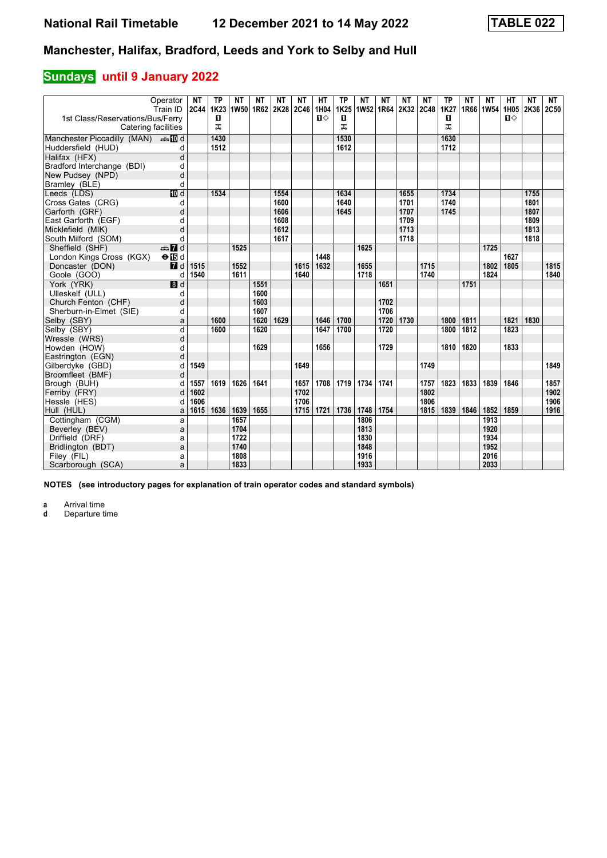### **Sundays** until 9 January 2022

|                                  | Operator<br>Train ID | <b>NT</b><br>2C44 | <b>TP</b><br>1K <sub>23</sub> | <b>NT</b><br> 1W50  1R62  2K28  2C46 | NΤ   | <b>NT</b> | NΤ           | HT<br>1H04   | <b>TP</b><br>1K25 | <b>NT</b><br>1W52 1R64 | NΤ   | <b>NT</b><br>2K32 | <b>NT</b><br><b>2C48</b> | <b>TP</b><br>1K27 | NΤ<br>1R66 1W54 | <b>NT</b>    | HТ<br>1H05 | <b>NT</b><br>2K36 | <b>NT</b><br>2C50 |
|----------------------------------|----------------------|-------------------|-------------------------------|--------------------------------------|------|-----------|--------------|--------------|-------------------|------------------------|------|-------------------|--------------------------|-------------------|-----------------|--------------|------------|-------------------|-------------------|
| 1st Class/Reservations/Bus/Ferry |                      |                   | п                             |                                      |      |           |              | $\mathbf{u}$ | п                 |                        |      |                   |                          | O                 |                 |              | п⇔         |                   |                   |
| Catering facilities              |                      |                   | ᠼ                             |                                      |      |           |              |              | ᠼ                 |                        |      |                   |                          | ᠼ                 |                 |              |            |                   |                   |
| Manchester Piccadilly (MAN) And  |                      |                   | 1430                          |                                      |      |           |              |              | 1530              |                        |      |                   |                          | 1630              |                 |              |            |                   |                   |
| Huddersfield (HUD)               | d                    |                   | 1512                          |                                      |      |           |              |              | 1612              |                        |      |                   |                          | 1712              |                 |              |            |                   |                   |
| Halifax (HFX)                    | d                    |                   |                               |                                      |      |           |              |              |                   |                        |      |                   |                          |                   |                 |              |            |                   |                   |
| Bradford Interchange (BDI)       | d                    |                   |                               |                                      |      |           |              |              |                   |                        |      |                   |                          |                   |                 |              |            |                   |                   |
| New Pudsey (NPD)                 | d                    |                   |                               |                                      |      |           |              |              |                   |                        |      |                   |                          |                   |                 |              |            |                   |                   |
| Bramley (BLE)                    | d                    |                   |                               |                                      |      |           |              |              |                   |                        |      |                   |                          |                   |                 |              |            |                   |                   |
| Leeds (LDS)                      | $\overline{m}$ d     |                   | 1534                          |                                      |      | 1554      |              |              | 1634              |                        |      | 1655              |                          | 1734              |                 |              |            | 1755              |                   |
| Cross Gates (CRG)                | d                    |                   |                               |                                      |      | 1600      |              |              | 1640              |                        |      | 1701              |                          | 1740              |                 |              |            | 1801              |                   |
| Garforth (GRF)                   | d                    |                   |                               |                                      |      | 1606      |              |              | 1645              |                        |      | 1707              |                          | 1745              |                 |              |            | 1807              |                   |
| East Garforth (EGF)              | d                    |                   |                               |                                      |      | 1608      |              |              |                   |                        |      | 1709              |                          |                   |                 |              |            | 1809              |                   |
| Micklefield (MIK)                | d                    |                   |                               |                                      |      | 1612      |              |              |                   |                        |      | 1713              |                          |                   |                 |              |            | 1813              |                   |
| South Milford (SOM)              | d                    |                   |                               |                                      |      | 1617      |              |              |                   |                        |      | 1718              |                          |                   |                 |              |            | 1818              |                   |
| Sheffield (SHF)                  | $\oplus$ 7 d         |                   |                               | 1525                                 |      |           |              |              |                   | 1625                   |      |                   |                          |                   |                 | 1725         |            |                   |                   |
| London Kings Cross (KGX)         | $\Theta$ is d        |                   |                               |                                      |      |           |              | 1448         |                   |                        |      |                   |                          |                   |                 |              | 1627       |                   |                   |
| Doncaster (DON)                  | $\blacksquare$       | 1515              |                               | 1552                                 |      |           | 1615         | 1632         |                   | 1655                   |      |                   | 1715                     |                   |                 | 1802         | 1805       |                   | 1815              |
| Goole (GOO)                      | d                    | 1540              |                               | 1611                                 |      |           | 1640         |              |                   | 1718                   |      |                   | 1740                     |                   |                 | 1824         |            |                   | 1840              |
| York (YRK)                       | $\blacksquare$       |                   |                               |                                      | 1551 |           |              |              |                   |                        | 1651 |                   |                          |                   | 1751            |              |            |                   |                   |
| Ulleskelf (ULL)                  | d                    |                   |                               |                                      | 1600 |           |              |              |                   |                        |      |                   |                          |                   |                 |              |            |                   |                   |
| Church Fenton (CHF)              | d                    |                   |                               |                                      | 1603 |           |              |              |                   |                        | 1702 |                   |                          |                   |                 |              |            |                   |                   |
| Sherburn-in-Elmet (SIE)          | d                    |                   |                               |                                      | 1607 |           |              |              |                   |                        | 1706 |                   |                          |                   |                 |              |            |                   |                   |
| Selby (SBY)                      | a                    |                   | 1600                          |                                      | 1620 | 1629      |              | 1646         | 1700              |                        | 1720 | 1730              |                          | 1800              | 1811            |              | 1821       | 1830              |                   |
| Selby (SBY)                      | d                    |                   | 1600                          |                                      | 1620 |           |              | 1647         | 1700              |                        | 1720 |                   |                          | 1800              | 1812            |              | 1823       |                   |                   |
| Wressle (WRS)                    | d                    |                   |                               |                                      |      |           |              |              |                   |                        |      |                   |                          |                   |                 |              |            |                   |                   |
| Howden (HOW)                     | d                    |                   |                               |                                      | 1629 |           |              | 1656         |                   |                        | 1729 |                   |                          | 1810              | 1820            |              | 1833       |                   |                   |
| Eastrington (EGN)                | d                    |                   |                               |                                      |      |           |              |              |                   |                        |      |                   |                          |                   |                 |              |            |                   |                   |
| Gilberdyke (GBD)                 | d                    | 1549              |                               |                                      |      |           | 1649         |              |                   |                        |      |                   | 1749                     |                   |                 |              |            |                   | 1849              |
| Broomfleet (BMF)                 | d                    |                   |                               |                                      |      |           |              |              |                   |                        |      |                   |                          |                   |                 |              |            |                   |                   |
| Brough (BUH)                     | d                    | 1557              | 1619                          | 1626                                 | 1641 |           | 1657         | 1708         | 1719              | 1734                   | 1741 |                   | 1757                     | 1823              | 1833            | 1839         | 1846       |                   | 1857              |
| Ferriby (FRY)                    | d                    | 1602              |                               |                                      |      |           | 1702<br>1706 |              |                   |                        |      |                   | 1802                     |                   |                 |              |            |                   | 1902              |
| Hessle (HES)                     | d                    | 1606              |                               |                                      |      |           |              |              |                   |                        |      |                   | 1806                     |                   |                 |              |            |                   | 1906<br>1916      |
| Hull (HUL)                       | a                    | 1615              | 1636                          | 1639                                 | 1655 |           | 1715         | 1721         | 1736              | 1748                   | 1754 |                   | 1815                     | 1839              | 1846            | 1852         | 1859       |                   |                   |
| Cottingham (CGM)                 | a                    |                   |                               | 1657<br>1704                         |      |           |              |              |                   | 1806<br>1813           |      |                   |                          |                   |                 | 1913<br>1920 |            |                   |                   |
| Beverley (BEV)                   | a                    |                   |                               | 1722                                 |      |           |              |              |                   | 1830                   |      |                   |                          |                   |                 | 1934         |            |                   |                   |
| Driffield (DRF)                  | a                    |                   |                               | 1740                                 |      |           |              |              |                   | 1848                   |      |                   |                          |                   |                 | 1952         |            |                   |                   |
| Bridlington (BDT)<br>Filey (FIL) | a                    |                   |                               | 1808                                 |      |           |              |              |                   | 1916                   |      |                   |                          |                   |                 | 2016         |            |                   |                   |
| Scarborough (SCA)                | a                    |                   |                               | 1833                                 |      |           |              |              |                   | 1933                   |      |                   |                          |                   |                 | 2033         |            |                   |                   |
|                                  | a                    |                   |                               |                                      |      |           |              |              |                   |                        |      |                   |                          |                   |                 |              |            |                   |                   |

**NOTES (see introductory pages for explanation of train operator codes and standard symbols)**

**a** Arrival time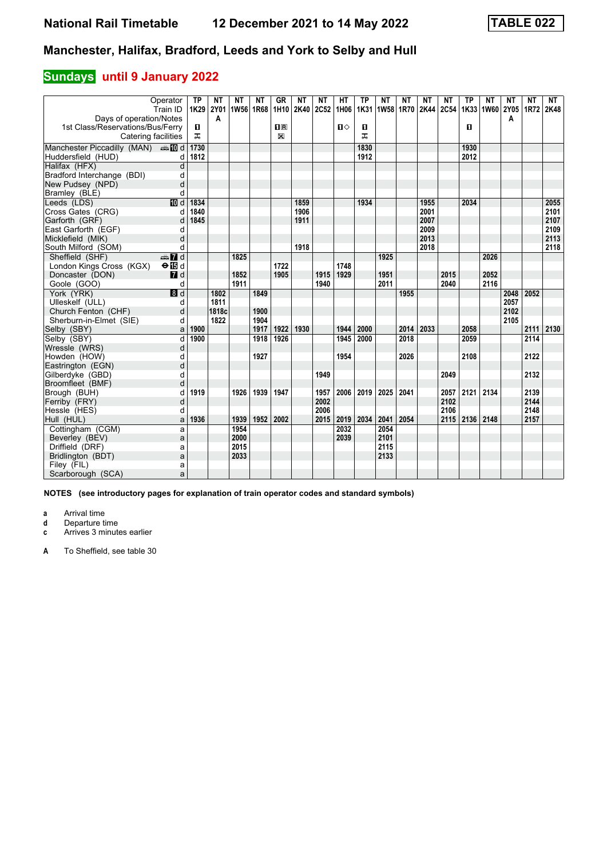#### **Sundays** until 9 January 2022

| Operator<br>Train ID                                |                 | <b>TP</b><br>1K29 | NΤ<br><b>2Y01</b> | <b>NT</b><br>1W56 1R68 | NΤ   | <b>GR</b><br>1H10 2K40 2C52 | ΝT   | NΤ   | HТ<br>1H06   | <b>TP</b><br>1K31 | NΤ<br>1W58 1R70 | NΤ   | NΤ<br>2K44 2C54 | ΝT   | <b>TP</b> | <b>NT</b><br>1K33 1W60 2Y05 | NΤ   | <b>NT</b><br>1R72 | NT<br>2K48 |
|-----------------------------------------------------|-----------------|-------------------|-------------------|------------------------|------|-----------------------------|------|------|--------------|-------------------|-----------------|------|-----------------|------|-----------|-----------------------------|------|-------------------|------------|
| Days of operation/Notes                             |                 |                   | A                 |                        |      |                             |      |      |              |                   |                 |      |                 |      |           |                             | A    |                   |            |
| 1st Class/Reservations/Bus/Ferry                    |                 | $\mathbf{u}$      |                   |                        |      | $\overline{\mathbf{H}}$     |      |      | $\mathbf{u}$ | п                 |                 |      |                 |      | п         |                             |      |                   |            |
| Catering facilities                                 |                 | ᠼ                 |                   |                        |      | X                           |      |      |              | ᠼ                 |                 |      |                 |      |           |                             |      |                   |            |
| Manchester Piccadilly (MAN) $\oplus \blacksquare$ d |                 | 1730              |                   |                        |      |                             |      |      |              | 1830              |                 |      |                 |      | 1930      |                             |      |                   |            |
| Huddersfield (HUD)                                  | d               | 1812              |                   |                        |      |                             |      |      |              | 1912              |                 |      |                 |      | 2012      |                             |      |                   |            |
| Halifax (HFX)                                       | d               |                   |                   |                        |      |                             |      |      |              |                   |                 |      |                 |      |           |                             |      |                   |            |
| Bradford Interchange (BDI)                          | d               |                   |                   |                        |      |                             |      |      |              |                   |                 |      |                 |      |           |                             |      |                   |            |
| New Pudsey (NPD)                                    | d               |                   |                   |                        |      |                             |      |      |              |                   |                 |      |                 |      |           |                             |      |                   |            |
| Bramley (BLE)                                       | d               |                   |                   |                        |      |                             |      |      |              |                   |                 |      |                 |      |           |                             |      |                   |            |
| Leeds (LDS)                                         | <b>TO</b> d     | 1834              |                   |                        |      |                             | 1859 |      |              | 1934              |                 |      | 1955            |      | 2034      |                             |      |                   | 2055       |
| Cross Gates (CRG)                                   | d               | 1840              |                   |                        |      |                             | 1906 |      |              |                   |                 |      | 2001            |      |           |                             |      |                   | 2101       |
| Garforth (GRF)                                      | d               | 1845              |                   |                        |      |                             | 1911 |      |              |                   |                 |      | 2007            |      |           |                             |      |                   | 2107       |
| East Garforth (EGF)                                 | d               |                   |                   |                        |      |                             |      |      |              |                   |                 |      | 2009            |      |           |                             |      |                   | 2109       |
| Micklefield (MIK)                                   | d               |                   |                   |                        |      |                             |      |      |              |                   |                 |      | 2013            |      |           |                             |      |                   | 2113       |
| South Milford (SOM)                                 | d               |                   |                   |                        |      |                             | 1918 |      |              |                   |                 |      | 2018            |      |           |                             |      |                   | 2118       |
| Sheffield (SHF)                                     | $\mathbf{Z}$ d  |                   |                   | 1825                   |      |                             |      |      |              |                   | 1925            |      |                 |      |           | 2026                        |      |                   |            |
| London Kings Cross (KGX)                            | $\Theta$ is d   |                   |                   |                        |      | 1722                        |      |      | 1748         |                   |                 |      |                 |      |           |                             |      |                   |            |
| Doncaster (DON)                                     | $I$ d           |                   |                   | 1852                   |      | 1905                        |      | 1915 | 1929         |                   | 1951            |      |                 | 2015 |           | 2052                        |      |                   |            |
| Goole (GOO)                                         | d               |                   |                   | 1911                   |      |                             |      | 1940 |              |                   | 2011            |      |                 | 2040 |           | 2116                        |      |                   |            |
| York (YRK)                                          | $\overline{8d}$ |                   | 1802              |                        | 1849 |                             |      |      |              |                   |                 | 1955 |                 |      |           |                             | 2048 | 2052              |            |
| Ulleskelf (ULL)                                     | d               |                   | 1811              |                        |      |                             |      |      |              |                   |                 |      |                 |      |           |                             | 2057 |                   |            |
| Church Fenton (CHF)                                 | d               |                   | 1818c             |                        | 1900 |                             |      |      |              |                   |                 |      |                 |      |           |                             | 2102 |                   |            |
| Sherburn-in-Elmet (SIE)                             | d               |                   | 1822              |                        | 1904 |                             |      |      |              |                   |                 |      |                 |      |           |                             | 2105 |                   |            |
| Selby (SBY)                                         | a               | 1900              |                   |                        | 1917 | 1922                        | 1930 |      | 1944         | 2000              |                 | 2014 | 2033            |      | 2058      |                             |      | 2111              | 2130       |
| Selby (SBY)                                         | d               | 1900              |                   |                        | 1918 | 1926                        |      |      | 1945         | 2000              |                 | 2018 |                 |      | 2059      |                             |      | 2114              |            |
| Wressle (WRS)                                       | d               |                   |                   |                        |      |                             |      |      |              |                   |                 |      |                 |      |           |                             |      |                   |            |
| Howden (HOW)                                        | d               |                   |                   |                        | 1927 |                             |      |      | 1954         |                   |                 | 2026 |                 |      | 2108      |                             |      | 2122              |            |
| Eastrington (EGN)                                   | d               |                   |                   |                        |      |                             |      |      |              |                   |                 |      |                 |      |           |                             |      |                   |            |
| Gilberdyke (GBD)                                    | q               |                   |                   |                        |      |                             |      | 1949 |              |                   |                 |      |                 | 2049 |           |                             |      | 2132              |            |
| Broomfleet (BMF)                                    | d               |                   |                   |                        |      |                             |      |      |              |                   |                 |      |                 |      |           |                             |      |                   |            |
| Brough (BUH)                                        | d               | 1919              |                   | 1926                   | 1939 | 1947                        |      | 1957 | 2006         | 2019              | 2025            | 2041 |                 | 2057 | 2121      | 2134                        |      | 2139              |            |
| Ferriby (FRY)                                       | d               |                   |                   |                        |      |                             |      | 2002 |              |                   |                 |      |                 | 2102 |           |                             |      | 2144              |            |
| Hessle (HES)                                        | d               |                   |                   |                        |      |                             |      | 2006 |              |                   |                 |      |                 | 2106 |           |                             |      | 2148              |            |
| Hull (HUL)                                          | a               | 1936              |                   | 1939                   | 1952 | 2002                        |      | 2015 | 2019         | 2034              | 2041            | 2054 |                 | 2115 | 2136      | 2148                        |      | 2157              |            |
| Cottingham (CGM)                                    | a               |                   |                   | 1954                   |      |                             |      |      | 2032         |                   | 2054            |      |                 |      |           |                             |      |                   |            |
| Beverley (BEV)                                      | a               |                   |                   | 2000                   |      |                             |      |      | 2039         |                   | 2101            |      |                 |      |           |                             |      |                   |            |
| Driffield (DRF)                                     | a               |                   |                   | 2015                   |      |                             |      |      |              |                   | 2115            |      |                 |      |           |                             |      |                   |            |
| Bridlington (BDT)                                   | a               |                   |                   | 2033                   |      |                             |      |      |              |                   | 2133            |      |                 |      |           |                             |      |                   |            |
| Filey (FIL)                                         | a               |                   |                   |                        |      |                             |      |      |              |                   |                 |      |                 |      |           |                             |      |                   |            |
| Scarborough (SCA)                                   | a               |                   |                   |                        |      |                             |      |      |              |                   |                 |      |                 |      |           |                             |      |                   |            |

**NOTES (see introductory pages for explanation of train operator codes and standard symbols)**

**a** Arrival time<br>**d** Departure ti

**d** Departure time<br>**c** Arrives 3 minute

Arrives 3 minutes earlier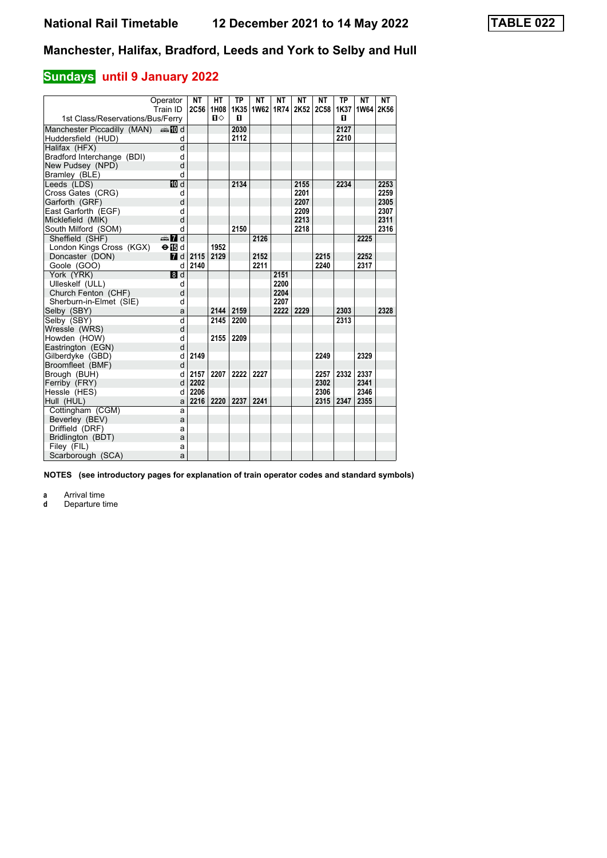# **Sundays** until 9 January 2022

|                                           | Operator<br>Train ID | <b>NT</b><br>2C56 | <b>HT</b><br>1H08 | <b>TP</b> | <b>NT</b><br>1K35 1W62 | <b>NT</b> | <b>NT</b><br>1R74 2K52 2C58 | <b>NT</b> | <b>TP</b><br>1K37 | <b>NT</b><br>1W64 | <b>NT</b><br>2K56 |
|-------------------------------------------|----------------------|-------------------|-------------------|-----------|------------------------|-----------|-----------------------------|-----------|-------------------|-------------------|-------------------|
| 1st Class/Reservations/Bus/Ferry          |                      |                   | $\mathbf{u}$      | п         |                        |           |                             |           | п                 |                   |                   |
| Manchester Piccadilly (MAN) $\oplus$ 10 d |                      |                   |                   | 2030      |                        |           |                             |           | 2127              |                   |                   |
| Huddersfield (HUD)                        | d                    |                   |                   | 2112      |                        |           |                             |           | 2210              |                   |                   |
| Halifax (HFX)                             | $\mathsf{d}$         |                   |                   |           |                        |           |                             |           |                   |                   |                   |
| Bradford Interchange (BDI)                | d                    |                   |                   |           |                        |           |                             |           |                   |                   |                   |
| New Pudsey (NPD)                          | d                    |                   |                   |           |                        |           |                             |           |                   |                   |                   |
| Bramley (BLE)                             | d                    |                   |                   |           |                        |           |                             |           |                   |                   |                   |
| Leeds (LDS)                               | <b>ID</b> d          |                   |                   | 2134      |                        |           | 2155                        |           | 2234              |                   | 2253              |
| Cross Gates (CRG)                         | d                    |                   |                   |           |                        |           | 2201                        |           |                   |                   | 2259              |
| Garforth (GRF)                            | d                    |                   |                   |           |                        |           | 2207                        |           |                   |                   | 2305              |
| East Garforth (EGF)                       | d                    |                   |                   |           |                        |           | 2209                        |           |                   |                   | 2307              |
| Micklefield (MIK)                         | d                    |                   |                   |           |                        |           | 2213                        |           |                   |                   | 2311              |
| South Milford (SOM)                       | d                    |                   |                   | 2150      |                        |           | 2218                        |           |                   |                   | 2316              |
| Sheffield (SHF)                           | $\oplus$ 7 d         |                   |                   |           | 2126                   |           |                             |           |                   | 2225              |                   |
| London Kings Cross (KGX)                  | $\Theta$ is d        |                   | 1952              |           |                        |           |                             |           |                   |                   |                   |
| Doncaster (DON)                           | <b>7</b> d           | 2115              | 2129              |           | 2152                   |           |                             | 2215      |                   | 2252              |                   |
| Goole (GOO)                               | d                    | 2140              |                   |           | 2211                   |           |                             | 2240      |                   | 2317              |                   |
| York (YRK)                                | 8d                   |                   |                   |           |                        | 2151      |                             |           |                   |                   |                   |
| Ulleskelf (ULL)                           | d                    |                   |                   |           |                        | 2200      |                             |           |                   |                   |                   |
| Church Fenton (CHF)                       | d                    |                   |                   |           |                        | 2204      |                             |           |                   |                   |                   |
| Sherburn-in-Elmet (SIE)                   | d                    |                   |                   |           |                        | 2207      |                             |           |                   |                   |                   |
| Selby (SBY)                               | a                    |                   | 2144              | 2159      |                        | 2222      | 2229                        |           | 2303              |                   | 2328              |
| Selby (SBY)                               | d                    |                   | 2145              | 2200      |                        |           |                             |           | 2313              |                   |                   |
| Wressle (WRS)                             | d                    |                   |                   |           |                        |           |                             |           |                   |                   |                   |
| Howden (HOW)                              | d                    |                   | 2155              | 2209      |                        |           |                             |           |                   |                   |                   |
| Eastrington (EGN)                         | d                    |                   |                   |           |                        |           |                             |           |                   |                   |                   |
| Gilberdyke (GBD)                          | d                    | 2149              |                   |           |                        |           |                             | 2249      |                   | 2329              |                   |
| Broomfleet (BMF)                          | d                    |                   |                   |           |                        |           |                             |           |                   |                   |                   |
| Brough (BUH)                              | d                    | 2157              | 2207              | 2222      | 2227                   |           |                             | 2257      | 2332              | 2337              |                   |
| Ferriby (FRY)                             | d                    | 2202              |                   |           |                        |           |                             | 2302      |                   | 2341              |                   |
| Hessle (HES)                              | d                    | 2206              |                   |           |                        |           |                             | 2306      |                   | 2346              |                   |
| Hull (HUL)                                | a                    | 2216              | 2220              | 2237      | 2241                   |           |                             | 2315      | 2347              | 2355              |                   |
| Cottingham (CGM)                          | a                    |                   |                   |           |                        |           |                             |           |                   |                   |                   |
| Beverley (BEV)                            | a                    |                   |                   |           |                        |           |                             |           |                   |                   |                   |
| Driffield (DRF)                           | a                    |                   |                   |           |                        |           |                             |           |                   |                   |                   |
| Bridlington (BDT)                         | a                    |                   |                   |           |                        |           |                             |           |                   |                   |                   |
| Filey (FIL)                               | a                    |                   |                   |           |                        |           |                             |           |                   |                   |                   |
| Scarborough (SCA)                         | a                    |                   |                   |           |                        |           |                             |           |                   |                   |                   |

**NOTES (see introductory pages for explanation of train operator codes and standard symbols)**

**a** Arrival time<br>**d** Departure time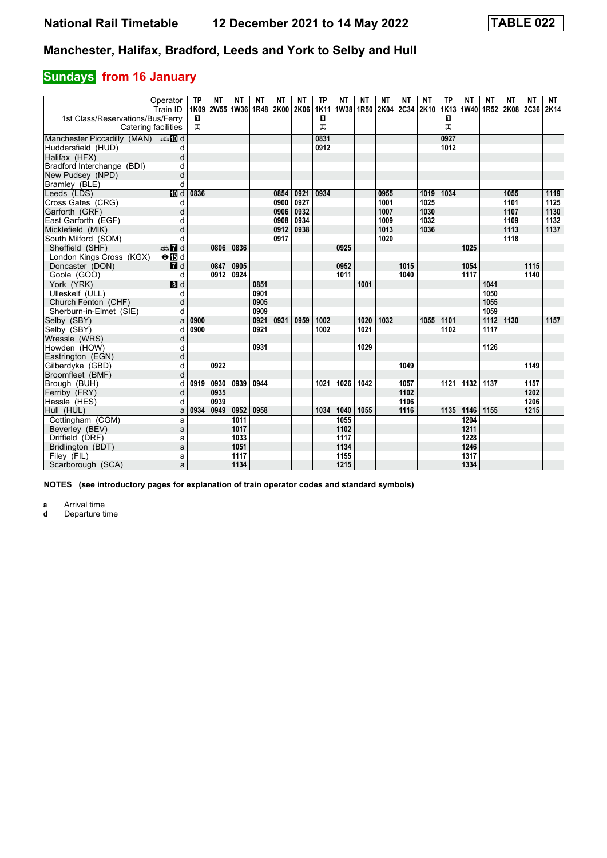# **Sundays** from 16 January

|                                  | Operator                  | <b>TP</b> | NΤ           | <b>NT</b>      | NΤ   | <b>NT</b> | NΤ   | <b>TP</b> | NΤ           | <b>NT</b>      | NΤ   | <b>NT</b>    | NΤ   | <b>TP</b>             | NΤ           | <b>NT</b> | NΤ   | <b>NT</b>      | NT   |
|----------------------------------|---------------------------|-----------|--------------|----------------|------|-----------|------|-----------|--------------|----------------|------|--------------|------|-----------------------|--------------|-----------|------|----------------|------|
| 1st Class/Reservations/Bus/Ferry | Train ID                  | 1K09<br>п |              | 2W55 1W36 1R48 |      | 2K00 2K06 |      | 1K11<br>O |              | 1W38 1R50 2K04 |      | 2C34 2K10    |      | 1K <sub>13</sub><br>0 | 1W40 1R52    |           |      | 2K08 2C36 2K14 |      |
|                                  | Catering facilities       | ᠼ         |              |                |      |           |      | ᠼ         |              |                |      |              |      | ᠼ                     |              |           |      |                |      |
|                                  |                           |           |              |                |      |           |      |           |              |                |      |              |      |                       |              |           |      |                |      |
| Manchester Piccadilly (MAN) And  |                           |           |              |                |      |           |      | 0831      |              |                |      |              |      | 0927                  |              |           |      |                |      |
| Huddersfield (HUD)               | d                         |           |              |                |      |           |      | 0912      |              |                |      |              |      | 1012                  |              |           |      |                |      |
| Halifax (HFX)                    | d                         |           |              |                |      |           |      |           |              |                |      |              |      |                       |              |           |      |                |      |
| Bradford Interchange (BDI)       | d                         |           |              |                |      |           |      |           |              |                |      |              |      |                       |              |           |      |                |      |
| New Pudsey (NPD)                 | d                         |           |              |                |      |           |      |           |              |                |      |              |      |                       |              |           |      |                |      |
| Bramley (BLE)                    | d                         |           |              |                |      |           |      |           |              |                |      |              |      |                       |              |           |      |                |      |
| Leeds (LDS)                      | <b>ID</b> d               | 0836      |              |                |      | 0854      | 0921 | 0934      |              |                | 0955 |              | 1019 | 1034                  |              |           | 1055 |                | 1119 |
| Cross Gates (CRG)                | d                         |           |              |                |      | 0900      | 0927 |           |              |                | 1001 |              | 1025 |                       |              |           | 1101 |                | 1125 |
| Garforth (GRF)                   | d                         |           |              |                |      | 0906      | 0932 |           |              |                | 1007 |              | 1030 |                       |              |           | 1107 |                | 1130 |
| East Garforth (EGF)              | d                         |           |              |                |      | 0908      | 0934 |           |              |                | 1009 |              | 1032 |                       |              |           | 1109 |                | 1132 |
| Micklefield (MIK)                | d                         |           |              |                |      | 0912      | 0938 |           |              |                | 1013 |              | 1036 |                       |              |           | 1113 |                | 1137 |
| South Milford (SOM)              | d                         |           |              |                |      | 0917      |      |           |              |                | 1020 |              |      |                       |              |           | 1118 |                |      |
| Sheffield (SHF)                  | $\oplus$ 7 d              |           | 0806         | 0836           |      |           |      |           | 0925         |                |      |              |      |                       | 1025         |           |      |                |      |
| London Kings Cross (KGX)         | $\Theta$ is d             |           |              |                |      |           |      |           |              |                |      |              |      |                       |              |           |      |                |      |
| Doncaster (DON)                  | $I$ d                     |           | 0847         | 0905           |      |           |      |           | 0952         |                |      | 1015         |      |                       | 1054         |           |      | 1115           |      |
| Goole (GOO)                      | d                         |           | 0912         | 0924           |      |           |      |           | 1011         |                |      | 1040         |      |                       | 1117         |           |      | 1140           |      |
| York (YRK)                       | $\overline{\mathbf{B}}$ d |           |              |                | 0851 |           |      |           |              | 1001           |      |              |      |                       |              | 1041      |      |                |      |
| Ulleskelf (ULL)                  | d                         |           |              |                | 0901 |           |      |           |              |                |      |              |      |                       |              | 1050      |      |                |      |
| Church Fenton (CHF)              | d                         |           |              |                | 0905 |           |      |           |              |                |      |              |      |                       |              | 1055      |      |                |      |
| Sherburn-in-Elmet (SIE)          | d                         |           |              |                | 0909 |           |      |           |              |                |      |              |      |                       |              | 1059      |      |                |      |
| Selby (SBY)                      | a                         | 0900      |              |                | 0921 | 0931      | 0959 | 1002      |              | 1020           | 1032 |              | 1055 | 1101                  |              | 1112      | 1130 |                | 1157 |
| Selby (SBY)                      | d                         | 0900      |              |                | 0921 |           |      | 1002      |              | 1021           |      |              |      | 1102                  |              | 1117      |      |                |      |
| Wressle (WRS)                    | d                         |           |              |                |      |           |      |           |              |                |      |              |      |                       |              |           |      |                |      |
| Howden (HOW)                     | d                         |           |              |                | 0931 |           |      |           |              | 1029           |      |              |      |                       |              | 1126      |      |                |      |
| Eastrington (EGN)                | d                         |           |              |                |      |           |      |           |              |                |      |              |      |                       |              |           |      |                |      |
| Gilberdyke (GBD)                 | d                         |           | 0922         |                |      |           |      |           |              |                |      | 1049         |      |                       |              |           |      | 1149           |      |
| Broomfleet (BMF)                 | d                         |           |              |                |      |           |      |           |              |                |      |              |      |                       |              |           |      |                |      |
| Brough (BUH)                     | d                         | 0919      | 0930         | 0939           | 0944 |           |      | 1021      | 1026         | 1042           |      | 1057         |      | 1121                  | 1132         | 1137      |      | 1157<br>1202   |      |
| Ferriby (FRY)                    | d                         |           | 0935<br>0939 |                |      |           |      |           |              |                |      | 1102<br>1106 |      |                       |              |           |      | 1206           |      |
| Hessle (HES)                     | d                         | 0934      | 0949         | 0952           | 0958 |           |      | 1034      | 1040         | 1055           |      | 1116         |      | 1135                  | 1146         | 1155      |      | 1215           |      |
| Hull (HUL)                       | a                         |           |              | 1011           |      |           |      |           | 1055         |                |      |              |      |                       | 1204         |           |      |                |      |
| Cottingham (CGM)                 | a                         |           |              |                |      |           |      |           |              |                |      |              |      |                       |              |           |      |                |      |
| Beverley (BEV)                   | a                         |           |              | 1017<br>1033   |      |           |      |           | 1102<br>1117 |                |      |              |      |                       | 1211<br>1228 |           |      |                |      |
| Driffield (DRF)                  | a                         |           |              | 1051           |      |           |      |           | 1134         |                |      |              |      |                       | 1246         |           |      |                |      |
| Bridlington (BDT)                | a                         |           |              | 1117           |      |           |      |           | 1155         |                |      |              |      |                       | 1317         |           |      |                |      |
| Filey (FIL)                      | a                         |           |              | 1134           |      |           |      |           | 1215         |                |      |              |      |                       | 1334         |           |      |                |      |
| Scarborough (SCA)                | a                         |           |              |                |      |           |      |           |              |                |      |              |      |                       |              |           |      |                |      |

**NOTES (see introductory pages for explanation of train operator codes and standard symbols)**

**a** Arrival time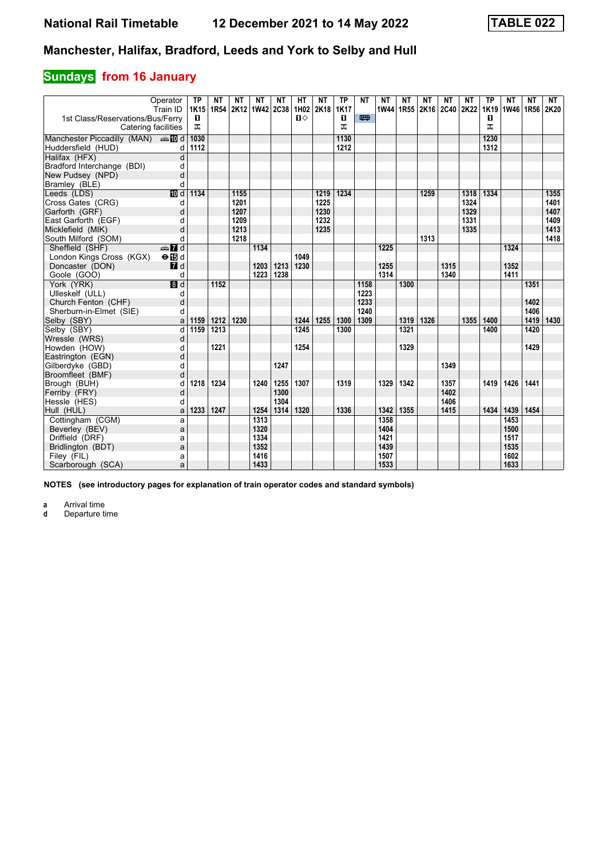# **Sundays** from 16 January

| 1st Class/Reservations/Bus/Ferry            | Operator<br>Train ID      | <b>TP</b><br>1K15<br>п | NΤ<br>1R54 | NΤ   | NΤ<br>2K12 1W42 2C38 | NΤ   | HТ<br>1H02<br>$\P$ | <b>NT</b><br>2K18 | TP<br><b>1K17</b><br>п | <b>NT</b><br>罒 | ΝT   | NΤ<br>1W44 1R55 | NΤ   | ΝT<br>2K16 2C40 2K22 | NΤ   | <b>TP</b><br>1K19<br>п | NΤ<br>1W46 1R56 | <b>NT</b> | NT<br>2K20 |
|---------------------------------------------|---------------------------|------------------------|------------|------|----------------------|------|--------------------|-------------------|------------------------|----------------|------|-----------------|------|----------------------|------|------------------------|-----------------|-----------|------------|
|                                             | Catering facilities       | ᠼ                      |            |      |                      |      |                    |                   | ㅈ                      |                |      |                 |      |                      |      | ㅈ                      |                 |           |            |
| Manchester Piccadilly (MAN) $\oplus \Box$ d |                           | 1030                   |            |      |                      |      |                    |                   | 1130                   |                |      |                 |      |                      |      | 1230                   |                 |           |            |
| Huddersfield (HUD)                          | d                         | 1112                   |            |      |                      |      |                    |                   | 1212                   |                |      |                 |      |                      |      | 1312                   |                 |           |            |
| Halifax (HFX)                               | d                         |                        |            |      |                      |      |                    |                   |                        |                |      |                 |      |                      |      |                        |                 |           |            |
| Bradford Interchange (BDI)                  | d                         |                        |            |      |                      |      |                    |                   |                        |                |      |                 |      |                      |      |                        |                 |           |            |
| New Pudsey (NPD)                            | d                         |                        |            |      |                      |      |                    |                   |                        |                |      |                 |      |                      |      |                        |                 |           |            |
| Bramley (BLE)                               | d                         |                        |            |      |                      |      |                    |                   |                        |                |      |                 |      |                      |      |                        |                 |           |            |
| Leeds (LDS)                                 | III d                     | 1134                   |            | 1155 |                      |      |                    | 1219              | 1234                   |                |      |                 | 1259 |                      | 1318 | 1334                   |                 |           | 1355       |
| Cross Gates (CRG)                           | d                         |                        |            | 1201 |                      |      |                    | 1225              |                        |                |      |                 |      |                      | 1324 |                        |                 |           | 1401       |
| Garforth (GRF)                              | d                         |                        |            | 1207 |                      |      |                    | 1230              |                        |                |      |                 |      |                      | 1329 |                        |                 |           | 1407       |
| East Garforth (EGF)                         | d                         |                        |            | 1209 |                      |      |                    | 1232              |                        |                |      |                 |      |                      | 1331 |                        |                 |           | 1409       |
| Micklefield (MIK)                           | d                         |                        |            | 1213 |                      |      |                    | 1235              |                        |                |      |                 |      |                      | 1335 |                        |                 |           | 1413       |
| South Milford (SOM)                         | d                         |                        |            | 1218 |                      |      |                    |                   |                        |                |      |                 | 1313 |                      |      |                        |                 |           | 1418       |
| Sheffield (SHF)                             | $\mathbf{Z}$ d            |                        |            |      | 1134                 |      |                    |                   |                        |                | 1225 |                 |      |                      |      |                        | 1324            |           |            |
| London Kings Cross (KGX)                    | $\Theta$ is d             |                        |            |      |                      |      | 1049               |                   |                        |                |      |                 |      |                      |      |                        |                 |           |            |
| Doncaster (DON)                             | $\Pi$ d                   |                        |            |      | 1203                 | 1213 | 1230               |                   |                        |                | 1255 |                 |      | 1315                 |      |                        | 1352            |           |            |
| Goole (GOO)                                 | d                         |                        |            |      | 1223                 | 1238 |                    |                   |                        |                | 1314 |                 |      | 1340                 |      |                        | 1411            |           |            |
| York (YRK)                                  | $\overline{\mathbf{B}}$ d |                        | 1152       |      |                      |      |                    |                   |                        | 1158           |      | 1300            |      |                      |      |                        |                 | 1351      |            |
| Ulleskelf (ULL)                             | d                         |                        |            |      |                      |      |                    |                   |                        | 1223           |      |                 |      |                      |      |                        |                 |           |            |
| Church Fenton (CHF)                         | d                         |                        |            |      |                      |      |                    |                   |                        | 1233           |      |                 |      |                      |      |                        |                 | 1402      |            |
| Sherburn-in-Elmet (SIE)                     | d                         |                        |            |      |                      |      |                    |                   |                        | 1240           |      |                 |      |                      |      |                        |                 | 1406      |            |
| Selby (SBY)                                 | a                         | 1159                   | 1212       | 1230 |                      |      | 1244               | 1255              | 1300                   | 1309           |      | 1319            | 1326 |                      | 1355 | 1400                   |                 | 1419      | 1430       |
| Selby (SBY)                                 | d                         | 1159                   | 1213       |      |                      |      | 1245               |                   | 1300                   |                |      | 1321            |      |                      |      | 1400                   |                 | 1420      |            |
| Wressle (WRS)                               | d                         |                        |            |      |                      |      |                    |                   |                        |                |      |                 |      |                      |      |                        |                 |           |            |
| Howden (HOW)                                | d                         |                        | 1221       |      |                      |      | 1254               |                   |                        |                |      | 1329            |      |                      |      |                        |                 | 1429      |            |
| Eastrington (EGN)                           | d                         |                        |            |      |                      |      |                    |                   |                        |                |      |                 |      |                      |      |                        |                 |           |            |
| Gilberdyke (GBD)                            | d                         |                        |            |      |                      | 1247 |                    |                   |                        |                |      |                 |      | 1349                 |      |                        |                 |           |            |
| Broomfleet (BMF)                            | d                         |                        |            |      |                      |      |                    |                   |                        |                |      |                 |      |                      |      |                        |                 |           |            |
| Brough (BUH)                                | d                         | 1218                   | 1234       |      | 1240                 | 1255 | 1307               |                   | 1319                   |                | 1329 | 1342            |      | 1357                 |      | 1419                   | 1426            | 1441      |            |
| Ferriby (FRY)                               | d                         |                        |            |      |                      | 1300 |                    |                   |                        |                |      |                 |      | 1402                 |      |                        |                 |           |            |
| Hessle (HES)                                | d                         |                        |            |      |                      | 1304 |                    |                   |                        |                |      |                 |      | 1406                 |      |                        |                 |           |            |
| Hull (HUL)                                  | a                         | 1233                   | 1247       |      | 1254                 | 1314 | 1320               |                   | 1336                   |                | 1342 | 1355            |      | 1415                 |      | 1434                   | 1439            | 1454      |            |
| Cottingham (CGM)                            | a                         |                        |            |      | 1313                 |      |                    |                   |                        |                | 1358 |                 |      |                      |      |                        | 1453            |           |            |
| Beverley (BEV)                              | a                         |                        |            |      | 1320                 |      |                    |                   |                        |                | 1404 |                 |      |                      |      |                        | 1500            |           |            |
| Driffield (DRF)                             | a                         |                        |            |      | 1334                 |      |                    |                   |                        |                | 1421 |                 |      |                      |      |                        | 1517            |           |            |
| Bridlington (BDT)                           | a                         |                        |            |      | 1352                 |      |                    |                   |                        |                | 1439 |                 |      |                      |      |                        | 1535            |           |            |
| Filey (FIL)                                 | a                         |                        |            |      | 1416                 |      |                    |                   |                        |                | 1507 |                 |      |                      |      |                        | 1602            |           |            |
| Scarborough (SCA)                           | a                         |                        |            |      | 1433                 |      |                    |                   |                        |                | 1533 |                 |      |                      |      |                        | 1633            |           |            |

**NOTES (see introductory pages for explanation of train operator codes and standard symbols)**

**a** Arrival time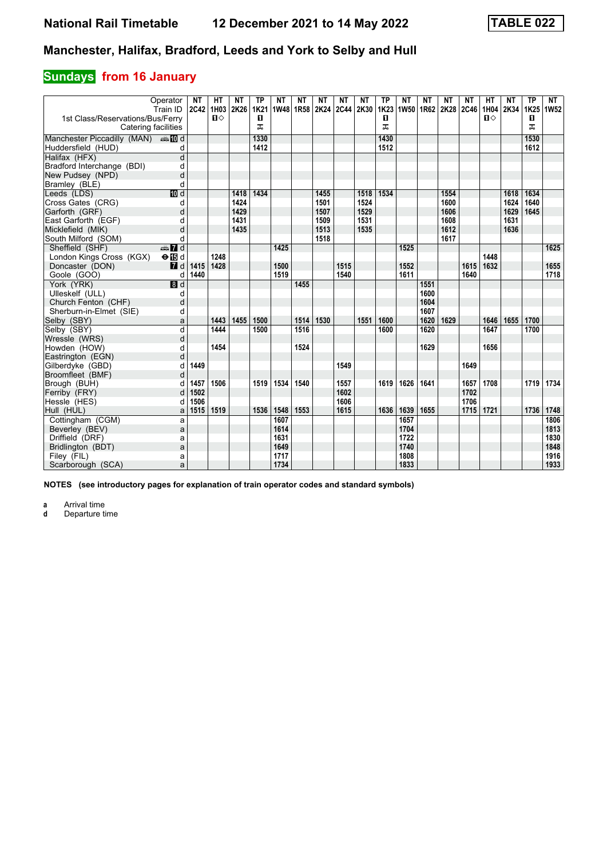# **Sundays** from 16 January

|                                                         | Operator<br>Train ID    | <b>NT</b><br>2C42 1H03 | HТ<br>$\P$ | <b>NT</b><br>2K26 | <b>TP</b><br><b>1K21</b> | <b>NT</b><br>1W48 1R58 | NT   | NΤ<br>2K24 | NΤ   | <b>NT</b><br>2C44 2K30 1K23 | <b>TP</b> | <b>NT</b><br>1W50 | NΤ<br>1R62 2K28 2C46 | ΝT   | NΤ   | <b>HT</b><br>1H04<br>$\mathbf{u}$ | NΤ<br>2K34 | <b>TP</b><br>1K25 | NT<br>1W <sub>52</sub> |
|---------------------------------------------------------|-------------------------|------------------------|------------|-------------------|--------------------------|------------------------|------|------------|------|-----------------------------|-----------|-------------------|----------------------|------|------|-----------------------------------|------------|-------------------|------------------------|
| 1st Class/Reservations/Bus/Ferry<br>Catering facilities |                         |                        |            |                   | п<br>ᅚ                   |                        |      |            |      |                             | п<br>ᅚ    |                   |                      |      |      |                                   |            | п<br>ᠼ            |                        |
| Manchester Piccadilly (MAN) And                         |                         |                        |            |                   | 1330                     |                        |      |            |      |                             | 1430      |                   |                      |      |      |                                   |            | 1530              |                        |
| Huddersfield (HUD)                                      | d                       |                        |            |                   | 1412                     |                        |      |            |      |                             | 1512      |                   |                      |      |      |                                   |            | 1612              |                        |
| Halifax (HFX)                                           | $\overline{\mathsf{d}}$ |                        |            |                   |                          |                        |      |            |      |                             |           |                   |                      |      |      |                                   |            |                   |                        |
| Bradford Interchange (BDI)                              | d                       |                        |            |                   |                          |                        |      |            |      |                             |           |                   |                      |      |      |                                   |            |                   |                        |
| New Pudsey (NPD)                                        | d                       |                        |            |                   |                          |                        |      |            |      |                             |           |                   |                      |      |      |                                   |            |                   |                        |
| Bramley (BLE)                                           | d                       |                        |            |                   |                          |                        |      |            |      |                             |           |                   |                      |      |      |                                   |            |                   |                        |
| Leeds (LDS)                                             | III d                   |                        |            | 1418              | 1434                     |                        |      | 1455       |      | 1518                        | 1534      |                   |                      | 1554 |      |                                   | 1618       | 1634              |                        |
| Cross Gates (CRG)                                       | d                       |                        |            | 1424              |                          |                        |      | 1501       |      | 1524                        |           |                   |                      | 1600 |      |                                   | 1624       | 1640              |                        |
| Garforth (GRF)                                          | d                       |                        |            | 1429              |                          |                        |      | 1507       |      | 1529                        |           |                   |                      | 1606 |      |                                   | 1629       | 1645              |                        |
| East Garforth (EGF)                                     | d                       |                        |            | 1431              |                          |                        |      | 1509       |      | 1531                        |           |                   |                      | 1608 |      |                                   | 1631       |                   |                        |
| Micklefield (MIK)                                       | d                       |                        |            | 1435              |                          |                        |      | 1513       |      | 1535                        |           |                   |                      | 1612 |      |                                   | 1636       |                   |                        |
| South Milford (SOM)                                     | d                       |                        |            |                   |                          |                        |      | 1518       |      |                             |           |                   |                      | 1617 |      |                                   |            |                   |                        |
| Sheffield (SHF)                                         | <b>en</b> d             |                        |            |                   |                          | 1425                   |      |            |      |                             |           | 1525              |                      |      |      |                                   |            |                   | 1625                   |
| London Kings Cross (KGX)                                | $\Theta$ is d           |                        | 1248       |                   |                          |                        |      |            |      |                             |           |                   |                      |      |      | 1448                              |            |                   |                        |
| Doncaster (DON)                                         | 7d                      | 1415                   | 1428       |                   |                          | 1500                   |      |            | 1515 |                             |           | 1552              |                      |      | 1615 | 1632                              |            |                   | 1655                   |
| Goole (GOO)                                             | d                       | 1440                   |            |                   |                          | 1519                   |      |            | 1540 |                             |           | 1611              |                      |      | 1640 |                                   |            |                   | 1718                   |
| York (YRK)                                              | 8d                      |                        |            |                   |                          |                        | 1455 |            |      |                             |           |                   | 1551                 |      |      |                                   |            |                   |                        |
| Ulleskelf (ULL)                                         | d                       |                        |            |                   |                          |                        |      |            |      |                             |           |                   | 1600                 |      |      |                                   |            |                   |                        |
| Church Fenton (CHF)                                     | d                       |                        |            |                   |                          |                        |      |            |      |                             |           |                   | 1604                 |      |      |                                   |            |                   |                        |
| Sherburn-in-Elmet (SIE)                                 | d                       |                        |            |                   |                          |                        |      |            |      |                             |           |                   | 1607                 |      |      |                                   |            |                   |                        |
| Selby (SBY)                                             | a                       |                        | 1443       | 1455              | 1500                     |                        | 1514 | 1530       |      | 1551                        | 1600      |                   | 1620                 | 1629 |      | 1646                              | 1655       | 1700              |                        |
| Selby (SBY)                                             | $\overline{d}$          |                        | 1444       |                   | 1500                     |                        | 1516 |            |      |                             | 1600      |                   | 1620                 |      |      | 1647                              |            | 1700              |                        |
| Wressle (WRS)                                           | d                       |                        |            |                   |                          |                        |      |            |      |                             |           |                   |                      |      |      |                                   |            |                   |                        |
| Howden (HOW)                                            | d                       |                        | 1454       |                   |                          |                        | 1524 |            |      |                             |           |                   | 1629                 |      |      | 1656                              |            |                   |                        |
| Eastrington (EGN)                                       | d                       |                        |            |                   |                          |                        |      |            |      |                             |           |                   |                      |      |      |                                   |            |                   |                        |
| Gilberdyke (GBD)                                        | d                       | 1449                   |            |                   |                          |                        |      |            | 1549 |                             |           |                   |                      |      | 1649 |                                   |            |                   |                        |
| Broomfleet (BMF)                                        | d                       |                        |            |                   |                          |                        |      |            |      |                             |           |                   |                      |      |      |                                   |            |                   |                        |
| Brough (BUH)                                            | d                       | 1457                   | 1506       |                   | 1519                     | 1534                   | 1540 |            | 1557 |                             | 1619      | 1626              | 1641                 |      | 1657 | 1708                              |            | 1719              | 1734                   |
| Ferriby (FRY)                                           | d                       | 1502                   |            |                   |                          |                        |      |            | 1602 |                             |           |                   |                      |      | 1702 |                                   |            |                   |                        |
| Hessle (HES)                                            | d                       | 1506                   |            |                   |                          |                        |      |            | 1606 |                             |           |                   |                      |      | 1706 |                                   |            |                   |                        |
| Hull (HUL)                                              | a                       | 1515                   | 1519       |                   | 1536                     | 1548                   | 1553 |            | 1615 |                             | 1636      | 1639              | 1655                 |      | 1715 | 1721                              |            | 1736              | 1748                   |
| Cottingham (CGM)                                        | a                       |                        |            |                   |                          | 1607                   |      |            |      |                             |           | 1657              |                      |      |      |                                   |            |                   | 1806                   |
| Beverley (BEV)                                          | a                       |                        |            |                   |                          | 1614                   |      |            |      |                             |           | 1704              |                      |      |      |                                   |            |                   | 1813                   |
| Driffield (DRF)                                         | a                       |                        |            |                   |                          | 1631                   |      |            |      |                             |           | 1722              |                      |      |      |                                   |            |                   | 1830                   |
| Bridlington (BDT)                                       | a                       |                        |            |                   |                          | 1649                   |      |            |      |                             |           | 1740              |                      |      |      |                                   |            |                   | 1848                   |
| Filey (FIL)                                             | a                       |                        |            |                   |                          | 1717                   |      |            |      |                             |           | 1808              |                      |      |      |                                   |            |                   | 1916                   |
| Scarborough (SCA)                                       | a                       |                        |            |                   |                          | 1734                   |      |            |      |                             |           | 1833              |                      |      |      |                                   |            |                   | 1933                   |

**NOTES (see introductory pages for explanation of train operator codes and standard symbols)**

**a** Arrival time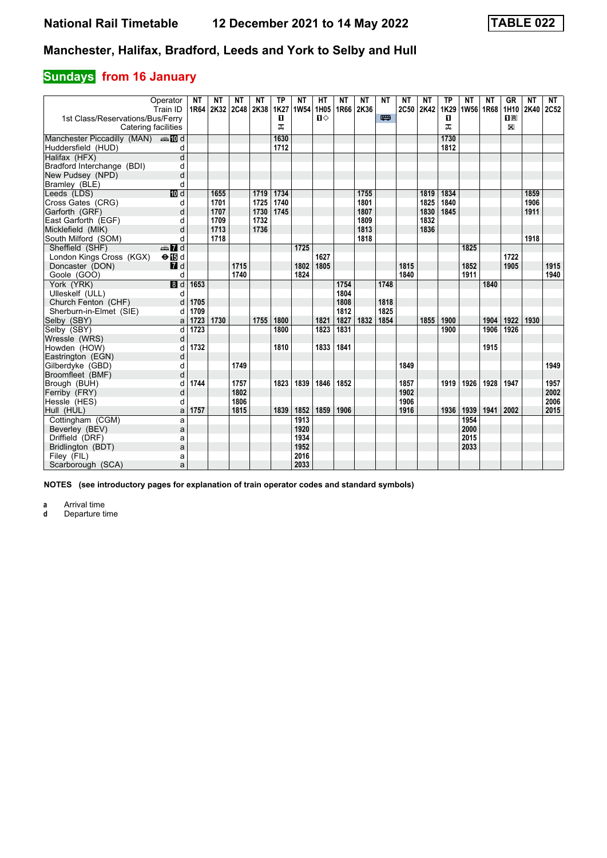# **Sundays** from 16 January

| Operator<br>Train ID                                    | NΤ<br>1R64 | NΤ<br>2K32 2C48 2K38 | NΤ   | NΤ   | <b>TP</b><br>1K27 | NΤ<br>1W54 | HТ<br>1H05     | NΤ<br>1R66 2K36 | NΤ   | NΤ   | ΝT   | NΤ<br>2C50 2K42 | <b>TP</b><br>1K29 | ΝT<br>1W56 1R68 | <b>NT</b> | GR<br>1H10       | NΤ<br>2K40 | NT<br>2C52 |
|---------------------------------------------------------|------------|----------------------|------|------|-------------------|------------|----------------|-----------------|------|------|------|-----------------|-------------------|-----------------|-----------|------------------|------------|------------|
| 1st Class/Reservations/Bus/Ferry<br>Catering facilities |            |                      |      |      | 0<br>ᠼ            |            | $\blacksquare$ |                 |      | 罒    |      |                 | 0<br>ᠼ            |                 |           | $n_{\rm R}$<br>X |            |            |
| Manchester Piccadilly (MAN) And                         |            |                      |      |      | 1630              |            |                |                 |      |      |      |                 | 1730              |                 |           |                  |            |            |
| Huddersfield (HUD)<br>d                                 |            |                      |      |      | 1712              |            |                |                 |      |      |      |                 | 1812              |                 |           |                  |            |            |
| $\overline{\mathsf{d}}$<br>Halifax (HFX)                |            |                      |      |      |                   |            |                |                 |      |      |      |                 |                   |                 |           |                  |            |            |
| Bradford Interchange (BDI)<br>d                         |            |                      |      |      |                   |            |                |                 |      |      |      |                 |                   |                 |           |                  |            |            |
| d<br>New Pudsey (NPD)                                   |            |                      |      |      |                   |            |                |                 |      |      |      |                 |                   |                 |           |                  |            |            |
| d<br>Bramley (BLE)                                      |            |                      |      |      |                   |            |                |                 |      |      |      |                 |                   |                 |           |                  |            |            |
| 10 d<br>Leeds (LDS)                                     |            | 1655                 |      | 1719 | 1734              |            |                |                 | 1755 |      |      | 1819            | 1834              |                 |           |                  | 1859       |            |
| Cross Gates (CRG)<br>d                                  |            | 1701                 |      | 1725 | 1740              |            |                |                 | 1801 |      |      | 1825            | 1840              |                 |           |                  | 1906       |            |
| Garforth (GRF)<br>d                                     |            | 1707                 |      | 1730 | 1745              |            |                |                 | 1807 |      |      | 1830            | 1845              |                 |           |                  | 1911       |            |
| East Garforth (EGF)<br>d                                |            | 1709                 |      | 1732 |                   |            |                |                 | 1809 |      |      | 1832            |                   |                 |           |                  |            |            |
| Micklefield (MIK)<br>d                                  |            | 1713                 |      | 1736 |                   |            |                |                 | 1813 |      |      | 1836            |                   |                 |           |                  |            |            |
| South Milford (SOM)<br>d                                |            | 1718                 |      |      |                   |            |                |                 | 1818 |      |      |                 |                   |                 |           |                  | 1918       |            |
| $\frac{1}{2}$ $\frac{1}{2}$ d<br>Sheffield (SHF)        |            |                      |      |      |                   | 1725       |                |                 |      |      |      |                 |                   | 1825            |           |                  |            |            |
| London Kings Cross (KGX)<br>$\Theta$ is d               |            |                      |      |      |                   |            | 1627           |                 |      |      |      |                 |                   |                 |           | 1722             |            |            |
| $I$ d<br>Doncaster (DON)                                |            |                      | 1715 |      |                   | 1802       | 1805           |                 |      |      | 1815 |                 |                   | 1852            |           | 1905             |            | 1915       |
| Goole (GOO)<br>d                                        |            |                      | 1740 |      |                   | 1824       |                |                 |      |      | 1840 |                 |                   | 1911            |           |                  |            | 1940       |
| $\overline{\mathbf{B}}$ d<br>York (YRK)                 | 1653       |                      |      |      |                   |            |                | 1754            |      | 1748 |      |                 |                   |                 | 1840      |                  |            |            |
| Ulleskelf (ULL)<br>d                                    |            |                      |      |      |                   |            |                | 1804            |      |      |      |                 |                   |                 |           |                  |            |            |
| Church Fenton (CHF)<br>d                                | 1705       |                      |      |      |                   |            |                | 1808            |      | 1818 |      |                 |                   |                 |           |                  |            |            |
| Sherburn-in-Elmet (SIE)<br>d                            | 1709       |                      |      |      |                   |            |                | 1812            |      | 1825 |      |                 |                   |                 |           |                  |            |            |
| Selby (SBY)<br>a                                        | 1723       | 1730                 |      | 1755 | 1800              |            | 1821           | 1827            | 1832 | 1854 |      | 1855            | 1900              |                 | 1904      | 1922             | 1930       |            |
| Selby (SBY)<br>d                                        | 1723       |                      |      |      | 1800              |            | 1823           | 1831            |      |      |      |                 | 1900              |                 | 1906      | 1926             |            |            |
| Wressle (WRS)<br>d                                      |            |                      |      |      |                   |            |                |                 |      |      |      |                 |                   |                 |           |                  |            |            |
| Howden (HOW)<br>d                                       | 1732       |                      |      |      | 1810              |            | 1833           | 1841            |      |      |      |                 |                   |                 | 1915      |                  |            |            |
| Eastrington (EGN)<br>d                                  |            |                      |      |      |                   |            |                |                 |      |      |      |                 |                   |                 |           |                  |            | 1949       |
| Gilberdyke (GBD)<br>d<br>Broomfleet (BMF)<br>d          |            |                      | 1749 |      |                   |            |                |                 |      |      | 1849 |                 |                   |                 |           |                  |            |            |
| Brough (BUH)<br>d                                       | 1744       |                      | 1757 |      | 1823              | 1839       | 1846           | 1852            |      |      | 1857 |                 | 1919              | 1926            | 1928      | 1947             |            | 1957       |
| Ferriby (FRY)<br>d                                      |            |                      | 1802 |      |                   |            |                |                 |      |      | 1902 |                 |                   |                 |           |                  |            | 2002       |
| Hessle (HES)<br>d                                       |            |                      | 1806 |      |                   |            |                |                 |      |      | 1906 |                 |                   |                 |           |                  |            | 2006       |
| Hull (HUL)<br>a                                         | 1757       |                      | 1815 |      | 1839              | 1852       | 1859           | 1906            |      |      | 1916 |                 | 1936              | 1939            | 1941      | 2002             |            | 2015       |
| Cottingham (CGM)<br>a                                   |            |                      |      |      |                   | 1913       |                |                 |      |      |      |                 |                   | 1954            |           |                  |            |            |
| Beverley (BEV)<br>a                                     |            |                      |      |      |                   | 1920       |                |                 |      |      |      |                 |                   | 2000            |           |                  |            |            |
| Driffield (DRF)<br>a                                    |            |                      |      |      |                   | 1934       |                |                 |      |      |      |                 |                   | 2015            |           |                  |            |            |
| a<br>Bridlington (BDT)                                  |            |                      |      |      |                   | 1952       |                |                 |      |      |      |                 |                   | 2033            |           |                  |            |            |
| Filey (FIL)<br>a                                        |            |                      |      |      |                   | 2016       |                |                 |      |      |      |                 |                   |                 |           |                  |            |            |
| Scarborough (SCA)<br>a                                  |            |                      |      |      |                   | 2033       |                |                 |      |      |      |                 |                   |                 |           |                  |            |            |

**NOTES (see introductory pages for explanation of train operator codes and standard symbols)**

**a** Arrival time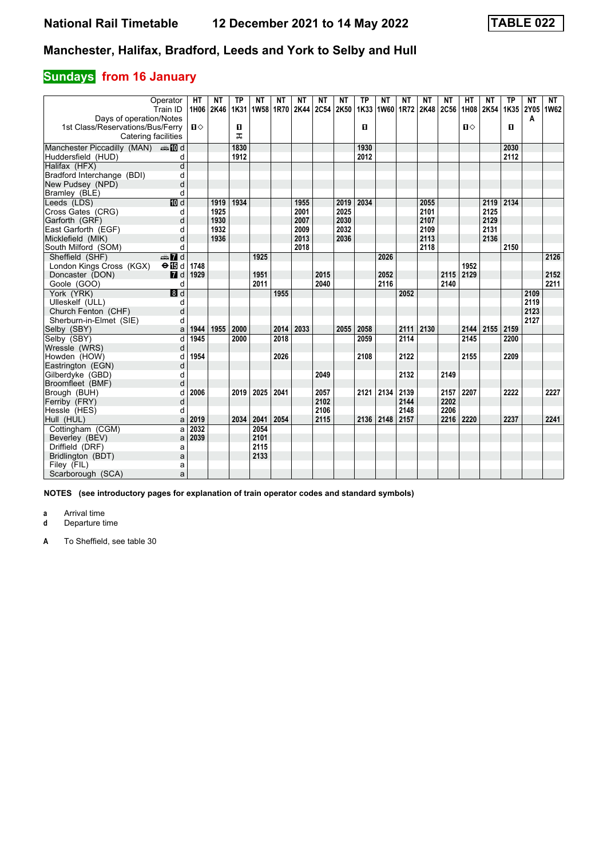# **Sundays** from 16 January

|                                           | Operator<br>Train ID | <b>HT</b><br>1H06 | NΤ<br>2K46 | <b>TP</b><br>1K31 | NΤ<br>1W58 1R70 | NΤ   | NΤ<br>2K44 | NΤ<br>2C54 | NΤ<br>2K50 | <b>TP</b> | NΤ<br>1K33 1W60 1R72 | NΤ   | NΤ<br><b>2K48</b> | NΤ<br>2C56 | HТ<br>1H08   | <b>NT</b><br>2K54 | TP<br>1K35        | <b>NT</b><br>2Y05 | NT<br>1W62 |
|-------------------------------------------|----------------------|-------------------|------------|-------------------|-----------------|------|------------|------------|------------|-----------|----------------------|------|-------------------|------------|--------------|-------------------|-------------------|-------------------|------------|
| Days of operation/Notes                   |                      |                   |            |                   |                 |      |            |            |            |           |                      |      |                   |            |              |                   |                   | A                 |            |
| 1st Class/Reservations/Bus/Ferry          |                      | $\mathbf{u}$      |            | 0                 |                 |      |            |            |            | O         |                      |      |                   |            | $\mathbf{u}$ |                   | п                 |                   |            |
| Catering facilities                       |                      |                   |            | ᅚ                 |                 |      |            |            |            |           |                      |      |                   |            |              |                   |                   |                   |            |
| Manchester Piccadilly (MAN) $\oplus$ 10 d |                      |                   |            | 1830              |                 |      |            |            |            | 1930      |                      |      |                   |            |              |                   | 2030              |                   |            |
| Huddersfield (HUD)                        | d                    |                   |            | 1912              |                 |      |            |            |            | 2012      |                      |      |                   |            |              |                   | 2112              |                   |            |
| Halifax (HFX)                             | d                    |                   |            |                   |                 |      |            |            |            |           |                      |      |                   |            |              |                   |                   |                   |            |
| Bradford Interchange (BDI)                | d                    |                   |            |                   |                 |      |            |            |            |           |                      |      |                   |            |              |                   |                   |                   |            |
| New Pudsey (NPD)                          | d                    |                   |            |                   |                 |      |            |            |            |           |                      |      |                   |            |              |                   |                   |                   |            |
| Bramley (BLE)                             | d                    |                   |            |                   |                 |      |            |            |            |           |                      |      |                   |            |              |                   |                   |                   |            |
| Leeds (LDS)                               | <b>ID</b> d          |                   | 1919       | 1934              |                 |      | 1955       |            | 2019       | 2034      |                      |      | 2055              |            |              | 2119              | $\overline{2134}$ |                   |            |
| Cross Gates (CRG)                         | d                    |                   | 1925       |                   |                 |      | 2001       |            | 2025       |           |                      |      | 2101              |            |              | 2125              |                   |                   |            |
| Garforth (GRF)                            | d                    |                   | 1930       |                   |                 |      | 2007       |            | 2030       |           |                      |      | 2107              |            |              | 2129              |                   |                   |            |
| East Garforth (EGF)                       | d                    |                   | 1932       |                   |                 |      | 2009       |            | 2032       |           |                      |      | 2109              |            |              | 2131              |                   |                   |            |
| Micklefield (MIK)                         | d                    |                   | 1936       |                   |                 |      | 2013       |            | 2036       |           |                      |      | 2113              |            |              | 2136              |                   |                   |            |
| South Milford (SOM)                       | d                    |                   |            |                   |                 |      | 2018       |            |            |           |                      |      | 2118              |            |              |                   | 2150              |                   |            |
| Sheffield (SHF)                           | $\oplus$ 7 d         |                   |            |                   | 1925            |      |            |            |            |           | 2026                 |      |                   |            |              |                   |                   |                   | 2126       |
| London Kings Cross (KGX)                  | $\Theta$ is d        | 1748              |            |                   |                 |      |            |            |            |           |                      |      |                   |            | 1952         |                   |                   |                   |            |
| Doncaster (DON)                           | $\blacksquare$ d     | 1929              |            |                   | 1951            |      |            | 2015       |            |           | 2052                 |      |                   | 2115       | 2129         |                   |                   |                   | 2152       |
| Goole (GOO)                               | d                    |                   |            |                   | 2011            |      |            | 2040       |            |           | 2116                 |      |                   | 2140       |              |                   |                   |                   | 2211       |
| York (YRK)                                | 3d                   |                   |            |                   |                 | 1955 |            |            |            |           |                      | 2052 |                   |            |              |                   |                   | 2109              |            |
| Ulleskelf (ULL)                           | d                    |                   |            |                   |                 |      |            |            |            |           |                      |      |                   |            |              |                   |                   | 2119              |            |
| Church Fenton (CHF)                       | d                    |                   |            |                   |                 |      |            |            |            |           |                      |      |                   |            |              |                   |                   | 2123              |            |
| Sherburn-in-Elmet (SIE)                   | d                    |                   |            |                   |                 |      |            |            |            |           |                      |      |                   |            |              |                   |                   | 2127              |            |
| Selby (SBY)                               | a                    | 1944              | 1955       | 2000              |                 | 2014 | 2033       |            | 2055       | 2058      |                      | 2111 | 2130              |            | 2144         | 2155              | 2159              |                   |            |
| Selby (SBY)                               | d                    | 1945              |            | 2000              |                 | 2018 |            |            |            | 2059      |                      | 2114 |                   |            | 2145         |                   | 2200              |                   |            |
| Wressle (WRS)                             | d                    |                   |            |                   |                 |      |            |            |            |           |                      |      |                   |            |              |                   |                   |                   |            |
| Howden (HOW)                              | d                    | 1954              |            |                   |                 | 2026 |            |            |            | 2108      |                      | 2122 |                   |            | 2155         |                   | 2209              |                   |            |
| Eastrington (EGN)                         | d                    |                   |            |                   |                 |      |            |            |            |           |                      |      |                   |            |              |                   |                   |                   |            |
| Gilberdyke (GBD)                          | d                    |                   |            |                   |                 |      |            | 2049       |            |           |                      | 2132 |                   | 2149       |              |                   |                   |                   |            |
| Broomfleet (BMF)                          | d                    |                   |            |                   |                 |      |            |            |            |           |                      |      |                   |            |              |                   |                   |                   |            |
| Brough (BUH)                              |                      | 2006              |            | 2019              | 2025            | 2041 |            | 2057       |            | 2121      | 2134                 | 2139 |                   | 2157       | 2207         |                   | 2222              |                   | 2227       |
| Ferriby (FRY)                             | d                    |                   |            |                   |                 |      |            | 2102       |            |           |                      | 2144 |                   | 2202       |              |                   |                   |                   |            |
| Hessle (HES)                              | d                    |                   |            |                   |                 |      |            | 2106       |            |           |                      | 2148 |                   | 2206       |              |                   |                   |                   |            |
| Hull (HUL)                                | a                    | 2019              |            | 2034              | 2041            | 2054 |            | 2115       |            | 2136      | 2148                 | 2157 |                   | 2216       | 2220         |                   | 2237              |                   | 2241       |
| Cottingham (CGM)                          | a                    | 2032              |            |                   | 2054            |      |            |            |            |           |                      |      |                   |            |              |                   |                   |                   |            |
| Beverley (BEV)                            | a                    | 2039              |            |                   | 2101            |      |            |            |            |           |                      |      |                   |            |              |                   |                   |                   |            |
| Driffield (DRF)                           | a                    |                   |            |                   | 2115            |      |            |            |            |           |                      |      |                   |            |              |                   |                   |                   |            |
| Bridlington (BDT)                         | a                    |                   |            |                   | 2133            |      |            |            |            |           |                      |      |                   |            |              |                   |                   |                   |            |
| Filey (FIL)                               | a                    |                   |            |                   |                 |      |            |            |            |           |                      |      |                   |            |              |                   |                   |                   |            |
| Scarborough (SCA)                         | a                    |                   |            |                   |                 |      |            |            |            |           |                      |      |                   |            |              |                   |                   |                   |            |

**NOTES (see introductory pages for explanation of train operator codes and standard symbols)**

**a** Arrival time<br>**d** Departure t

**d** Departure time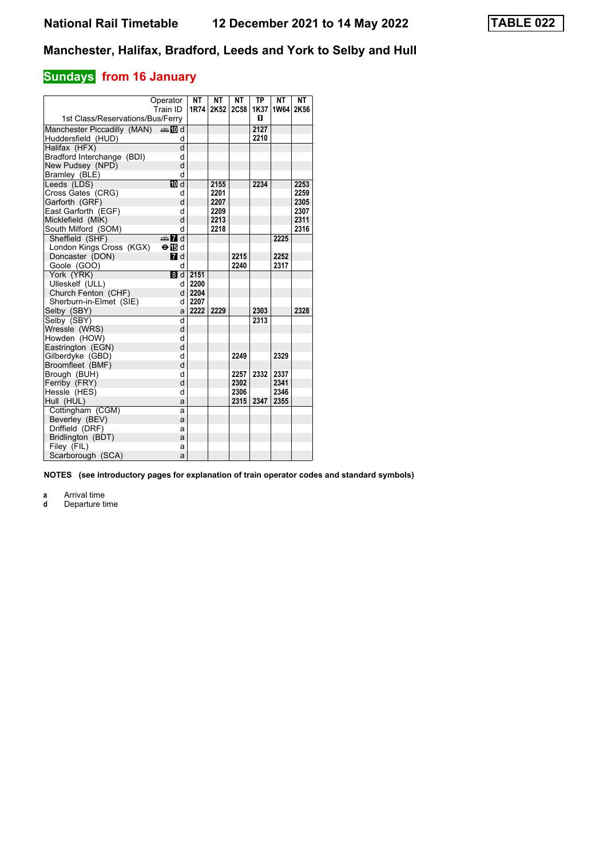#### **Sundays** from 16 January

|                                           | Operator<br>Train ID | NT<br>1R74                   | <b>NT</b><br>2K52 | <b>NT</b><br><b>2C58</b> | <b>TP</b><br>1K37 | <b>NT</b><br>1W64 | <b>NT</b><br>2K56 |
|-------------------------------------------|----------------------|------------------------------|-------------------|--------------------------|-------------------|-------------------|-------------------|
| 1st Class/Reservations/Bus/Ferry          |                      |                              |                   |                          | п                 |                   |                   |
| Manchester Piccadilly (MAN) $\oplus$ 10 d |                      |                              |                   |                          | 2127              |                   |                   |
| Huddersfield (HUD)                        | d                    |                              |                   |                          | 2210              |                   |                   |
| Halifax (HFX)                             | d                    |                              |                   |                          |                   |                   |                   |
| Bradford Interchange (BDI)                | d                    |                              |                   |                          |                   |                   |                   |
| New Pudsey (NPD)                          | d                    |                              |                   |                          |                   |                   |                   |
| Bramley (BLE)                             | d                    |                              |                   |                          |                   |                   |                   |
| Leeds (LDS)                               | 10 d                 |                              | 2155              |                          | 2234              |                   | 2253              |
| Cross Gates (CRG)                         | d                    |                              | 2201              |                          |                   |                   | 2259              |
| Garforth (GRF)                            | d                    |                              | 2207              |                          |                   |                   | 2305              |
| East Garforth (EGF)                       | d                    |                              | 2209              |                          |                   |                   | 2307              |
| Micklefield (MIK)                         | d                    |                              | 2213              |                          |                   |                   | 2311              |
| South Milford (SOM)                       | d                    |                              | 2218              |                          |                   |                   | 2316              |
| Sheffield (SHF)                           | $\oplus$ 7 d         |                              |                   |                          |                   | 2225              |                   |
| London Kings Cross (KGX)                  | $\Theta$ in d        |                              |                   |                          |                   |                   |                   |
| Doncaster (DON)                           | $\blacksquare$ d     |                              |                   | 2215                     |                   | 2252              |                   |
| Goole (GOO)                               | d                    |                              |                   | 2240                     |                   | 2317              |                   |
| York (YRK)                                |                      | $\boxed{8}$ d $\boxed{2151}$ |                   |                          |                   |                   |                   |
| Ulleskelf (ULL)                           | d l                  | 2200                         |                   |                          |                   |                   |                   |
| Church Fenton (CHF)                       |                      | d 2204                       |                   |                          |                   |                   |                   |
| Sherburn-in-Elmet (SIE)                   | d                    | 2207                         |                   |                          |                   |                   |                   |
| Selby (SBY)                               | a                    | 2222                         | 2229              |                          | 2303              |                   | 2328              |
| Selby (SBY)                               | d                    |                              |                   |                          | 2313              |                   |                   |
| Wressle (WRS)                             | d                    |                              |                   |                          |                   |                   |                   |
| Howden (HOW)                              | d                    |                              |                   |                          |                   |                   |                   |
| Eastrington (EGN)                         | d                    |                              |                   |                          |                   |                   |                   |
| Gilberdyke (GBD)                          | d                    |                              |                   | 2249                     |                   | 2329              |                   |
| Broomfleet (BMF)                          | d                    |                              |                   |                          |                   |                   |                   |
| Brough (BUH)                              | d                    |                              |                   | 2257                     | 2332              | 2337              |                   |
| Ferriby (FRY)                             | d                    |                              |                   | 2302                     |                   | 2341              |                   |
| Hessle (HES)                              | d                    |                              |                   | 2306                     |                   | 2346              |                   |
| Hull (HUL)                                | a                    |                              |                   | 2315                     | 2347              | 2355              |                   |
| Cottingham (CGM)                          | a                    |                              |                   |                          |                   |                   |                   |
| Beverley (BEV)                            | a                    |                              |                   |                          |                   |                   |                   |
| Driffield (DRF)                           | а                    |                              |                   |                          |                   |                   |                   |
| Bridlington (BDT)                         | a                    |                              |                   |                          |                   |                   |                   |
| Filey (FIL)                               | a                    |                              |                   |                          |                   |                   |                   |
| Scarborough (SCA)                         | a                    |                              |                   |                          |                   |                   |                   |

**NOTES (see introductory pages for explanation of train operator codes and standard symbols)**

**a** Arrival time<br>**d** Departure time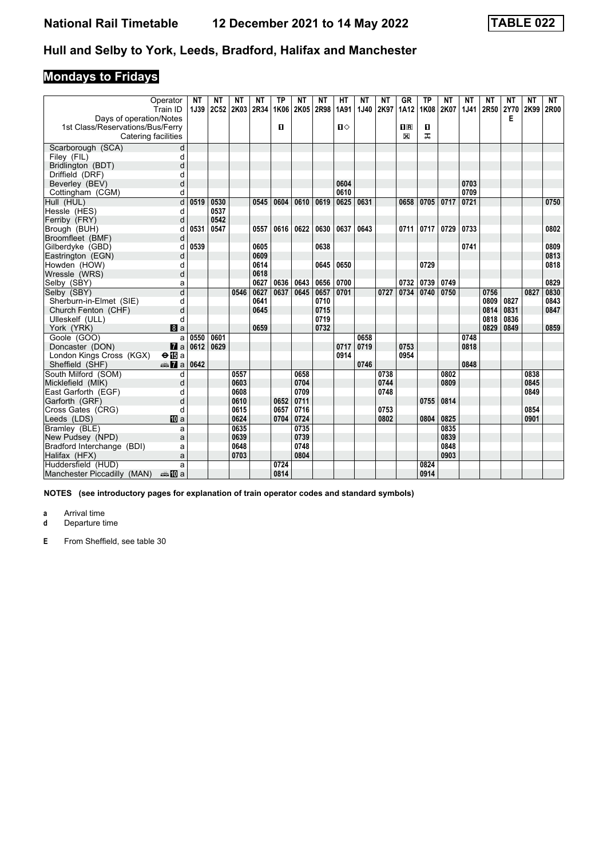# **Mondays to Fridays**

| Operator<br>Train ID                      | NΤ<br>1J39 | NΤ<br>2C52 | NΤ<br>2K03 | NΤ<br>2R34 | <b>TP</b><br>1K06 | NΤ<br>2K05 | NΤ<br>2R98 | HТ<br>1A91 | <b>NT</b><br><b>1J40</b> | NΤ<br>2K97 | GR<br>1A12  | TP<br>1K08 | ΝT<br>2K07 | NΤ<br><b>1J41</b> | NΤ<br>2R50 | NΤ<br><b>2Y70</b> | <b>NT</b><br>2K99 | NT<br>2R00 |
|-------------------------------------------|------------|------------|------------|------------|-------------------|------------|------------|------------|--------------------------|------------|-------------|------------|------------|-------------------|------------|-------------------|-------------------|------------|
| Days of operation/Notes                   |            |            |            |            |                   |            |            |            |                          |            |             |            |            |                   |            | Е                 |                   |            |
| 1st Class/Reservations/Bus/Ferry          |            |            |            |            | $\blacksquare$    |            |            | ப⇔         |                          |            | $n_{\rm R}$ | O          |            |                   |            |                   |                   |            |
| Catering facilities                       |            |            |            |            |                   |            |            |            |                          |            | X           | ᠼ          |            |                   |            |                   |                   |            |
| Scarborough (SCA)                         | d          |            |            |            |                   |            |            |            |                          |            |             |            |            |                   |            |                   |                   |            |
| Filey (FIL)                               | d          |            |            |            |                   |            |            |            |                          |            |             |            |            |                   |            |                   |                   |            |
| Bridlington (BDT)                         | d          |            |            |            |                   |            |            |            |                          |            |             |            |            |                   |            |                   |                   |            |
| Driffield (DRF)                           | d          |            |            |            |                   |            |            |            |                          |            |             |            |            |                   |            |                   |                   |            |
| Beverley (BEV)                            | d          |            |            |            |                   |            |            | 0604       |                          |            |             |            |            | 0703              |            |                   |                   |            |
| Cottingham (CGM)                          | d          |            |            |            |                   |            |            | 0610       |                          |            |             |            |            | 0709              |            |                   |                   |            |
| Hull (HUL)                                | 0519<br>d  | 0530       |            | 0545       | 0604              | 0610       | 0619       | 0625       | 0631                     |            | 0658        | 0705       | 0717       | 0721              |            |                   |                   | 0750       |
| Hessle (HES)                              | d          | 0537       |            |            |                   |            |            |            |                          |            |             |            |            |                   |            |                   |                   |            |
| Ferriby (FRY)                             | d          | 0542       |            |            |                   |            |            |            |                          |            |             |            |            |                   |            |                   |                   |            |
| Brough (BUH)                              | 0531<br>d  | 0547       |            | 0557       | 0616              | 0622       | 0630       | 0637       | 0643                     |            | 0711        | 0717       | 0729       | 0733              |            |                   |                   | 0802       |
| Broomfleet (BMF)                          | d          |            |            |            |                   |            |            |            |                          |            |             |            |            |                   |            |                   |                   |            |
| Gilberdyke (GBD)                          | 0539<br>d  |            |            | 0605       |                   |            | 0638       |            |                          |            |             |            |            | 0741              |            |                   |                   | 0809       |
| Eastrington (EGN)                         | d          |            |            | 0609       |                   |            |            |            |                          |            |             |            |            |                   |            |                   |                   | 0813       |
| Howden (HOW)                              | d          |            |            | 0614       |                   |            | 0645       | 0650       |                          |            |             | 0729       |            |                   |            |                   |                   | 0818       |
| Wressle (WRS)                             | d          |            |            | 0618       |                   |            |            |            |                          |            |             |            |            |                   |            |                   |                   |            |
| Selby (SBY)                               | a          |            |            | 0627       | 0636              | 0643       | 0656       | 0700       |                          |            | 0732        | 0739       | 0749       |                   |            |                   |                   | 0829       |
| Selby (SBY)                               | d          |            | 0546       | 0627       | 0637              | 0645       | 0657       | 0701       |                          | 0727       | 0734        | 0740       | 0750       |                   | 0756       |                   | 0827              | 0830       |
| Sherburn-in-Elmet (SIE)                   | d          |            |            | 0641       |                   |            | 0710       |            |                          |            |             |            |            |                   | 0809       | 0827              |                   | 0843       |
| Church Fenton (CHF)                       | d          |            |            | 0645       |                   |            | 0715       |            |                          |            |             |            |            |                   | 0814       | 0831              |                   | 0847       |
| Ulleskelf (ULL)                           | d          |            |            |            |                   |            | 0719       |            |                          |            |             |            |            |                   | 0818       | 0836              |                   |            |
| York (YRK)<br>8a                          |            |            |            | 0659       |                   |            | 0732       |            |                          |            |             |            |            |                   | 0829       | 0849              |                   | 0859       |
| Goole (GOO)                               | 0550<br>a  | 0601       |            |            |                   |            |            |            | 0658                     |            |             |            |            | 0748              |            |                   |                   |            |
| Doncaster (DON)<br>$\mathbf{z}$ a         | 0612       | 0629       |            |            |                   |            |            | 0717       | 0719                     |            | 0753        |            |            | 0818              |            |                   |                   |            |
| London Kings Cross (KGX)<br>$\Theta$ is a |            |            |            |            |                   |            |            | 0914       |                          |            | 0954        |            |            |                   |            |                   |                   |            |
| Sheffield (SHF)<br><del>⊯</del> 7a        | 0642       |            |            |            |                   |            |            |            | 0746                     |            |             |            |            | 0848              |            |                   |                   |            |
| South Milford (SOM)                       | d          |            | 0557       |            |                   | 0658       |            |            |                          | 0738       |             |            | 0802       |                   |            |                   | 0838              |            |
| Micklefield (MIK)                         | d          |            | 0603       |            |                   | 0704       |            |            |                          | 0744       |             |            | 0809       |                   |            |                   | 0845              |            |
| East Garforth (EGF)                       | d          |            | 0608       |            |                   | 0709       |            |            |                          | 0748       |             |            |            |                   |            |                   | 0849              |            |
| Garforth (GRF)                            | d          |            | 0610       |            | 0652              | 0711       |            |            |                          |            |             | 0755       | 0814       |                   |            |                   |                   |            |
| Cross Gates (CRG)                         | d          |            | 0615       |            | 0657              | 0716       |            |            |                          | 0753       |             |            |            |                   |            |                   | 0854              |            |
| <b>M</b> a<br>Leeds (LDS)                 |            |            | 0624       |            | 0704              | 0724       |            |            |                          | 0802       |             | 0804       | 0825       |                   |            |                   | 0901              |            |
| Bramley (BLE)                             | a          |            | 0635       |            |                   | 0735       |            |            |                          |            |             |            | 0835       |                   |            |                   |                   |            |
| New Pudsey (NPD)                          | a          |            | 0639       |            |                   | 0739       |            |            |                          |            |             |            | 0839       |                   |            |                   |                   |            |
| Bradford Interchange (BDI)                | a          |            | 0648       |            |                   | 0748       |            |            |                          |            |             |            | 0848       |                   |            |                   |                   |            |
| Halifax (HFX)                             | a          |            | 0703       |            |                   | 0804       |            |            |                          |            |             |            | 0903       |                   |            |                   |                   |            |
| Huddersfield (HUD)                        | a          |            |            |            | 0724              |            |            |            |                          |            |             | 0824       |            |                   |            |                   |                   |            |
| Manchester Piccadilly (MAN)<br>⊯⇒ 100 a   |            |            |            |            | 0814              |            |            |            |                          |            |             | 0914       |            |                   |            |                   |                   |            |

**NOTES (see introductory pages for explanation of train operator codes and standard symbols)**

**a** Arrival time<br>**d** Departure ti

**d** Departure time

**E** From Sheffield, see table 30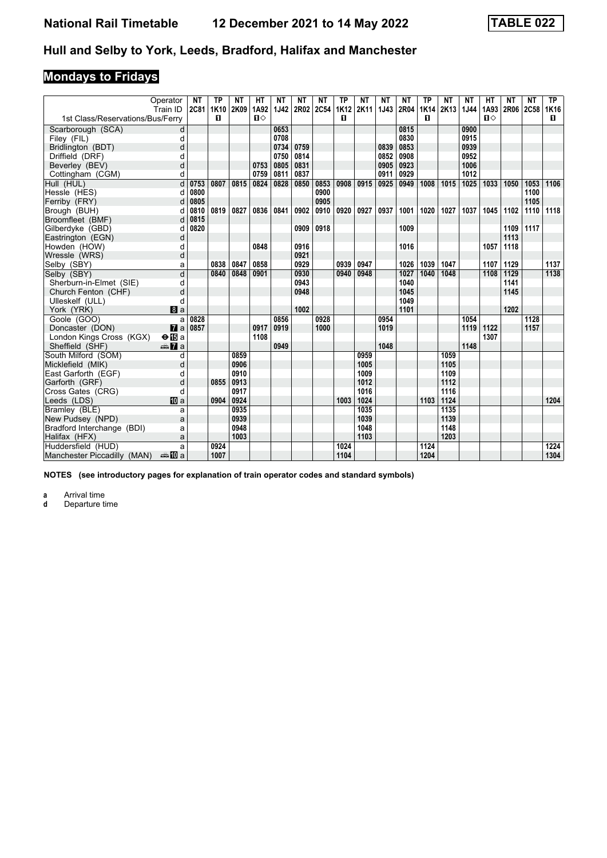# **Mondays to Fridays**

|                                  | Operator<br>Train ID  | NΤ   | ТP<br>2C81 1K10 | NΤ<br>2K09 | HТ<br>1A92   | NΤ<br><b>1J42</b> | NΤ<br>2R02 2C54 | NΤ   | ТP   | NΤ<br>1K12 2K11 | NΤ<br>1J43 | NΤ<br>2R04 | ТP<br><b>1K14</b> | ΝT<br>2K13 | NΤ<br>1J44 | <b>HT</b><br>1A93 | NΤ<br>2R06 2C58 1K16 | ΝT   | TP.  |
|----------------------------------|-----------------------|------|-----------------|------------|--------------|-------------------|-----------------|------|------|-----------------|------------|------------|-------------------|------------|------------|-------------------|----------------------|------|------|
| 1st Class/Reservations/Bus/Ferry |                       |      | п               |            | $\mathbf{n}$ |                   |                 |      | п    |                 |            |            | п                 |            |            | $\Pi$             |                      |      | П.   |
| Scarborough (SCA)                | d                     |      |                 |            |              | 0653              |                 |      |      |                 |            | 0815       |                   |            | 0900       |                   |                      |      |      |
| Filey (FIL)                      | d                     |      |                 |            |              | 0708              |                 |      |      |                 |            | 0830       |                   |            | 0915       |                   |                      |      |      |
| Bridlington (BDT)                | d                     |      |                 |            |              | 0734              | 0759            |      |      |                 | 0839       | 0853       |                   |            | 0939       |                   |                      |      |      |
| Driffield (DRF)                  | d                     |      |                 |            |              | 0750              | 0814            |      |      |                 | 0852       | 0908       |                   |            | 0952       |                   |                      |      |      |
| Beverley (BEV)                   | d                     |      |                 |            | 0753         | 0805              | 0831            |      |      |                 | 0905       | 0923       |                   |            | 1006       |                   |                      |      |      |
| Cottingham (CGM)                 | d                     |      |                 |            | 0759         | 0811              | 0837            |      |      |                 | 0911       | 0929       |                   |            | 1012       |                   |                      |      |      |
| Hull (HUL)                       | d                     | 0753 | 0807            | 0815       | 0824         | 0828              | 0850            | 0853 | 0908 | 0915            | 0925       | 0949       | 1008              | 1015       | 1025       | 1033              | 1050                 | 1053 | 1106 |
| Hessle (HES)                     | d                     | 0800 |                 |            |              |                   |                 | 0900 |      |                 |            |            |                   |            |            |                   |                      | 1100 |      |
| Ferriby (FRY)                    | d                     | 0805 |                 |            |              |                   |                 | 0905 |      |                 |            |            |                   |            |            |                   |                      | 1105 |      |
| Brough (BUH)                     | d                     | 0810 | 0819            | 0827       | 0836         | 0841              | 0902            | 0910 | 0920 | 0927            | 0937       | 1001       | 1020              | 1027       | 1037       | 1045              | 1102                 | 1110 | 1118 |
| Broomfleet (BMF)                 | d                     | 0815 |                 |            |              |                   |                 |      |      |                 |            |            |                   |            |            |                   |                      |      |      |
| Gilberdyke (GBD)                 | d                     | 0820 |                 |            |              |                   | 0909            | 0918 |      |                 |            | 1009       |                   |            |            |                   | 1109                 | 1117 |      |
| Eastrington (EGN)                | d                     |      |                 |            |              |                   |                 |      |      |                 |            |            |                   |            |            |                   | 1113                 |      |      |
| Howden (HOW)                     | d                     |      |                 |            | 0848         |                   | 0916            |      |      |                 |            | 1016       |                   |            |            | 1057              | 1118                 |      |      |
| Wressle (WRS)                    | d                     |      |                 |            |              |                   | 0921            |      |      |                 |            |            |                   |            |            |                   |                      |      |      |
| Selby (SBY)                      | a                     |      | 0838            | 0847       | 0858         |                   | 0929            |      | 0939 | 0947            |            | 1026       | 1039              | 1047       |            | 1107              | 1129                 |      | 1137 |
| Selby (SBY)                      | d                     |      | 0840            | 0848       | 0901         |                   | 0930            |      | 0940 | 0948            |            | 1027       | 1040              | 1048       |            | 1108              | $\frac{1129}{2}$     |      | 1138 |
| Sherburn-in-Elmet (SIE)          | q                     |      |                 |            |              |                   | 0943            |      |      |                 |            | 1040       |                   |            |            |                   | 1141                 |      |      |
| Church Fenton (CHF)              | d                     |      |                 |            |              |                   | 0948            |      |      |                 |            | 1045       |                   |            |            |                   | 1145                 |      |      |
| Ulleskelf (ULL)                  | d                     |      |                 |            |              |                   |                 |      |      |                 |            | 1049       |                   |            |            |                   |                      |      |      |
| York (YRK)                       | a                     |      |                 |            |              |                   | 1002            |      |      |                 |            | 1101       |                   |            |            |                   | 1202                 |      |      |
| Goole (GOO)                      | a                     | 0828 |                 |            |              | 0856              |                 | 0928 |      |                 | 0954       |            |                   |            | 1054       |                   |                      | 1128 |      |
| Doncaster (DON)                  | $\mathbf{z}$          | 0857 |                 |            | 0917         | 0919              |                 | 1000 |      |                 | 1019       |            |                   |            | 1119       | 1122              |                      | 1157 |      |
| London Kings Cross (KGX)         | $\Theta$ is a         |      |                 |            | 1108         |                   |                 |      |      |                 |            |            |                   |            |            | 1307              |                      |      |      |
| Sheffield (SHF)                  | $\oplus \mathbf{Z}$ a |      |                 |            |              | 0949              |                 |      |      |                 | 1048       |            |                   |            | 1148       |                   |                      |      |      |
| South Milford (SOM)              | d                     |      |                 | 0859       |              |                   |                 |      |      | 0959            |            |            |                   | 1059       |            |                   |                      |      |      |
| Micklefield (MIK)                | d                     |      |                 | 0906       |              |                   |                 |      |      | 1005            |            |            |                   | 1105       |            |                   |                      |      |      |
| East Garforth (EGF)              | d                     |      |                 | 0910       |              |                   |                 |      |      | 1009            |            |            |                   | 1109       |            |                   |                      |      |      |
| Garforth (GRF)                   | d                     |      | 0855            | 0913       |              |                   |                 |      |      | 1012            |            |            |                   | 1112       |            |                   |                      |      |      |
| Cross Gates (CRG)                | d                     |      |                 | 0917       |              |                   |                 |      |      | 1016            |            |            |                   | 1116       |            |                   |                      |      |      |
| Leeds (LDS)                      | <b>M</b> a            |      | 0904            | 0924       |              |                   |                 |      | 1003 | 1024            |            |            | 1103              | 1124       |            |                   |                      |      | 1204 |
| Bramley (BLE)                    | a                     |      |                 | 0935       |              |                   |                 |      |      | 1035            |            |            |                   | 1135       |            |                   |                      |      |      |
| New Pudsey (NPD)                 | a                     |      |                 | 0939       |              |                   |                 |      |      | 1039            |            |            |                   | 1139       |            |                   |                      |      |      |
| Bradford Interchange (BDI)       | a                     |      |                 | 0948       |              |                   |                 |      |      | 1048            |            |            |                   | 1148       |            |                   |                      |      |      |
| Halifax (HFX)                    | a                     |      |                 | 1003       |              |                   |                 |      |      | 1103            |            |            |                   | 1203       |            |                   |                      |      |      |
| Huddersfield (HUD)               | a                     |      | 0924            |            |              |                   |                 |      | 1024 |                 |            |            | 1124              |            |            |                   |                      |      | 1224 |
| Manchester Piccadilly (MAN)      | ⊯MDa                  |      | 1007            |            |              |                   |                 |      | 1104 |                 |            |            | 1204              |            |            |                   |                      |      | 1304 |

**NOTES (see introductory pages for explanation of train operator codes and standard symbols)**

**a** Arrival time<br>**d** Departure time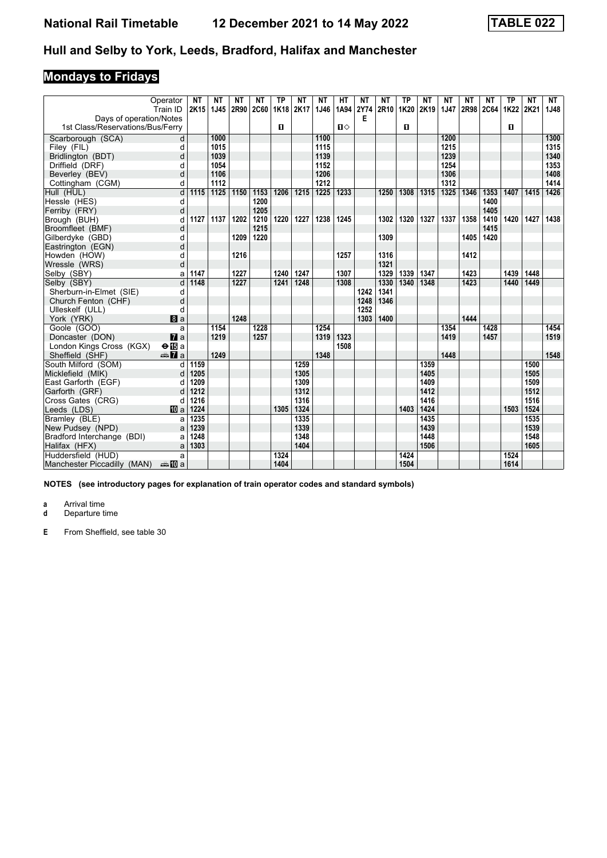# **Mondays to Fridays**

|                                  | Operator<br>Train ID  | <b>NT</b><br>2K15 | NΤ<br>1J45 | <b>NT</b><br>2R90 | NΤ<br><b>2C60</b> | <b>TP</b><br><b>1K18</b> | NΤ<br>2K17 | <b>NT</b><br>1J46 | HT<br>1A94   | <b>NT</b><br>2Y74 | NΤ<br>2R10 | <b>TP</b><br>1K20 | <b>NT</b><br>2K19 | <b>NT</b><br><b>1J47</b> | <b>NT</b><br>2R98 2C64 | <b>NT</b> | <b>TP</b><br>1K22 | <b>NT</b><br>2K21 | <b>NT</b><br>1J48 |
|----------------------------------|-----------------------|-------------------|------------|-------------------|-------------------|--------------------------|------------|-------------------|--------------|-------------------|------------|-------------------|-------------------|--------------------------|------------------------|-----------|-------------------|-------------------|-------------------|
| Days of operation/Notes          |                       |                   |            |                   |                   |                          |            |                   |              | Е                 |            |                   |                   |                          |                        |           |                   |                   |                   |
| 1st Class/Reservations/Bus/Ferry |                       |                   |            |                   |                   | $\mathbf{u}$             |            |                   | $\mathbf{u}$ |                   |            | п                 |                   |                          |                        |           | п                 |                   |                   |
|                                  | d                     |                   | 1000       |                   |                   |                          |            | 1100              |              |                   |            |                   |                   | 1200                     |                        |           |                   |                   | 1300              |
| Scarborough (SCA)<br>Filey (FIL) | d                     |                   | 1015       |                   |                   |                          |            | 1115              |              |                   |            |                   |                   | 1215                     |                        |           |                   |                   | 1315              |
| Bridlington (BDT)                | d                     |                   | 1039       |                   |                   |                          |            | 1139              |              |                   |            |                   |                   | 1239                     |                        |           |                   |                   | 1340              |
| Driffield (DRF)                  | d                     |                   | 1054       |                   |                   |                          |            | 1152              |              |                   |            |                   |                   | 1254                     |                        |           |                   |                   | 1353              |
| Beverley (BEV)                   | d                     |                   | 1106       |                   |                   |                          |            | 1206              |              |                   |            |                   |                   | 1306                     |                        |           |                   |                   | 1408              |
| Cottingham (CGM)                 | d                     |                   | 1112       |                   |                   |                          |            | 1212              |              |                   |            |                   |                   | 1312                     |                        |           |                   |                   | 1414              |
| Hull (HUL)                       | d                     | 1115              | 1125       | 1150              | 1153              | 1206                     | 1215       | 1225              | 1233         |                   | 1250       | 1308              | 1315              | 1325                     | 1346                   | 1353      | 1407              | 1415              | 1426              |
| Hessle (HES)                     | d                     |                   |            |                   | 1200              |                          |            |                   |              |                   |            |                   |                   |                          |                        | 1400      |                   |                   |                   |
| Ferriby (FRY)                    | d                     |                   |            |                   | 1205              |                          |            |                   |              |                   |            |                   |                   |                          |                        | 1405      |                   |                   |                   |
| Brough (BUH)                     | d                     | 1127              | 1137       | 1202              | 1210              | 1220                     | 1227       | 1238              | 1245         |                   | 1302       | 1320              | 1327              | 1337                     | 1358                   | 1410      | 1420              | 1427              | 1438              |
| Broomfleet (BMF)                 | d                     |                   |            |                   | 1215              |                          |            |                   |              |                   |            |                   |                   |                          |                        | 1415      |                   |                   |                   |
| Gilberdyke (GBD)                 | d                     |                   |            | 1209              | 1220              |                          |            |                   |              |                   | 1309       |                   |                   |                          | 1405                   | 1420      |                   |                   |                   |
| Eastrington (EGN)                | d                     |                   |            |                   |                   |                          |            |                   |              |                   |            |                   |                   |                          |                        |           |                   |                   |                   |
| Howden (HOW)                     | d                     |                   |            | 1216              |                   |                          |            |                   | 1257         |                   | 1316       |                   |                   |                          | 1412                   |           |                   |                   |                   |
| Wressle (WRS)                    | d                     |                   |            |                   |                   |                          |            |                   |              |                   | 1321       |                   |                   |                          |                        |           |                   |                   |                   |
| Selby (SBY)                      | a                     | 1147              |            | 1227              |                   | 1240                     | 1247       |                   | 1307         |                   | 1329       | 1339              | 1347              |                          | 1423                   |           | 1439              | 1448              |                   |
| Selby (SBY)                      | d                     | 1148              |            | 1227              |                   | 1241                     | 1248       |                   | 1308         |                   | 1330       | 1340              | 1348              |                          | 1423                   |           | 1440              | 1449              |                   |
| Sherburn-in-Elmet (SIE)          | d                     |                   |            |                   |                   |                          |            |                   |              | 1242              | 1341       |                   |                   |                          |                        |           |                   |                   |                   |
| Church Fenton (CHF)              | d                     |                   |            |                   |                   |                          |            |                   |              | 1248              | 1346       |                   |                   |                          |                        |           |                   |                   |                   |
| Ulleskelf (ULL)                  | d                     |                   |            |                   |                   |                          |            |                   |              | 1252              |            |                   |                   |                          |                        |           |                   |                   |                   |
| York (YRK)                       | a                     |                   |            | 1248              |                   |                          |            |                   |              | 1303              | 1400       |                   |                   |                          | 1444                   |           |                   |                   |                   |
| Goole (GOO)                      | a                     |                   | 1154       |                   | 1228              |                          |            | 1254              |              |                   |            |                   |                   | 1354                     |                        | 1428      |                   |                   | 1454              |
| Doncaster (DON)                  | $\mathbf{z}$ a        |                   | 1219       |                   | 1257              |                          |            | 1319              | 1323         |                   |            |                   |                   | 1419                     |                        | 1457      |                   |                   | 1519              |
| London Kings Cross (KGX)         | $\Theta$ is a         |                   |            |                   |                   |                          |            |                   | 1508         |                   |            |                   |                   |                          |                        |           |                   |                   |                   |
| Sheffield (SHF)                  | <b><del>€</del></b> a |                   | 1249       |                   |                   |                          |            | 1348              |              |                   |            |                   |                   | 1448                     |                        |           |                   |                   | 1548              |
| South Milford (SOM)              | d                     | 1159              |            |                   |                   |                          | 1259       |                   |              |                   |            |                   | 1359              |                          |                        |           |                   | 1500              |                   |
| Micklefield (MIK)                | d                     | 1205              |            |                   |                   |                          | 1305       |                   |              |                   |            |                   | 1405              |                          |                        |           |                   | 1505              |                   |
| East Garforth (EGF)              | d                     | 1209              |            |                   |                   |                          | 1309       |                   |              |                   |            |                   | 1409              |                          |                        |           |                   | 1509              |                   |
| Garforth (GRF)                   | d                     | 1212              |            |                   |                   |                          | 1312       |                   |              |                   |            |                   | 1412              |                          |                        |           |                   | 1512              |                   |
| Cross Gates (CRG)                | d                     | 1216              |            |                   |                   |                          | 1316       |                   |              |                   |            |                   | 1416              |                          |                        |           |                   | 1516              |                   |
| Leeds (LDS)                      | <b>ID</b> a           | 1224              |            |                   |                   | 1305                     | 1324       |                   |              |                   |            | 1403              | 1424              |                          |                        |           | 1503              | 1524              |                   |
| Bramley (BLE)                    | a                     | 1235              |            |                   |                   |                          | 1335       |                   |              |                   |            |                   | 1435              |                          |                        |           |                   | 1535              |                   |
| New Pudsey (NPD)                 | a                     | 1239              |            |                   |                   |                          | 1339       |                   |              |                   |            |                   | 1439              |                          |                        |           |                   | 1539              |                   |
| Bradford Interchange (BDI)       | a                     | 1248              |            |                   |                   |                          | 1348       |                   |              |                   |            |                   | 1448              |                          |                        |           |                   | 1548              |                   |
| Halifax (HFX)                    | a                     | 1303              |            |                   |                   |                          | 1404       |                   |              |                   |            |                   | 1506              |                          |                        |           |                   | 1605              |                   |
| Huddersfield (HUD)               | a                     |                   |            |                   |                   | 1324                     |            |                   |              |                   |            | 1424              |                   |                          |                        |           | 1524              |                   |                   |
| Manchester Piccadilly (MAN)      | anna mainm            |                   |            |                   |                   | 1404                     |            |                   |              |                   |            | 1504              |                   |                          |                        |           | 1614              |                   |                   |

**NOTES (see introductory pages for explanation of train operator codes and standard symbols)**

**a** Arrival time

**d** Departure time

**E** From Sheffield, see table 30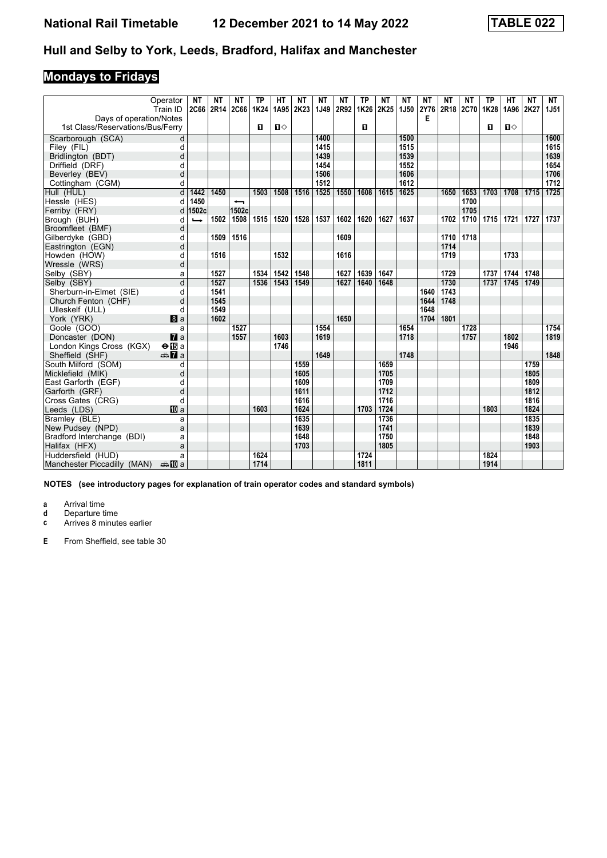# **Mondays to Fridays**

|                                  | Operator               | <b>NT</b> | NΤ   | <b>NT</b>                | <b>TP</b> | <b>HT</b>    | ΝT        | <b>NT</b> | <b>NT</b>   | <b>TP</b>      | <b>NT</b> | <b>NT</b>   | <b>NT</b> | <b>NT</b> | <b>NT</b> | <b>TP</b> | HT           | <b>NT</b> | <b>NT</b>   |
|----------------------------------|------------------------|-----------|------|--------------------------|-----------|--------------|-----------|-----------|-------------|----------------|-----------|-------------|-----------|-----------|-----------|-----------|--------------|-----------|-------------|
|                                  | Train ID               |           |      | 2C66 2R14 2C66 1K24      |           |              | 1A95 2K23 | 1J49      | <b>2R92</b> |                | 1K26 2K25 | <b>1J50</b> | 2Y76      | 2R18 2C70 |           | 1K28      | 1A96 2K27    |           | <b>1J51</b> |
| Days of operation/Notes          |                        |           |      |                          |           |              |           |           |             |                |           |             | Е         |           |           |           |              |           |             |
| 1st Class/Reservations/Bus/Ferry |                        |           |      |                          | п         | $\mathbf{u}$ |           |           |             | $\blacksquare$ |           |             |           |           |           | п         | $\mathbf{u}$ |           |             |
| Scarborough (SCA)                | d                      |           |      |                          |           |              |           | 1400      |             |                |           | 1500        |           |           |           |           |              |           | 1600        |
| Filey (FIL)                      | d                      |           |      |                          |           |              |           | 1415      |             |                |           | 1515        |           |           |           |           |              |           | 1615        |
| Bridlington (BDT)                | d                      |           |      |                          |           |              |           | 1439      |             |                |           | 1539        |           |           |           |           |              |           | 1639        |
| Driffield (DRF)                  | d                      |           |      |                          |           |              |           | 1454      |             |                |           | 1552        |           |           |           |           |              |           | 1654        |
| Beverley (BEV)                   | d                      |           |      |                          |           |              |           | 1506      |             |                |           | 1606        |           |           |           |           |              |           | 1706        |
| Cottingham (CGM)                 | d                      |           |      |                          |           |              |           | 1512      |             |                |           | 1612        |           |           |           |           |              |           | 1712        |
| Hull (HUL)                       | d                      | 1442      | 1450 |                          | 1503      | 1508         | 1516      | 1525      | 1550        | 1608           | 1615      | 1625        |           | 1650      | 1653      | 1703      | 1708         | 1715      | 1725        |
| Hessle (HES)                     | d                      | 1450      |      | $\overline{\phantom{0}}$ |           |              |           |           |             |                |           |             |           |           | 1700      |           |              |           |             |
| Ferriby (FRY)                    | d                      | 1502c     |      | 1502c                    |           |              |           |           |             |                |           |             |           |           | 1705      |           |              |           |             |
| Brough (BUH)                     | d                      | ↳         | 1502 | 1508                     | 1515      | 1520         | 1528      | 1537      | 1602        | 1620           | 1627      | 1637        |           | 1702      | 1710      | 1715      | 1721         | 1727      | 1737        |
| Broomfleet (BMF)                 | d                      |           |      |                          |           |              |           |           |             |                |           |             |           |           |           |           |              |           |             |
| Gilberdyke (GBD)                 | d                      |           | 1509 | 1516                     |           |              |           |           | 1609        |                |           |             |           | 1710      | 1718      |           |              |           |             |
| Eastrington (EGN)                | d                      |           |      |                          |           |              |           |           |             |                |           |             |           | 1714      |           |           |              |           |             |
| Howden (HOW)                     | d                      |           | 1516 |                          |           | 1532         |           |           | 1616        |                |           |             |           | 1719      |           |           | 1733         |           |             |
| Wressle (WRS)                    | d                      |           |      |                          |           |              |           |           |             |                |           |             |           |           |           |           |              |           |             |
| Selby (SBY)                      | a                      |           | 1527 |                          | 1534      | 1542         | 1548      |           | 1627        | 1639           | 1647      |             |           | 1729      |           | 1737      | 1744         | 1748      |             |
| Selby (SBY)                      | d                      |           | 1527 |                          | 1536      | 1543         | 1549      |           | 1627        | 1640           | 1648      |             |           | 1730      |           | 1737      | 1745         | 1749      |             |
| Sherburn-in-Elmet (SIE)          | d                      |           | 1541 |                          |           |              |           |           |             |                |           |             | 1640      | 1743      |           |           |              |           |             |
| Church Fenton (CHF)              | d                      |           | 1545 |                          |           |              |           |           |             |                |           |             | 1644      | 1748      |           |           |              |           |             |
| Ulleskelf (ULL)                  | d                      |           | 1549 |                          |           |              |           |           |             |                |           |             | 1648      |           |           |           |              |           |             |
| York (YRK)                       | a                      |           | 1602 |                          |           |              |           |           | 1650        |                |           |             | 1704      | 1801      |           |           |              |           |             |
| Goole (GOO)                      | a                      |           |      | 1527                     |           |              |           | 1554      |             |                |           | 1654        |           |           | 1728      |           |              |           | 1754        |
| Doncaster (DON)                  | $\mathbf{z}$ a         |           |      | 1557                     |           | 1603         |           | 1619      |             |                |           | 1718        |           |           | 1757      |           | 1802         |           | 1819        |
| London Kings Cross (KGX)         | $\Theta$ is a          |           |      |                          |           | 1746         |           |           |             |                |           |             |           |           |           |           | 1946         |           |             |
| Sheffield (SHF)                  | <b><del>€</del></b> a  |           |      |                          |           |              |           | 1649      |             |                |           | 1748        |           |           |           |           |              |           | 1848        |
| South Milford (SOM)              | d                      |           |      |                          |           |              | 1559      |           |             |                | 1659      |             |           |           |           |           |              | 1759      |             |
| Micklefield (MIK)                | d                      |           |      |                          |           |              | 1605      |           |             |                | 1705      |             |           |           |           |           |              | 1805      |             |
| East Garforth (EGF)              | d                      |           |      |                          |           |              | 1609      |           |             |                | 1709      |             |           |           |           |           |              | 1809      |             |
| Garforth (GRF)                   | d                      |           |      |                          |           |              | 1611      |           |             |                | 1712      |             |           |           |           |           |              | 1812      |             |
| Cross Gates (CRG)                | d                      |           |      |                          |           |              | 1616      |           |             |                | 1716      |             |           |           |           |           |              | 1816      |             |
| Leeds (LDS)                      | <b>四</b> a             |           |      |                          | 1603      |              | 1624      |           |             | 1703           | 1724      |             |           |           |           | 1803      |              | 1824      |             |
| Bramley (BLE)                    | a                      |           |      |                          |           |              | 1635      |           |             |                | 1736      |             |           |           |           |           |              | 1835      |             |
| New Pudsey (NPD)                 | a                      |           |      |                          |           |              | 1639      |           |             |                | 1741      |             |           |           |           |           |              | 1839      |             |
| Bradford Interchange (BDI)       | a                      |           |      |                          |           |              | 1648      |           |             |                | 1750      |             |           |           |           |           |              | 1848      |             |
| Halifax (HFX)                    | a                      |           |      |                          |           |              | 1703      |           |             |                | 1805      |             |           |           |           |           |              | 1903      |             |
| Huddersfield (HUD)               | a                      |           |      |                          | 1624      |              |           |           |             | 1724           |           |             |           |           |           | 1824      |              |           |             |
| Manchester Piccadilly (MAN)      | dana <mark>an</mark> ⊡ |           |      |                          | 1714      |              |           |           |             | 1811           |           |             |           |           |           | 1914      |              |           |             |

**NOTES (see introductory pages for explanation of train operator codes and standard symbols)**

**a** Arrival time

**d** Departure time<br>**c** Arrives 8 minute

Arrives 8 minutes earlier

**E** From Sheffield, see table 30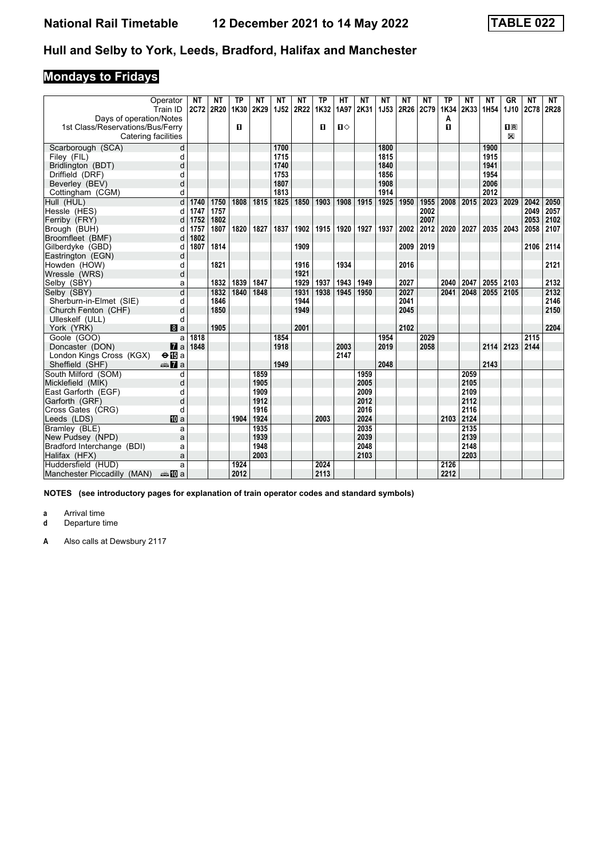# **Mondays to Fridays**

|                                  | Operator<br>Train ID  | <b>NT</b><br>2C72 | NΤ<br>2R20 | TP<br>1K30 | NΤ<br>2K29 | <b>NT</b><br><b>1J52</b> | ΝT<br>2R22 | <b>TP</b><br>1K32 | HТ<br>1A97 | ΝT<br>2K31 | ΝT<br><b>1J53</b> | NΤ<br>2R26 | NΤ<br><b>2C79</b> | <b>TP</b><br>1K34 | NΤ<br>2K33 | <b>NT</b><br>1H <sub>54</sub> | GR<br>1J10              | <b>NT</b><br><b>2C78</b> | <b>NT</b><br>2R28 |
|----------------------------------|-----------------------|-------------------|------------|------------|------------|--------------------------|------------|-------------------|------------|------------|-------------------|------------|-------------------|-------------------|------------|-------------------------------|-------------------------|--------------------------|-------------------|
| Days of operation/Notes          |                       |                   |            |            |            |                          |            |                   |            |            |                   |            |                   | Α                 |            |                               |                         |                          |                   |
| 1st Class/Reservations/Bus/Ferry |                       |                   |            | O          |            |                          |            | 0                 | Ⅱ♦         |            |                   |            |                   | п                 |            |                               | $\overline{\mathbf{R}}$ |                          |                   |
| Catering facilities              |                       |                   |            |            |            |                          |            |                   |            |            |                   |            |                   |                   |            |                               | $\mathbb{X}$            |                          |                   |
| Scarborough (SCA)                | d                     |                   |            |            |            | 1700                     |            |                   |            |            | 1800              |            |                   |                   |            | 1900                          |                         |                          |                   |
| Filey (FIL)                      | d                     |                   |            |            |            | 1715                     |            |                   |            |            | 1815              |            |                   |                   |            | 1915                          |                         |                          |                   |
| Bridlington (BDT)                | d                     |                   |            |            |            | 1740                     |            |                   |            |            | 1840              |            |                   |                   |            | 1941                          |                         |                          |                   |
| Driffield (DRF)                  | d                     |                   |            |            |            | 1753                     |            |                   |            |            | 1856              |            |                   |                   |            | 1954                          |                         |                          |                   |
| Beverley (BEV)                   | d                     |                   |            |            |            | 1807                     |            |                   |            |            | 1908              |            |                   |                   |            | 2006                          |                         |                          |                   |
| Cottingham (CGM)                 | d                     |                   |            |            |            | 1813                     |            |                   |            |            | 1914              |            |                   |                   |            | 2012                          |                         |                          |                   |
| Hull (HUL)                       | d                     | 1740              | 1750       | 1808       | 1815       | 1825                     | 1850       | 1903              | 1908       | 1915       | 1925              | 1950       | 1955              | 2008              | 2015       | 2023                          | 2029                    | 2042                     | 2050              |
| Hessle (HES)                     | d                     | 1747              | 1757       |            |            |                          |            |                   |            |            |                   |            | 2002              |                   |            |                               |                         | 2049                     | 2057              |
| Ferriby (FRY)                    | d                     | 1752              | 1802       |            |            |                          |            |                   |            |            |                   |            | 2007              |                   |            |                               |                         | 2053                     | 2102              |
| Brough (BUH)                     | d                     | 1757              | 1807       | 1820       | 1827       | 1837                     | 1902       | 1915              | 1920       | 1927       | 1937              | 2002       | 2012              | 2020              | 2027       | 2035                          | 2043                    | 2058                     | 2107              |
| Broomfleet (BMF)                 | d                     | 1802              |            |            |            |                          |            |                   |            |            |                   |            |                   |                   |            |                               |                         |                          |                   |
| Gilberdyke (GBD)                 | d                     | 1807              | 1814       |            |            |                          | 1909       |                   |            |            |                   | 2009       | 2019              |                   |            |                               |                         | 2106                     | 2114              |
| Eastrington (EGN)                | d                     |                   |            |            |            |                          |            |                   |            |            |                   |            |                   |                   |            |                               |                         |                          |                   |
| Howden (HOW)                     | d                     |                   | 1821       |            |            |                          | 1916       |                   | 1934       |            |                   | 2016       |                   |                   |            |                               |                         |                          | 2121              |
| Wressle (WRS)                    | d                     |                   |            |            |            |                          | 1921       |                   |            |            |                   |            |                   |                   |            |                               |                         |                          |                   |
| Selby (SBY)                      | a                     |                   | 1832       | 1839       | 1847       |                          | 1929       | 1937              | 1943       | 1949       |                   | 2027       |                   | 2040              | 2047       | 2055                          | 2103                    |                          | 2132              |
| Selby (SBY)                      | d                     |                   | 1832       | 1840       | 1848       |                          | 1931       | 1938              | 1945       | 1950       |                   | 2027       |                   | 2041              | 2048       | 2055                          | 2105                    |                          | 2132              |
| Sherburn-in-Elmet (SIE)          | d                     |                   | 1846       |            |            |                          | 1944       |                   |            |            |                   | 2041       |                   |                   |            |                               |                         |                          | 2146              |
| Church Fenton (CHF)              | d                     |                   | 1850       |            |            |                          | 1949       |                   |            |            |                   | 2045       |                   |                   |            |                               |                         |                          | 2150              |
| Ulleskelf (ULL)                  | d                     |                   |            |            |            |                          |            |                   |            |            |                   |            |                   |                   |            |                               |                         |                          |                   |
| York (YRK)                       | 8a                    |                   | 1905       |            |            |                          | 2001       |                   |            |            |                   | 2102       |                   |                   |            |                               |                         |                          | 2204              |
| Goole (GOO)                      | a                     | 1818              |            |            |            | 1854                     |            |                   |            |            | 1954              |            | 2029              |                   |            |                               |                         | 2115                     |                   |
| Doncaster (DON)                  | $\mathbf{z}$ a        | 1848              |            |            |            | 1918                     |            |                   | 2003       |            | 2019              |            | 2058              |                   |            | 2114                          | 2123                    | 2144                     |                   |
| London Kings Cross (KGX)         | $\Theta$ is a         |                   |            |            |            |                          |            |                   | 2147       |            |                   |            |                   |                   |            |                               |                         |                          |                   |
| Sheffield (SHF)                  | <b><del>€</del></b> a |                   |            |            |            | 1949                     |            |                   |            |            | 2048              |            |                   |                   |            | 2143                          |                         |                          |                   |
| South Milford (SOM)              | d                     |                   |            |            | 1859       |                          |            |                   |            | 1959       |                   |            |                   |                   | 2059       |                               |                         |                          |                   |
| Micklefield (MIK)                | d                     |                   |            |            | 1905       |                          |            |                   |            | 2005       |                   |            |                   |                   | 2105       |                               |                         |                          |                   |
| East Garforth (EGF)              | d                     |                   |            |            | 1909       |                          |            |                   |            | 2009       |                   |            |                   |                   | 2109       |                               |                         |                          |                   |
| Garforth (GRF)                   | d                     |                   |            |            | 1912       |                          |            |                   |            | 2012       |                   |            |                   |                   | 2112       |                               |                         |                          |                   |
| Cross Gates (CRG)                | d                     |                   |            |            | 1916       |                          |            |                   |            | 2016       |                   |            |                   |                   | 2116       |                               |                         |                          |                   |
| Leeds (LDS)                      | <b>ID</b> a           |                   |            | 1904       | 1924       |                          |            | 2003              |            | 2024       |                   |            |                   | 2103              | 2124       |                               |                         |                          |                   |
| Bramley (BLE)                    | a                     |                   |            |            | 1935       |                          |            |                   |            | 2035       |                   |            |                   |                   | 2135       |                               |                         |                          |                   |
| New Pudsey (NPD)                 | a                     |                   |            |            | 1939       |                          |            |                   |            | 2039       |                   |            |                   |                   | 2139       |                               |                         |                          |                   |
| Bradford Interchange (BDI)       | a                     |                   |            |            | 1948       |                          |            |                   |            | 2048       |                   |            |                   |                   | 2148       |                               |                         |                          |                   |
| Halifax (HFX)                    | a                     |                   |            |            | 2003       |                          |            |                   |            | 2103       |                   |            |                   |                   | 2203       |                               |                         |                          |                   |
| Huddersfield (HUD)               | a                     |                   |            | 1924       |            |                          |            | 2024              |            |            |                   |            |                   | 2126              |            |                               |                         |                          |                   |
| Manchester Piccadilly (MAN)      | anna ¶Da              |                   |            | 2012       |            |                          |            | 2113              |            |            |                   |            |                   | 2212              |            |                               |                         |                          |                   |

**NOTES (see introductory pages for explanation of train operator codes and standard symbols)**

**a** Arrival time<br>**d** Departure ti

**d** Departure time

**A** Also calls at Dewsbury 211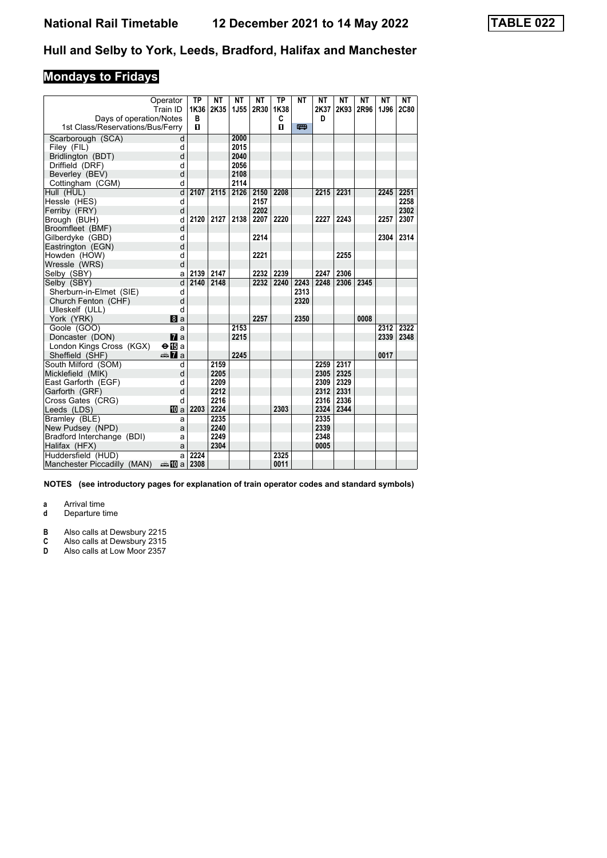# **Mondays to Fridays**

| Operator                                                    | TP        | ΝT   | NΤ          | NΤ   | <b>TP</b> | NΤ   | NΤ        | NΤ   | <b>NT</b> | NΤ   | NΤ          |
|-------------------------------------------------------------|-----------|------|-------------|------|-----------|------|-----------|------|-----------|------|-------------|
| Train ID                                                    | 1K36<br>B | 2K35 | <b>1J55</b> | 2R30 | 1K38      |      | 2K37<br>D | 2K93 | 2R96      | 1J96 | <b>2C80</b> |
| Days of operation/Notes<br>1st Class/Reservations/Bus/Ferry | п         |      |             |      | C<br>п    | 四    |           |      |           |      |             |
|                                                             |           |      |             |      |           |      |           |      |           |      |             |
| Scarborough (SCA)<br>d                                      |           |      | 2000        |      |           |      |           |      |           |      |             |
| Filey (FIL)<br>d                                            |           |      | 2015        |      |           |      |           |      |           |      |             |
| d<br>Bridlington (BDT)                                      |           |      | 2040        |      |           |      |           |      |           |      |             |
| Driffield (DRF)<br>d                                        |           |      | 2056        |      |           |      |           |      |           |      |             |
| d<br>Beverley (BEV)                                         |           |      | 2108        |      |           |      |           |      |           |      |             |
| d<br>Cottingham (CGM)                                       |           |      | 2114        |      |           |      |           |      |           |      |             |
| d<br>Hull (HUL)                                             | 2107      | 2115 | 2126        | 2150 | 2208      |      | 2215      | 2231 |           | 2245 | 2251        |
| Hessle (HES)<br>d                                           |           |      |             | 2157 |           |      |           |      |           |      | 2258        |
| Ferriby (FRY)<br>d                                          |           |      |             | 2202 |           |      |           |      |           |      | 2302        |
| Brough (BUH)<br>d                                           | 2120      | 2127 | 2138        | 2207 | 2220      |      | 2227      | 2243 |           | 2257 | 2307        |
| Broomfleet (BMF)<br>d                                       |           |      |             |      |           |      |           |      |           |      |             |
| Gilberdyke (GBD)<br>d                                       |           |      |             | 2214 |           |      |           |      |           | 2304 | 2314        |
| d<br>Eastrington (EGN)                                      |           |      |             |      |           |      |           |      |           |      |             |
| Howden (HOW)<br>d                                           |           |      |             | 2221 |           |      |           | 2255 |           |      |             |
| Wressle (WRS)<br>d                                          |           |      |             |      |           |      |           |      |           |      |             |
| Selby (SBY)<br>a                                            | 2139      | 2147 |             | 2232 | 2239      |      | 2247      | 2306 |           |      |             |
| d<br>Selby (SBY)                                            | 2140      | 2148 |             | 2232 | 2240      | 2243 | 2248      | 2306 | 2345      |      |             |
| Sherburn-in-Elmet (SIE)<br>d                                |           |      |             |      |           | 2313 |           |      |           |      |             |
| Church Fenton (CHF)<br>d                                    |           |      |             |      |           | 2320 |           |      |           |      |             |
| d<br>Ulleskelf (ULL)                                        |           |      |             |      |           |      |           |      |           |      |             |
| York (YRK)<br><b>B</b> a                                    |           |      |             | 2257 |           | 2350 |           |      | 0008      |      |             |
| Goole (GOO)<br>a                                            |           |      | 2153        |      |           |      |           |      |           | 2312 | 2322        |
| Doncaster (DON)<br>$\mathbf{z}$                             |           |      | 2215        |      |           |      |           |      |           | 2339 | 2348        |
| London Kings Cross (KGX)<br>$\Theta$ is a                   |           |      |             |      |           |      |           |      |           |      |             |
| Sheffield (SHF)<br><del>⊯</del> ∎a                          |           |      | 2245        |      |           |      |           |      |           | 0017 |             |
| South Milford (SOM)<br>d                                    |           | 2159 |             |      |           |      | 2259      | 2317 |           |      |             |
| Micklefield (MIK)<br>d                                      |           | 2205 |             |      |           |      | 2305      | 2325 |           |      |             |
| East Garforth (EGF)<br>d                                    |           | 2209 |             |      |           |      | 2309      | 2329 |           |      |             |
| Garforth (GRF)<br>d                                         |           | 2212 |             |      |           |      | 2312      | 2331 |           |      |             |
| d<br>Cross Gates (CRG)                                      |           | 2216 |             |      |           |      | 2316      | 2336 |           |      |             |
| Leeds (LDS)<br><b>ID</b> a                                  | 2203      | 2224 |             |      | 2303      |      | 2324      | 2344 |           |      |             |
| Bramley (BLE)<br>a                                          |           | 2235 |             |      |           |      | 2335      |      |           |      |             |
| New Pudsey (NPD)<br>a                                       |           | 2240 |             |      |           |      | 2339      |      |           |      |             |
| Bradford Interchange (BDI)<br>a                             |           | 2249 |             |      |           |      | 2348      |      |           |      |             |
| Halifax (HFX)<br>a                                          |           | 2304 |             |      |           |      | 0005      |      |           |      |             |
| Huddersfield (HUD)<br>a                                     | 2224      |      |             |      | 2325      |      |           |      |           |      |             |
| Manchester Piccadilly (MAN)<br>dannan ma                    | 2308      |      |             |      | 0011      |      |           |      |           |      |             |

**NOTES (see introductory pages for explanation of train operator codes and standard symbols)**

**a** Arrival time

- **B** Also calls at Dewsbury 2215
- **&** Also calls at Dewsbury 2315
- **D** Also calls at Low Moor 235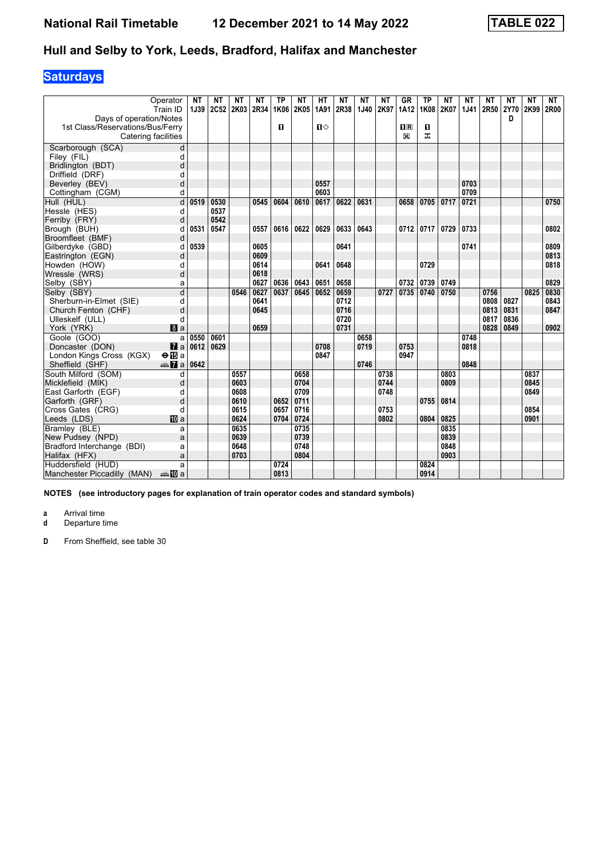# **Saturdays**

| Operator                                  | <b>NT</b> | NΤ   | NΤ   | NΤ   | ТP   | ΝT   | HТ           | NΤ   | NΤ   | NΤ   | GR                      | ТP   | ΝT   | NΤ          | NΤ   | NΤ          | NΤ   | NT   |
|-------------------------------------------|-----------|------|------|------|------|------|--------------|------|------|------|-------------------------|------|------|-------------|------|-------------|------|------|
| Train ID                                  | 1J39      | 2C52 | 2K03 | 2R34 | 1K06 | 2K05 | 1A91         | 2R38 | 1J40 | 2K97 | 1A12                    | 1K08 | 2K07 | <b>1J41</b> | 2R50 | <b>2Y70</b> | 2K99 | 2R00 |
| Days of operation/Notes                   |           |      |      |      |      |      |              |      |      |      |                         |      |      |             |      | D           |      |      |
| 1st Class/Reservations/Bus/Ferry          |           |      |      |      | п    |      | $\mathbf{u}$ |      |      |      | $\overline{\mathbf{H}}$ | O    |      |             |      |             |      |      |
| Catering facilities                       |           |      |      |      |      |      |              |      |      |      | X                       | ᠼ    |      |             |      |             |      |      |
| Scarborough (SCA)<br>d                    |           |      |      |      |      |      |              |      |      |      |                         |      |      |             |      |             |      |      |
| Filey (FIL)<br>d                          |           |      |      |      |      |      |              |      |      |      |                         |      |      |             |      |             |      |      |
| Bridlington (BDT)<br>d                    |           |      |      |      |      |      |              |      |      |      |                         |      |      |             |      |             |      |      |
| Driffield (DRF)<br>d                      |           |      |      |      |      |      |              |      |      |      |                         |      |      |             |      |             |      |      |
| d<br>Beverley (BEV)                       |           |      |      |      |      |      | 0557         |      |      |      |                         |      |      | 0703        |      |             |      |      |
| Cottingham (CGM)<br>d                     |           |      |      |      |      |      | 0603         |      |      |      |                         |      |      | 0709        |      |             |      |      |
| d<br>Hull (HUL)                           | 0519      | 0530 |      | 0545 | 0604 | 0610 | 0617         | 0622 | 0631 |      | 0658                    | 0705 | 0717 | 0721        |      |             |      | 0750 |
| Hessle (HES)<br>d                         |           | 0537 |      |      |      |      |              |      |      |      |                         |      |      |             |      |             |      |      |
| Ferriby (FRY)<br>d                        |           | 0542 |      |      |      |      |              |      |      |      |                         |      |      |             |      |             |      |      |
| Brough (BUH)<br>d                         | 0531      | 0547 |      | 0557 | 0616 | 0622 | 0629         | 0633 | 0643 |      | 0712                    | 0717 | 0729 | 0733        |      |             |      | 0802 |
| Broomfleet (BMF)<br>d                     |           |      |      |      |      |      |              |      |      |      |                         |      |      |             |      |             |      |      |
| Gilberdyke (GBD)<br>d                     | 0539      |      |      | 0605 |      |      |              | 0641 |      |      |                         |      |      | 0741        |      |             |      | 0809 |
| Eastrington (EGN)<br>d                    |           |      |      | 0609 |      |      |              |      |      |      |                         |      |      |             |      |             |      | 0813 |
| Howden (HOW)<br>d                         |           |      |      | 0614 |      |      | 0641         | 0648 |      |      |                         | 0729 |      |             |      |             |      | 0818 |
| Wressle (WRS)<br>d                        |           |      |      | 0618 |      |      |              |      |      |      |                         |      |      |             |      |             |      |      |
| Selby (SBY)<br>a                          |           |      |      | 0627 | 0636 | 0643 | 0651         | 0658 |      |      | 0732                    | 0739 | 0749 |             |      |             |      | 0829 |
| d<br>Selby (SBY)                          |           |      | 0546 | 0627 | 0637 | 0645 | 0652         | 0659 |      | 0727 | 0735                    | 0740 | 0750 |             | 0756 |             | 0825 | 0830 |
| Sherburn-in-Elmet (SIE)<br>d              |           |      |      | 0641 |      |      |              | 0712 |      |      |                         |      |      |             | 0808 | 0827        |      | 0843 |
| Church Fenton (CHF)<br>d                  |           |      |      | 0645 |      |      |              | 0716 |      |      |                         |      |      |             | 0813 | 0831        |      | 0847 |
| Ulleskelf (ULL)<br>d                      |           |      |      |      |      |      |              | 0720 |      |      |                         |      |      |             | 0817 | 0836        |      |      |
| York (YRK)<br>8a                          |           |      |      | 0659 |      |      |              | 0731 |      |      |                         |      |      |             | 0828 | 0849        |      | 0902 |
| Goole (GOO)<br>a                          | 0550      | 0601 |      |      |      |      |              |      | 0658 |      |                         |      |      | 0748        |      |             |      |      |
| Doncaster (DON)<br>$\mathbf{z}$ a         | 0612      | 0629 |      |      |      |      | 0708         |      | 0719 |      | 0753                    |      |      | 0818        |      |             |      |      |
| $\Theta$ is a<br>London Kings Cross (KGX) |           |      |      |      |      |      | 0847         |      |      |      | 0947                    |      |      |             |      |             |      |      |
| Sheffield (SHF)<br>dan <b>7</b> a         | 0642      |      |      |      |      |      |              |      | 0746 |      |                         |      |      | 0848        |      |             |      |      |
| South Milford (SOM)<br>d                  |           |      | 0557 |      |      | 0658 |              |      |      | 0738 |                         |      | 0803 |             |      |             | 0837 |      |
| Micklefield (MIK)<br>d                    |           |      | 0603 |      |      | 0704 |              |      |      | 0744 |                         |      | 0809 |             |      |             | 0845 |      |
| East Garforth (EGF)<br>d                  |           |      | 0608 |      |      | 0709 |              |      |      | 0748 |                         |      |      |             |      |             | 0849 |      |
| Garforth (GRF)<br>d                       |           |      | 0610 |      | 0652 | 0711 |              |      |      |      |                         | 0755 | 0814 |             |      |             |      |      |
| Cross Gates (CRG)<br>d                    |           |      | 0615 |      | 0657 | 0716 |              |      |      | 0753 |                         |      |      |             |      |             | 0854 |      |
| <b>ID</b> a<br>Leeds (LDS)                |           |      | 0624 |      | 0704 | 0724 |              |      |      | 0802 |                         | 0804 | 0825 |             |      |             | 0901 |      |
| Bramley (BLE)<br>a                        |           |      | 0635 |      |      | 0735 |              |      |      |      |                         |      | 0835 |             |      |             |      |      |
| New Pudsey (NPD)<br>a                     |           |      | 0639 |      |      | 0739 |              |      |      |      |                         |      | 0839 |             |      |             |      |      |
| Bradford Interchange (BDI)<br>a           |           |      | 0648 |      |      | 0748 |              |      |      |      |                         |      | 0848 |             |      |             |      |      |
| Halifax (HFX)<br>a                        |           |      | 0703 |      |      | 0804 |              |      |      |      |                         |      | 0903 |             |      |             |      |      |
| Huddersfield (HUD)<br>a                   |           |      |      |      | 0724 |      |              |      |      |      |                         | 0824 |      |             |      |             |      |      |
| Manchester Piccadilly (MAN)<br>anno ma    |           |      |      |      | 0813 |      |              |      |      |      |                         | 0914 |      |             |      |             |      |      |

**NOTES (see introductory pages for explanation of train operator codes and standard symbols)**

**a** Arrival time<br>**d** Departure t

**d** Departure time

**D** From Sheffield, see table 30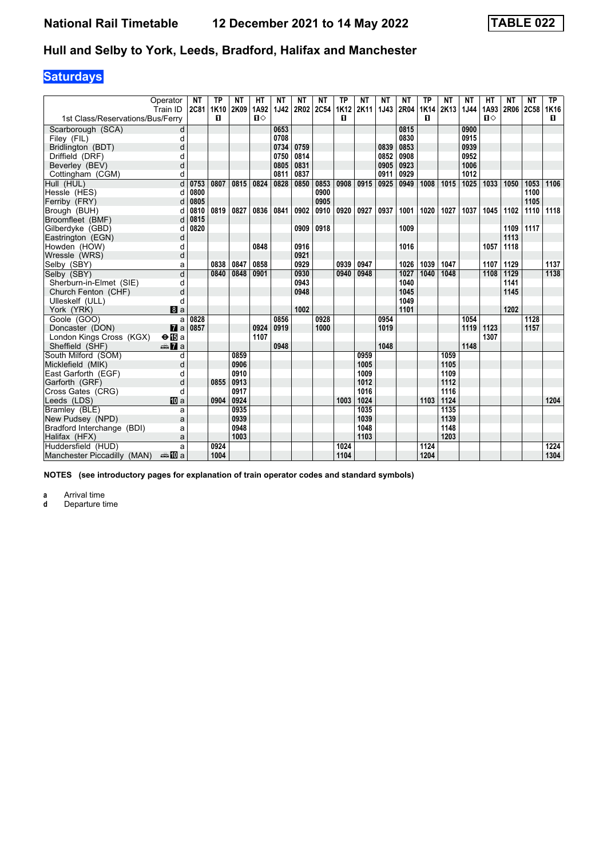# **Saturdays**

|                                  | Operator<br>Train ID  | <b>NT</b><br>2C81 | ТP<br>1K10 | ΝT<br>2K09 | HТ<br>1A92 | NΤ<br>1J42 | NΤ<br>2R02 | NΤ<br><b>2C54</b> | TP<br>1K12 | ΝT<br>2K11 | NΤ<br>1J43 | NΤ<br>2R04 | TP<br><b>1K14</b> | ΝT<br>2K13 | <b>NT</b><br>1J44 | HТ<br>1A93 | NΤ<br>2R06 | ΝT<br>2C58 | TP<br>1K16 |
|----------------------------------|-----------------------|-------------------|------------|------------|------------|------------|------------|-------------------|------------|------------|------------|------------|-------------------|------------|-------------------|------------|------------|------------|------------|
| 1st Class/Reservations/Bus/Ferry |                       |                   | п          |            | $\Pi$      |            |            |                   | п          |            |            |            | п                 |            |                   | $\Pi$      |            |            | п          |
| Scarborough (SCA)                | d                     |                   |            |            |            | 0653       |            |                   |            |            |            | 0815       |                   |            | 0900              |            |            |            |            |
| Filey (FIL)                      | d                     |                   |            |            |            | 0708       |            |                   |            |            |            | 0830       |                   |            | 0915              |            |            |            |            |
| Bridlington (BDT)                | d                     |                   |            |            |            | 0734       | 0759       |                   |            |            | 0839       | 0853       |                   |            | 0939              |            |            |            |            |
| Driffield (DRF)                  | d                     |                   |            |            |            | 0750       | 0814       |                   |            |            | 0852       | 0908       |                   |            | 0952              |            |            |            |            |
| Beverley (BEV)                   | d                     |                   |            |            |            | 0805       | 0831       |                   |            |            | 0905       | 0923       |                   |            | 1006              |            |            |            |            |
| Cottingham (CGM)                 | d                     |                   |            |            |            | 0811       | 0837       |                   |            |            | 0911       | 0929       |                   |            | 1012              |            |            |            |            |
| Hull (HUL)                       | d                     | 0753              | 0807       | 0815       | 0824       | 0828       | 0850       | 0853              | 0908       | 0915       | 0925       | 0949       | 1008              | 1015       | 1025              | 1033       | 1050       | 1053       | 1106       |
| Hessle (HES)                     | d                     | 0800              |            |            |            |            |            | 0900              |            |            |            |            |                   |            |                   |            |            | 1100       |            |
| Ferriby (FRY)                    | d                     | 0805              |            |            |            |            |            | 0905              |            |            |            |            |                   |            |                   |            |            | 1105       |            |
| Brough (BUH)                     | d                     | 0810              | 0819       | 0827       | 0836       | 0841       | 0902       | 0910              | 0920       | 0927       | 0937       | 1001       | 1020              | 1027       | 1037              | 1045       | 1102       | 1110       | 1118       |
| Broomfleet (BMF)                 |                       | 0815              |            |            |            |            |            |                   |            |            |            |            |                   |            |                   |            |            |            |            |
| Gilberdyke (GBD)                 | d                     | 0820              |            |            |            |            | 0909       | 0918              |            |            |            | 1009       |                   |            |                   |            | 1109       | 1117       |            |
| Eastrington (EGN)                | d                     |                   |            |            |            |            |            |                   |            |            |            |            |                   |            |                   |            | 1113       |            |            |
| Howden (HOW)                     | d                     |                   |            |            | 0848       |            | 0916       |                   |            |            |            | 1016       |                   |            |                   | 1057       | 1118       |            |            |
| Wressle (WRS)                    | d                     |                   |            |            |            |            | 0921       |                   |            |            |            |            |                   |            |                   |            |            |            |            |
| Selby (SBY)                      | a                     |                   | 0838       | 0847       | 0858       |            | 0929       |                   | 0939       | 0947       |            | 1026       | 1039              | 1047       |                   | 1107       | 1129       |            | 1137       |
| Selby (SBY)                      | d                     |                   | 0840       | 0848       | 0901       |            | 0930       |                   | 0940       | 0948       |            | 1027       | 1040              | 1048       |                   | 1108       | 1129       |            | 1138       |
| Sherburn-in-Elmet (SIE)          | d                     |                   |            |            |            |            | 0943       |                   |            |            |            | 1040       |                   |            |                   |            | 1141       |            |            |
| Church Fenton (CHF)              | d                     |                   |            |            |            |            | 0948       |                   |            |            |            | 1045       |                   |            |                   |            | 1145       |            |            |
| Ulleskelf (ULL)                  | d                     |                   |            |            |            |            |            |                   |            |            |            | 1049       |                   |            |                   |            |            |            |            |
| York (YRK)                       | $\mathbf{B}$ a        |                   |            |            |            |            | 1002       |                   |            |            |            | 1101       |                   |            |                   |            | 1202       |            |            |
| Goole (GOO)                      | a                     | 0828              |            |            |            | 0856       |            | 0928              |            |            | 0954       |            |                   |            | 1054              |            |            | 1128       |            |
| Doncaster (DON)                  | $\mathbf{z}$ a        | 0857              |            |            | 0924       | 0919       |            | 1000              |            |            | 1019       |            |                   |            | 1119              | 1123       |            | 1157       |            |
| London Kings Cross (KGX)         | $\Theta$ is a         |                   |            |            | 1107       |            |            |                   |            |            |            |            |                   |            |                   | 1307       |            |            |            |
| Sheffield (SHF)                  | nna <mark>7</mark> a  |                   |            |            |            | 0948       |            |                   |            |            | 1048       |            |                   |            | 1148              |            |            |            |            |
| South Milford (SOM)              | d                     |                   |            | 0859       |            |            |            |                   |            | 0959       |            |            |                   | 1059       |                   |            |            |            |            |
| Micklefield (MIK)                | d                     |                   |            | 0906       |            |            |            |                   |            | 1005       |            |            |                   | 1105       |                   |            |            |            |            |
| East Garforth (EGF)              | d                     |                   |            | 0910       |            |            |            |                   |            | 1009       |            |            |                   | 1109       |                   |            |            |            |            |
| Garforth (GRF)                   | d                     |                   | 0855       | 0913       |            |            |            |                   |            | 1012       |            |            |                   | 1112       |                   |            |            |            |            |
| Cross Gates (CRG)                | d                     |                   |            | 0917       |            |            |            |                   |            | 1016       |            |            |                   | 1116       |                   |            |            |            |            |
| Leeds (LDS)                      | <b>ID</b> a           |                   | 0904       | 0924       |            |            |            |                   | 1003       | 1024       |            |            | 1103              | 1124       |                   |            |            |            | 1204       |
| Bramley (BLE)                    | a                     |                   |            | 0935       |            |            |            |                   |            | 1035       |            |            |                   | 1135       |                   |            |            |            |            |
| New Pudsey (NPD)                 | a                     |                   |            | 0939       |            |            |            |                   |            | 1039       |            |            |                   | 1139       |                   |            |            |            |            |
| Bradford Interchange (BDI)       | a                     |                   |            | 0948       |            |            |            |                   |            | 1048       |            |            |                   | 1148       |                   |            |            |            |            |
| Halifax (HFX)                    | a                     |                   |            | 1003       |            |            |            |                   |            | 1103       |            |            |                   | 1203       |                   |            |            |            |            |
| Huddersfield (HUD)               | a                     |                   | 0924       |            |            |            |            |                   | 1024       |            |            |            | 1124              |            |                   |            |            |            | 1224       |
| Manchester Piccadilly (MAN)      | dana <mark>ana</mark> |                   | 1004       |            |            |            |            |                   | 1104       |            |            |            | 1204              |            |                   |            |            |            | 1304       |

**NOTES (see introductory pages for explanation of train operator codes and standard symbols)**

**a** Arrival time<br>**d** Departure time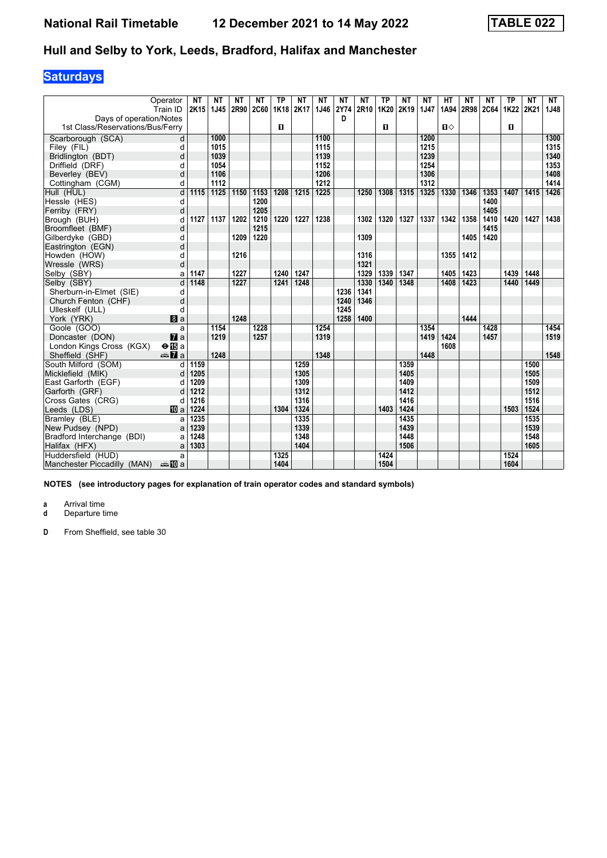# **Saturdays**

|                                  | Operator              | <b>NT</b> | NΤ   | <b>NT</b> | NΤ          | <b>TP</b> | <b>NT</b> | <b>NT</b> | <b>NT</b> | <b>NT</b> | <b>TP</b> | <b>NT</b> | NΤ   | <b>HT</b> | <b>NT</b> | <b>NT</b> | <b>TP</b> | <b>NT</b> | <b>NT</b> |
|----------------------------------|-----------------------|-----------|------|-----------|-------------|-----------|-----------|-----------|-----------|-----------|-----------|-----------|------|-----------|-----------|-----------|-----------|-----------|-----------|
|                                  | Train ID              | 2K15      | 1J45 | 2R90      | <b>2C60</b> | 1K18      | 2K17      | 1J46      | 2Y74      | 2R10      | 1K20      | 2K19      | 1J47 | 1A94      | 2R98 2C64 |           | 1K22 2K21 |           | 1J48      |
| Days of operation/Notes          |                       |           |      |           |             |           |           |           | D         |           |           |           |      |           |           |           |           |           |           |
| 1st Class/Reservations/Bus/Ferry |                       |           |      |           |             | п         |           |           |           |           | п         |           |      | $\P$      |           |           | О         |           |           |
| Scarborough (SCA)                | d                     |           | 1000 |           |             |           |           | 1100      |           |           |           |           | 1200 |           |           |           |           |           | 1300      |
| Filey (FIL)                      | d                     |           | 1015 |           |             |           |           | 1115      |           |           |           |           | 1215 |           |           |           |           |           | 1315      |
| Bridlington (BDT)                | d                     |           | 1039 |           |             |           |           | 1139      |           |           |           |           | 1239 |           |           |           |           |           | 1340      |
| Driffield (DRF)                  | d                     |           | 1054 |           |             |           |           | 1152      |           |           |           |           | 1254 |           |           |           |           |           | 1353      |
| Beverley (BEV)                   | d                     |           | 1106 |           |             |           |           | 1206      |           |           |           |           | 1306 |           |           |           |           |           | 1408      |
| Cottingham (CGM)                 | d                     |           | 1112 |           |             |           |           | 1212      |           |           |           |           | 1312 |           |           |           |           |           | 1414      |
| Hull (HUL)                       | d                     | 1115      | 1125 | 1150      | 1153        | 1208      | 1215      | 1225      |           | 1250      | 1308      | 1315      | 1325 | 1330      | 1346      | 1353      | 1407      | 1415      | 1426      |
| Hessle (HES)                     | d                     |           |      |           | 1200        |           |           |           |           |           |           |           |      |           |           | 1400      |           |           |           |
| Ferriby (FRY)                    | d                     |           |      |           | 1205        |           |           |           |           |           |           |           |      |           |           | 1405      |           |           |           |
| Brough (BUH)                     | d                     | 1127      | 1137 | 1202      | 1210        | 1220      | 1227      | 1238      |           | 1302      | 1320      | 1327      | 1337 | 1342      | 1358      | 1410      | 1420      | 1427      | 1438      |
| Broomfleet (BMF)                 | d                     |           |      |           | 1215        |           |           |           |           |           |           |           |      |           |           | 1415      |           |           |           |
| Gilberdyke (GBD)                 | d                     |           |      | 1209      | 1220        |           |           |           |           | 1309      |           |           |      |           | 1405      | 1420      |           |           |           |
| Eastrington (EGN)                | d                     |           |      |           |             |           |           |           |           |           |           |           |      |           |           |           |           |           |           |
| Howden (HOW)                     | d                     |           |      | 1216      |             |           |           |           |           | 1316      |           |           |      | 1355      | 1412      |           |           |           |           |
| Wressle (WRS)                    | d                     |           |      |           |             |           |           |           |           | 1321      |           |           |      |           |           |           |           |           |           |
| Selby (SBY)                      | a                     | 1147      |      | 1227      |             | 1240      | 1247      |           |           | 1329      | 1339      | 1347      |      | 1405      | 1423      |           | 1439      | 1448      |           |
| Selby (SBY)                      | d                     | 1148      |      | 1227      |             | 1241      | 1248      |           |           | 1330      | 1340      | 1348      |      | 1408      | 1423      |           | 1440      | 1449      |           |
| Sherburn-in-Elmet (SIE)          | d                     |           |      |           |             |           |           |           | 1236      | 1341      |           |           |      |           |           |           |           |           |           |
| Church Fenton (CHF)              | d                     |           |      |           |             |           |           |           | 1240      | 1346      |           |           |      |           |           |           |           |           |           |
| Ulleskelf (ULL)                  | d                     |           |      |           |             |           |           |           | 1245      |           |           |           |      |           |           |           |           |           |           |
| York (YRK)                       | $\blacksquare$ a      |           |      | 1248      |             |           |           |           | 1258      | 1400      |           |           |      |           | 1444      |           |           |           |           |
| Goole (GOO)                      | a                     |           | 1154 |           | 1228        |           |           | 1254      |           |           |           |           | 1354 |           |           | 1428      |           |           | 1454      |
| Doncaster (DON)                  | $\mathbf{z}$          |           | 1219 |           | 1257        |           |           | 1319      |           |           |           |           | 1419 | 1424      |           | 1457      |           |           | 1519      |
| London Kings Cross (KGX)         | $\Theta$ <b>i</b> B a |           |      |           |             |           |           |           |           |           |           |           |      | 1608      |           |           |           |           |           |
| Sheffield (SHF)                  | <b><del>€</del></b> a |           | 1248 |           |             |           |           | 1348      |           |           |           |           | 1448 |           |           |           |           |           | 1548      |
| South Milford (SOM)              | d                     | 1159      |      |           |             |           | 1259      |           |           |           |           | 1359      |      |           |           |           |           | 1500      |           |
| Micklefield (MIK)                | d                     | 1205      |      |           |             |           | 1305      |           |           |           |           | 1405      |      |           |           |           |           | 1505      |           |
| East Garforth (EGF)              | d                     | 1209      |      |           |             |           | 1309      |           |           |           |           | 1409      |      |           |           |           |           | 1509      |           |
| Garforth (GRF)                   | d                     | 1212      |      |           |             |           | 1312      |           |           |           |           | 1412      |      |           |           |           |           | 1512      |           |
| Cross Gates (CRG)                | d                     | 1216      |      |           |             |           | 1316      |           |           |           |           | 1416      |      |           |           |           |           | 1516      |           |
| Leeds (LDS)                      | <b>ID</b> a           | 1224      |      |           |             | 1304      | 1324      |           |           |           | 1403      | 1424      |      |           |           |           | 1503      | 1524      |           |
| Bramley (BLE)                    | a                     | 1235      |      |           |             |           | 1335      |           |           |           |           | 1435      |      |           |           |           |           | 1535      |           |
| New Pudsey (NPD)                 | a                     | 1239      |      |           |             |           | 1339      |           |           |           |           | 1439      |      |           |           |           |           | 1539      |           |
| Bradford Interchange (BDI)       | a                     | 1248      |      |           |             |           | 1348      |           |           |           |           | 1448      |      |           |           |           |           | 1548      |           |
| Halifax (HFX)                    | a                     | 1303      |      |           |             |           | 1404      |           |           |           |           | 1506      |      |           |           |           |           | 1605      |           |
| Huddersfield (HUD)               | a                     |           |      |           |             | 1325      |           |           |           |           | 1424      |           |      |           |           |           | 1524      |           |           |
| Manchester Piccadilly (MAN)      | anna mainm            |           |      |           |             | 1404      |           |           |           |           | 1504      |           |      |           |           |           | 1604      |           |           |

**NOTES (see introductory pages for explanation of train operator codes and standard symbols)**

**a** Arrival time

**d** Departure time

**D** From Sheffield, see table 30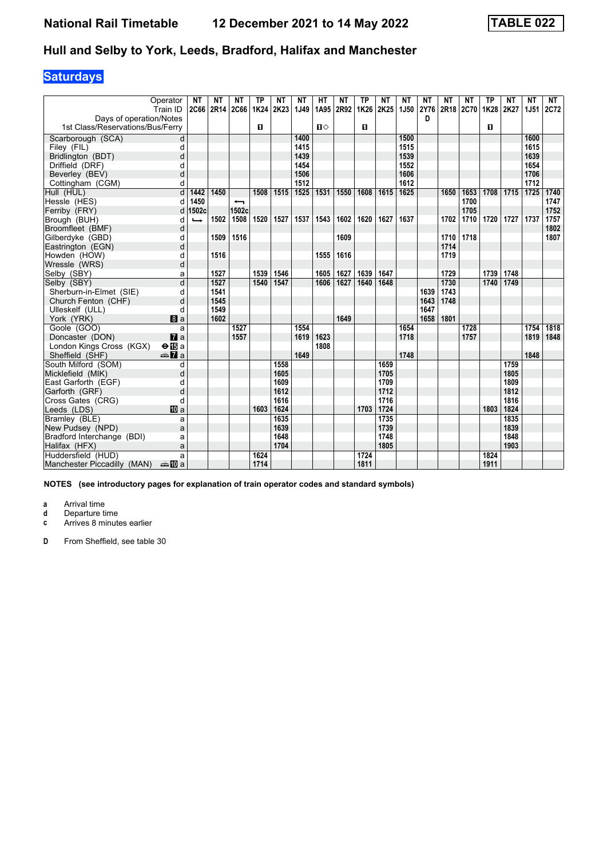# **Saturdays**

|                                  | Operator               | NΤ            | NΤ   | NΤ                       | ΤР   | NΤ   | NT   | HТ   | NΤ   | <b>TP</b> | NΤ   | NΤ          | NT          | NΤ   | NT          | <b>TP</b> | NT   | NΤ          | <b>NT</b> |
|----------------------------------|------------------------|---------------|------|--------------------------|------|------|------|------|------|-----------|------|-------------|-------------|------|-------------|-----------|------|-------------|-----------|
|                                  | Train ID               | <b>2C66</b>   | 2R14 | <b>2C66</b>              | 1K24 | 2K23 | 1J49 | 1A95 | 2R92 | 1K26      | 2K25 | <b>1J50</b> | <b>2Y76</b> | 2R18 | <b>2C70</b> | 1K28      | 2K27 | <b>1J51</b> | 2C72      |
| Davs of operation/Notes          |                        |               |      |                          |      |      |      |      |      |           |      |             | D           |      |             |           |      |             |           |
| 1st Class/Reservations/Bus/Ferry |                        |               |      |                          | п    |      |      | $\P$ |      | O         |      |             |             |      |             | O         |      |             |           |
| Scarborough (SCA)                | d                      |               |      |                          |      |      | 1400 |      |      |           |      | 1500        |             |      |             |           |      | 1600        |           |
| Filey (FIL)                      | d                      |               |      |                          |      |      | 1415 |      |      |           |      | 1515        |             |      |             |           |      | 1615        |           |
| Bridlington (BDT)                | d                      |               |      |                          |      |      | 1439 |      |      |           |      | 1539        |             |      |             |           |      | 1639        |           |
| Driffield (DRF)                  | d                      |               |      |                          |      |      | 1454 |      |      |           |      | 1552        |             |      |             |           |      | 1654        |           |
| Beverley (BEV)                   | d                      |               |      |                          |      |      | 1506 |      |      |           |      | 1606        |             |      |             |           |      | 1706        |           |
| Cottingham (CGM)                 | d                      |               |      |                          |      |      | 1512 |      |      |           |      | 1612        |             |      |             |           |      | 1712        |           |
| Hull (HUL)                       | d                      | 1442          | 1450 |                          | 1508 | 1515 | 1525 | 1531 | 1550 | 1608      | 1615 | 1625        |             | 1650 | 1653        | 1708      | 1715 | 1725        | 1740      |
| Hessle (HES)                     | d                      | 1450          |      | $\overline{\phantom{0}}$ |      |      |      |      |      |           |      |             |             |      | 1700        |           |      |             | 1747      |
| Ferriby (FRY)                    | d                      | 1502c         |      | 1502c                    |      |      |      |      |      |           |      |             |             |      | 1705        |           |      |             | 1752      |
| Brough (BUH)                     | d                      | $\rightarrow$ | 1502 | 1508                     | 1520 | 1527 | 1537 | 1543 | 1602 | 1620      | 1627 | 1637        |             | 1702 | 1710        | 1720      | 1727 | 1737        | 1757      |
| Broomfleet (BMF)                 | d                      |               |      |                          |      |      |      |      |      |           |      |             |             |      |             |           |      |             | 1802      |
| Gilberdyke (GBD)                 | d                      |               | 1509 | 1516                     |      |      |      |      | 1609 |           |      |             |             | 1710 | 1718        |           |      |             | 1807      |
| Eastrington (EGN)                | d                      |               |      |                          |      |      |      |      |      |           |      |             |             | 1714 |             |           |      |             |           |
| Howden (HOW)                     | d                      |               | 1516 |                          |      |      |      | 1555 | 1616 |           |      |             |             | 1719 |             |           |      |             |           |
| Wressle (WRS)                    | d                      |               |      |                          |      |      |      |      |      |           |      |             |             |      |             |           |      |             |           |
| Selby (SBY)                      | a                      |               | 1527 |                          | 1539 | 1546 |      | 1605 | 1627 | 1639      | 1647 |             |             | 1729 |             | 1739      | 1748 |             |           |
| Selby (SBY)                      | d                      |               | 1527 |                          | 1540 | 1547 |      | 1606 | 1627 | 1640      | 1648 |             |             | 1730 |             | 1740      | 1749 |             |           |
| Sherburn-in-Elmet (SIE)          | d                      |               | 1541 |                          |      |      |      |      |      |           |      |             | 1639        | 1743 |             |           |      |             |           |
| Church Fenton (CHF)              | d                      |               | 1545 |                          |      |      |      |      |      |           |      |             | 1643        | 1748 |             |           |      |             |           |
| Ulleskelf (ULL)                  | d                      |               | 1549 |                          |      |      |      |      |      |           |      |             | 1647        |      |             |           |      |             |           |
| York (YRK)                       | <b>B</b> a             |               | 1602 |                          |      |      |      |      | 1649 |           |      |             | 1658        | 1801 |             |           |      |             |           |
| Goole (GOO)                      | a                      |               |      | 1527                     |      |      | 1554 |      |      |           |      | 1654        |             |      | 1728        |           |      | 1754        | 1818      |
| Doncaster (DON)                  | $\mathbf{z}$           |               |      | 1557                     |      |      | 1619 | 1623 |      |           |      | 1718        |             |      | 1757        |           |      | 1819        | 1848      |
| London Kings Cross (KGX)         | $\Theta$ <b>i</b> B a  |               |      |                          |      |      |      | 1808 |      |           |      |             |             |      |             |           |      |             |           |
| Sheffield (SHF)                  | <b><del>€</del></b> 7a |               |      |                          |      |      | 1649 |      |      |           |      | 1748        |             |      |             |           |      | 1848        |           |
| South Milford (SOM)              | d                      |               |      |                          |      | 1558 |      |      |      |           | 1659 |             |             |      |             |           | 1759 |             |           |
| Micklefield (MIK)                | d                      |               |      |                          |      | 1605 |      |      |      |           | 1705 |             |             |      |             |           | 1805 |             |           |
| East Garforth (EGF)              | d                      |               |      |                          |      | 1609 |      |      |      |           | 1709 |             |             |      |             |           | 1809 |             |           |
| Garforth (GRF)                   | d                      |               |      |                          |      | 1612 |      |      |      |           | 1712 |             |             |      |             |           | 1812 |             |           |
| Cross Gates (CRG)                | d                      |               |      |                          |      | 1616 |      |      |      |           | 1716 |             |             |      |             |           | 1816 |             |           |
| Leeds (LDS)                      | <b>四</b> a             |               |      |                          | 1603 | 1624 |      |      |      | 1703      | 1724 |             |             |      |             | 1803      | 1824 |             |           |
| Bramley (BLE)                    | a                      |               |      |                          |      | 1635 |      |      |      |           | 1735 |             |             |      |             |           | 1835 |             |           |
| New Pudsey (NPD)                 | a                      |               |      |                          |      | 1639 |      |      |      |           | 1739 |             |             |      |             |           | 1839 |             |           |
| Bradford Interchange (BDI)       | a                      |               |      |                          |      | 1648 |      |      |      |           | 1748 |             |             |      |             |           | 1848 |             |           |
| Halifax (HFX)                    | a                      |               |      |                          |      | 1704 |      |      |      |           | 1805 |             |             |      |             |           | 1903 |             |           |
| Huddersfield (HUD)               | a                      |               |      |                          | 1624 |      |      |      |      | 1724      |      |             |             |      |             | 1824      |      |             |           |
| Manchester Piccadilly (MAN)      | anno ma                |               |      |                          | 1714 |      |      |      |      | 1811      |      |             |             |      |             | 1911      |      |             |           |

**NOTES (see introductory pages for explanation of train operator codes and standard symbols)**

**a** Arrival time

**d** Departure time<br>**c** Arrives 8 minute

Arrives 8 minutes earlier

**D** From Sheffield, see table 30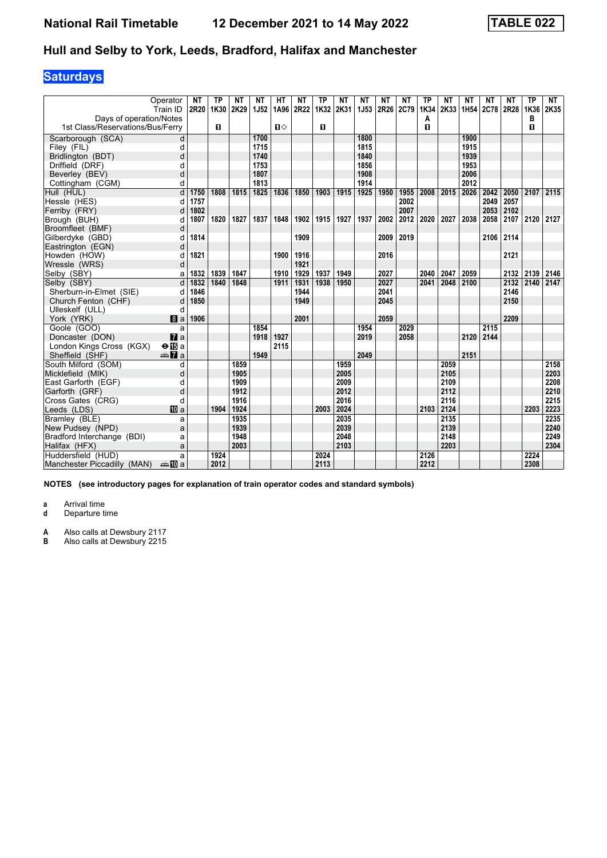# **Saturdays**

| Operator                         |                 | NΤ   | ΤP   | NΤ   | NΤ   | HТ   | NT   | <b>TP</b> | NΤ   | NΤ          | NT          | NΤ   | TP   | NΤ   | NT               | NΤ   | NT          | <b>TP</b> | NT   |
|----------------------------------|-----------------|------|------|------|------|------|------|-----------|------|-------------|-------------|------|------|------|------------------|------|-------------|-----------|------|
| Train ID                         |                 | 2R20 | 1K30 | 2K29 | 1J52 | 1A96 | 2R22 | 1K32      | 2K31 | <b>1J53</b> | <b>2R26</b> | 2C79 | 1K34 | 2K33 | 1H <sub>54</sub> | 2C78 | <b>2R28</b> | 1K36      | 2K35 |
| Days of operation/Notes          |                 |      |      |      |      |      |      |           |      |             |             |      | А    |      |                  |      |             | в         |      |
| 1st Class/Reservations/Bus/Ferry |                 |      | 0    |      |      | п⇔   |      | 0         |      |             |             |      | п    |      |                  |      |             | п         |      |
| Scarborough (SCA)                | d               |      |      |      | 1700 |      |      |           |      | 1800        |             |      |      |      | 1900             |      |             |           |      |
| Filey (FIL)                      | d               |      |      |      | 1715 |      |      |           |      | 1815        |             |      |      |      | 1915             |      |             |           |      |
| Bridlington (BDT)                | d               |      |      |      | 1740 |      |      |           |      | 1840        |             |      |      |      | 1939             |      |             |           |      |
| Driffield (DRF)                  | d               |      |      |      | 1753 |      |      |           |      | 1856        |             |      |      |      | 1953             |      |             |           |      |
| Beverley (BEV)                   | d               |      |      |      | 1807 |      |      |           |      | 1908        |             |      |      |      | 2006             |      |             |           |      |
| Cottingham (CGM)                 | d               |      |      |      | 1813 |      |      |           |      | 1914        |             |      |      |      | 2012             |      |             |           |      |
| Hull (HUL)                       | d               | 1750 | 1808 | 1815 | 1825 | 1836 | 1850 | 1903      | 1915 | 1925        | 1950        | 1955 | 2008 | 2015 | 2026             | 2042 | 2050        | 2107      | 2115 |
| Hessle (HES)                     | d               | 1757 |      |      |      |      |      |           |      |             |             | 2002 |      |      |                  | 2049 | 2057        |           |      |
| Ferriby (FRY)                    | d               | 1802 |      |      |      |      |      |           |      |             |             | 2007 |      |      |                  | 2053 | 2102        |           |      |
| Brough (BUH)                     | C               | 1807 | 1820 | 1827 | 1837 | 1848 | 1902 | 1915      | 1927 | 1937        | 2002        | 2012 | 2020 | 2027 | 2038             | 2058 | 2107        | 2120      | 2127 |
| Broomfleet (BMF)                 | d               |      |      |      |      |      |      |           |      |             |             |      |      |      |                  |      |             |           |      |
| Gilberdyke (GBD)                 | d               | 1814 |      |      |      |      | 1909 |           |      |             | 2009        | 2019 |      |      |                  | 2106 | 2114        |           |      |
| Eastrington (EGN)                | d               |      |      |      |      |      |      |           |      |             |             |      |      |      |                  |      |             |           |      |
| Howden (HOW)                     | C               | 1821 |      |      |      | 1900 | 1916 |           |      |             | 2016        |      |      |      |                  |      | 2121        |           |      |
| Wressle (WRS)                    | d               |      |      |      |      |      | 1921 |           |      |             |             |      |      |      |                  |      |             |           |      |
| Selby (SBY)                      | a               | 1832 | 1839 | 1847 |      | 1910 | 1929 | 1937      | 1949 |             | 2027        |      | 2040 | 2047 | 2059             |      | 2132        | 2139      | 2146 |
| Selby (SBY)                      | d               | 1832 | 1840 | 1848 |      | 1911 | 1931 | 1938      | 1950 |             | 2027        |      | 2041 | 2048 | 2100             |      | 2132        | 2140      | 2147 |
| Sherburn-in-Elmet (SIE)          | d               | 1846 |      |      |      |      | 1944 |           |      |             | 2041        |      |      |      |                  |      | 2146        |           |      |
| Church Fenton (CHF)              | d               | 1850 |      |      |      |      | 1949 |           |      |             | 2045        |      |      |      |                  |      | 2150        |           |      |
| Ulleskelf (ULL)                  | d               |      |      |      |      |      |      |           |      |             |             |      |      |      |                  |      |             |           |      |
| York (YRK)                       | 8a              | 1906 |      |      |      |      | 2001 |           |      |             | 2059        |      |      |      |                  |      | 2209        |           |      |
| Goole (GOO)                      | a               |      |      |      | 1854 |      |      |           |      | 1954        |             | 2029 |      |      |                  | 2115 |             |           |      |
| Doncaster (DON)                  | $\mathbf{z}$    |      |      |      | 1918 | 1927 |      |           |      | 2019        |             | 2058 |      |      | 2120             | 2144 |             |           |      |
| London Kings Cross (KGX)         | $\Theta$ is a   |      |      |      |      | 2115 |      |           |      |             |             |      |      |      |                  |      |             |           |      |
| Sheffield (SHF)                  | <del>⊯</del> ∎a |      |      |      | 1949 |      |      |           |      | 2049        |             |      |      |      | 2151             |      |             |           |      |
| South Milford (SOM)              | d               |      |      | 1859 |      |      |      |           | 1959 |             |             |      |      | 2059 |                  |      |             |           | 2158 |
| Micklefield (MIK)                | d               |      |      | 1905 |      |      |      |           | 2005 |             |             |      |      | 2105 |                  |      |             |           | 2203 |
| East Garforth (EGF)              | d               |      |      | 1909 |      |      |      |           | 2009 |             |             |      |      | 2109 |                  |      |             |           | 2208 |
| Garforth (GRF)                   | d               |      |      | 1912 |      |      |      |           | 2012 |             |             |      |      | 2112 |                  |      |             |           | 2210 |
| Cross Gates (CRG)                | d               |      |      | 1916 |      |      |      |           | 2016 |             |             |      |      | 2116 |                  |      |             |           | 2215 |
| Leeds (LDS)                      | 吅 a             |      | 1904 | 1924 |      |      |      | 2003      | 2024 |             |             |      | 2103 | 2124 |                  |      |             | 2203      | 2223 |
| Bramley (BLE)                    | a               |      |      | 1935 |      |      |      |           | 2035 |             |             |      |      | 2135 |                  |      |             |           | 2235 |
| New Pudsey (NPD)                 | a               |      |      | 1939 |      |      |      |           | 2039 |             |             |      |      | 2139 |                  |      |             |           | 2240 |
| Bradford Interchange (BDI)       | a               |      |      | 1948 |      |      |      |           | 2048 |             |             |      |      | 2148 |                  |      |             |           | 2249 |
| Halifax (HFX)                    | a               |      |      | 2003 |      |      |      |           | 2103 |             |             |      |      | 2203 |                  |      |             |           | 2304 |
| Huddersfield (HUD)               | a               |      | 1924 |      |      |      |      | 2024      |      |             |             |      | 2126 |      |                  |      |             | 2224      |      |
| Manchester Piccadilly (MAN)      | anna nDia       |      | 2012 |      |      |      |      | 2113      |      |             |             |      | 2212 |      |                  |      |             | 2308      |      |

**NOTES (see introductory pages for explanation of train operator codes and standard symbols)**

**a** Arrival time

**d** Departure time

**A** Also calls at Dewsbury 2117<br>**B** Also calls at Dewsbury 2215

**B** Also calls at Dewsbury 2215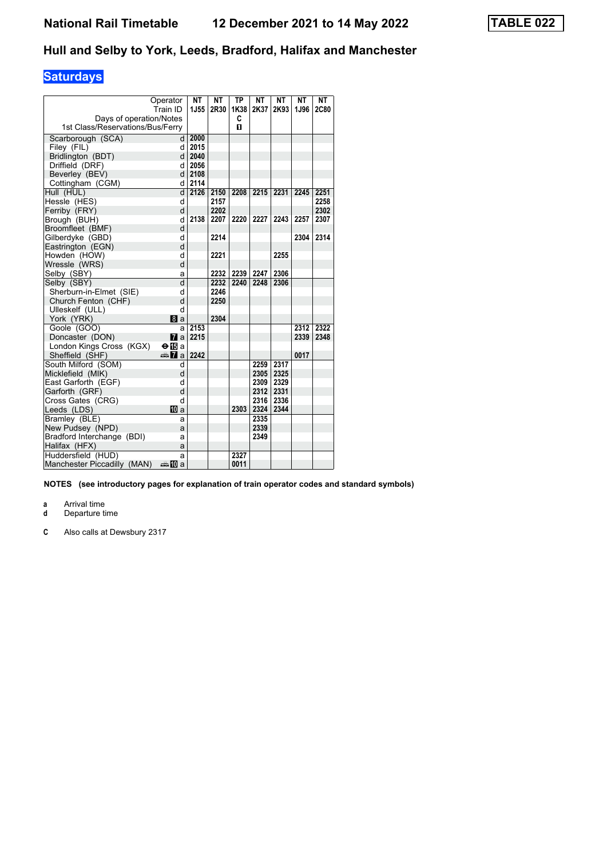# **Saturdays**

|                                  |                         | <b>NT</b> | <b>NT</b> | <b>TP</b> | <b>NT</b> | <b>NT</b> | <b>NT</b> | <b>NT</b>   |
|----------------------------------|-------------------------|-----------|-----------|-----------|-----------|-----------|-----------|-------------|
|                                  | Operator<br>Train ID    | 1J55      |           |           |           |           |           |             |
|                                  |                         |           | 2R30      | 1K38      | 2K37      | 2K93      | 1J96      | <b>2C80</b> |
| Days of operation/Notes          |                         |           |           | C         |           |           |           |             |
| 1st Class/Reservations/Bus/Ferry |                         |           |           | п         |           |           |           |             |
| Scarborough (SCA)                | d                       | 2000      |           |           |           |           |           |             |
| Filey (FIL)                      | d                       | 2015      |           |           |           |           |           |             |
| Bridlington (BDT)                | d l                     | 2040      |           |           |           |           |           |             |
| Driffield (DRF)                  | d                       | 2056      |           |           |           |           |           |             |
| Beverley (BEV)                   | d                       | 2108      |           |           |           |           |           |             |
| Cottingham (CGM)                 | d                       | 2114      |           |           |           |           |           |             |
| Hull (HUL)                       | d                       | 2126      | 2150      | 2208      | 2215      | 2231      | 2245      | 2251        |
| Hessle (HES)                     | d                       |           | 2157      |           |           |           |           | 2258        |
| Ferriby (FRY)                    | d                       |           | 2202      |           |           |           |           | 2302        |
| Brough (BUH)                     | d                       | 2138      | 2207      | 2220      | 2227      | 2243      | 2257      | 2307        |
| Broomfleet (BMF)                 | d                       |           |           |           |           |           |           |             |
| Gilberdyke (GBD)                 | d                       |           | 2214      |           |           |           | 2304      | 2314        |
| Eastrington (EGN)                | d                       |           |           |           |           |           |           |             |
| Howden (HOW)                     | d                       |           | 2221      |           |           | 2255      |           |             |
| Wressle (WRS)                    | d                       |           |           |           |           |           |           |             |
| Selby (SBY)                      | a                       |           | 2232      | 2239      | 2247      | 2306      |           |             |
| Selby (SBY)                      | d                       |           | 2232      | 2240      | 2248      | 2306      |           |             |
| Sherburn-in-Elmet (SIE)          | d                       |           | 2246      |           |           |           |           |             |
| Church Fenton (CHF)              | d                       |           | 2250      |           |           |           |           |             |
| Ulleskelf (ULL)                  | d                       |           |           |           |           |           |           |             |
| York (YRK)                       | 8a                      |           | 2304      |           |           |           |           |             |
| Goole (GOO)                      | a                       | 2153      |           |           |           |           | 2312      | 2322        |
| Doncaster (DON)                  | $\mathbf{z}$            | 2215      |           |           |           |           | 2339      | 2348        |
| London Kings Cross (KGX)         | $\Theta$ is a           |           |           |           |           |           |           |             |
| Sheffield (SHF)                  | <del>⊯</del> ∏a         | 2242      |           |           |           |           | 0017      |             |
| South Milford (SOM)              | d                       |           |           |           | 2259      | 2317      |           |             |
| Micklefield (MIK)                | d                       |           |           |           | 2305      | 2325      |           |             |
| East Garforth (EGF)              | d                       |           |           |           | 2309      | 2329      |           |             |
| Garforth (GRF)                   | d                       |           |           |           | 2312      | 2331      |           |             |
| Cross Gates (CRG)                | d                       |           |           |           | 2316      | 2336      |           |             |
| Leeds (LDS)                      | TO a                    |           |           | 2303      | 2324      | 2344      |           |             |
| Bramley (BLE)                    | a                       |           |           |           | 2335      |           |           |             |
| New Pudsey (NPD)                 | a                       |           |           |           | 2339      |           |           |             |
| Bradford Interchange (BDI)       | a                       |           |           |           | 2349      |           |           |             |
| Halifax (HFX)                    | a                       |           |           |           |           |           |           |             |
| Huddersfield (HUD)               | a                       |           |           | 2327      |           |           |           |             |
| Manchester Piccadilly (MAN)      | dana <mark>n</mark> 0 a |           |           | 0011      |           |           |           |             |

**NOTES (see introductory pages for explanation of train operator codes and standard symbols)**

**a** Arrival time

**d** Departure time

**&** Also calls at Dewsbury 231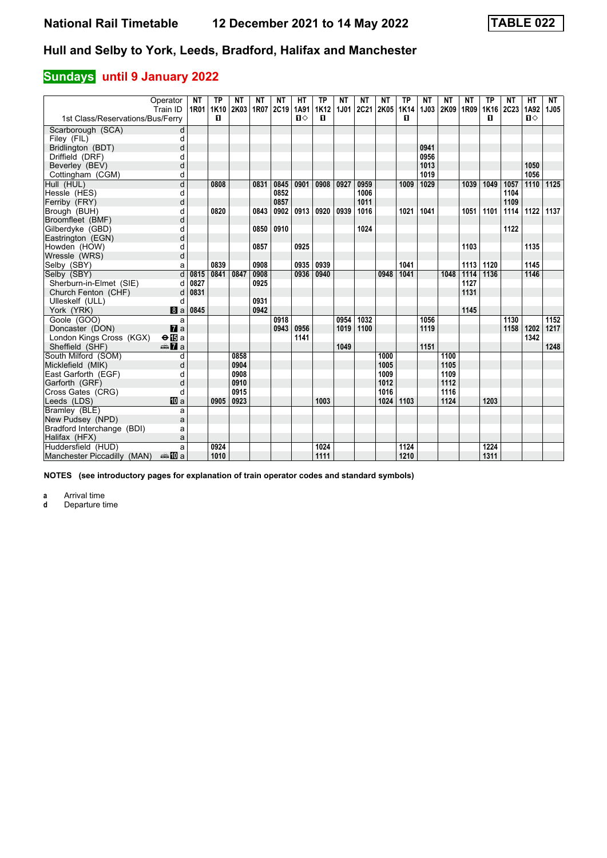# **Sundays** until 9 January 2022

|                                  | Operator<br>Train ID   | <b>NT</b><br>1R01 | ТP<br>1K10 | ΝT<br>2K03 | NΤ<br>1R07 | NΤ<br>2C19 | HТ<br>1A91 | <b>TP</b><br><b>1K12</b> | NΤ<br><b>1J01</b> | NΤ<br><b>2C21</b> | ΝT<br>2K05 | <b>TP</b><br>1K14 | NΤ<br>1J03 | <b>NT</b><br>2K09 | NΤ<br>1R09 | <b>TP</b><br>1K16 | NΤ<br><b>2C23</b> | <b>HT</b><br>1A92 | <b>NT</b><br>1J05 |
|----------------------------------|------------------------|-------------------|------------|------------|------------|------------|------------|--------------------------|-------------------|-------------------|------------|-------------------|------------|-------------------|------------|-------------------|-------------------|-------------------|-------------------|
| 1st Class/Reservations/Bus/Ferry |                        |                   | п          |            |            |            | п⇔         | 0                        |                   |                   |            | п                 |            |                   |            | п                 |                   | п⇔                |                   |
| Scarborough (SCA)                | d                      |                   |            |            |            |            |            |                          |                   |                   |            |                   |            |                   |            |                   |                   |                   |                   |
| Filey (FIL)                      | d                      |                   |            |            |            |            |            |                          |                   |                   |            |                   |            |                   |            |                   |                   |                   |                   |
| Bridlington (BDT)                | d                      |                   |            |            |            |            |            |                          |                   |                   |            |                   | 0941       |                   |            |                   |                   |                   |                   |
| Driffield (DRF)                  | d                      |                   |            |            |            |            |            |                          |                   |                   |            |                   | 0956       |                   |            |                   |                   |                   |                   |
| Beverley (BEV)                   | d                      |                   |            |            |            |            |            |                          |                   |                   |            |                   | 1013       |                   |            |                   |                   | 1050              |                   |
| Cottingham (CGM)                 | d                      |                   |            |            |            |            |            |                          |                   |                   |            |                   | 1019       |                   |            |                   |                   | 1056              |                   |
| Hull (HUL)                       | d                      |                   | 0808       |            | 0831       | 0845       | 0901       | 0908                     | 0927              | 0959              |            | 1009              | 1029       |                   | 1039       | 1049              | 1057              | 1110              | 1125              |
| Hessle (HES)                     | d                      |                   |            |            |            | 0852       |            |                          |                   | 1006              |            |                   |            |                   |            |                   | 1104              |                   |                   |
| Ferriby (FRY)                    | d                      |                   |            |            |            | 0857       |            |                          |                   | 1011              |            |                   |            |                   |            |                   | 1109              |                   |                   |
| Brough (BUH)                     | d                      |                   | 0820       |            | 0843       | 0902       | 0913       | 0920                     | 0939              | 1016              |            | 1021              | 1041       |                   | 1051       | 1101              | 1114              | 1122              | 1137              |
| Broomfleet (BMF)                 | d                      |                   |            |            |            |            |            |                          |                   |                   |            |                   |            |                   |            |                   |                   |                   |                   |
| Gilberdyke (GBD)                 | d                      |                   |            |            | 0850       | 0910       |            |                          |                   | 1024              |            |                   |            |                   |            |                   | 1122              |                   |                   |
| Eastrington (EGN)                | d                      |                   |            |            |            |            |            |                          |                   |                   |            |                   |            |                   |            |                   |                   |                   |                   |
| Howden (HOW)                     | d                      |                   |            |            | 0857       |            | 0925       |                          |                   |                   |            |                   |            |                   | 1103       |                   |                   | 1135              |                   |
| Wressle (WRS)                    | d                      |                   |            |            |            |            |            |                          |                   |                   |            |                   |            |                   |            |                   |                   |                   |                   |
| Selby (SBY)                      | a                      |                   | 0839       |            | 0908       |            | 0935       | 0939                     |                   |                   |            | 1041              |            |                   | 1113       | 1120              |                   | 1145              |                   |
| Selby (SBY)                      | d                      | 0815              | 0841       | 0847       | 0908       |            | 0936       | 0940                     |                   |                   | 0948       | 1041              |            | 1048              | 1114       | 1136              |                   | 1146              |                   |
| Sherburn-in-Elmet (SIE)          | d                      | 0827              |            |            | 0925       |            |            |                          |                   |                   |            |                   |            |                   | 1127       |                   |                   |                   |                   |
| Church Fenton (CHF)              | d                      | 0831              |            |            |            |            |            |                          |                   |                   |            |                   |            |                   | 1131       |                   |                   |                   |                   |
| Ulleskelf (ULL)                  | d                      |                   |            |            | 0931       |            |            |                          |                   |                   |            |                   |            |                   |            |                   |                   |                   |                   |
| York (YRK)                       | a                      | 0845              |            |            | 0942       |            |            |                          |                   |                   |            |                   |            |                   | 1145       |                   |                   |                   |                   |
| Goole (GOO)                      | a                      |                   |            |            |            | 0918       |            |                          | 0954              | 1032              |            |                   | 1056       |                   |            |                   | 1130              |                   | 1152              |
| Doncaster (DON)                  | $\mathbf{z}$ a         |                   |            |            |            | 0943       | 0956       |                          | 1019              | 1100              |            |                   | 1119       |                   |            |                   | 1158              | 1202              | 1217              |
| London Kings Cross (KGX)         | $\Theta$ is a          |                   |            |            |            |            | 1141       |                          |                   |                   |            |                   |            |                   |            |                   |                   | 1342              |                   |
| Sheffield (SHF)                  | <b><del>€</del></b> 7a |                   |            |            |            |            |            |                          | 1049              |                   |            |                   | 1151       |                   |            |                   |                   |                   | 1248              |
| South Milford (SOM)              | d                      |                   |            | 0858       |            |            |            |                          |                   |                   | 1000       |                   |            | 1100              |            |                   |                   |                   |                   |
| Micklefield (MIK)                | d                      |                   |            | 0904       |            |            |            |                          |                   |                   | 1005       |                   |            | 1105              |            |                   |                   |                   |                   |
| East Garforth (EGF)              | d                      |                   |            | 0908       |            |            |            |                          |                   |                   | 1009       |                   |            | 1109              |            |                   |                   |                   |                   |
| Garforth (GRF)                   | d                      |                   |            | 0910       |            |            |            |                          |                   |                   | 1012       |                   |            | 1112              |            |                   |                   |                   |                   |
| Cross Gates (CRG)                | d                      |                   |            | 0915       |            |            |            |                          |                   |                   | 1016       |                   |            | 1116              |            |                   |                   |                   |                   |
| Leeds (LDS)                      | <b>而</b> a             |                   | 0905       | 0923       |            |            |            | 1003                     |                   |                   | 1024       | 1103              |            | 1124              |            | 1203              |                   |                   |                   |
| Bramley (BLE)                    | a                      |                   |            |            |            |            |            |                          |                   |                   |            |                   |            |                   |            |                   |                   |                   |                   |
| New Pudsey (NPD)                 | a                      |                   |            |            |            |            |            |                          |                   |                   |            |                   |            |                   |            |                   |                   |                   |                   |
| Bradford Interchange (BDI)       | a                      |                   |            |            |            |            |            |                          |                   |                   |            |                   |            |                   |            |                   |                   |                   |                   |
| Halifax (HFX)                    | a                      |                   |            |            |            |            |            |                          |                   |                   |            |                   |            |                   |            |                   |                   |                   |                   |
| Huddersfield (HUD)               | a                      |                   | 0924       |            |            |            |            | 1024                     |                   |                   |            | 1124              |            |                   |            | 1224              |                   |                   |                   |
| Manchester Piccadilly (MAN)      | anna ma                |                   | 1010       |            |            |            |            | 1111                     |                   |                   |            | 1210              |            |                   |            | 1311              |                   |                   |                   |

**NOTES (see introductory pages for explanation of train operator codes and standard symbols)**

**a** Arrival time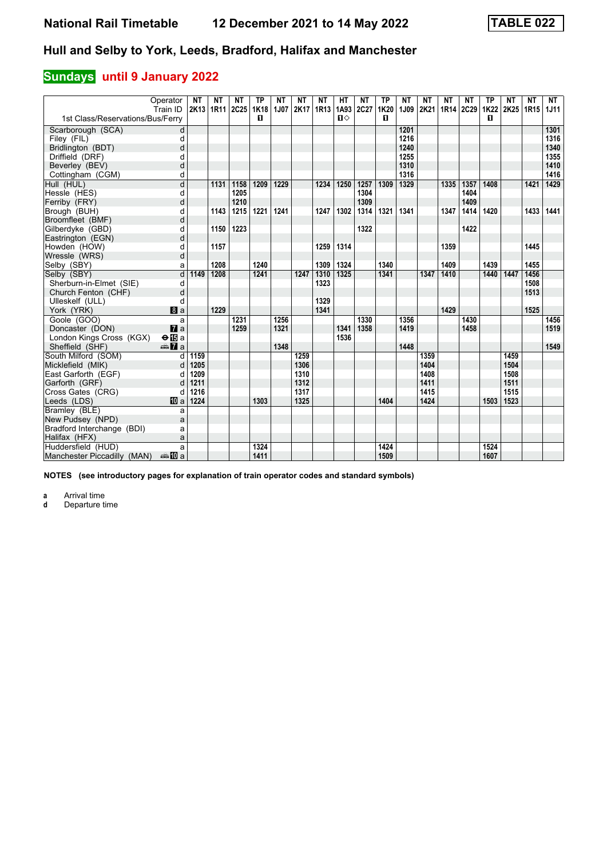# **Sundays** until 9 January 2022

|                                  | Operator<br>Train ID    | <b>NT</b><br>2K13 1R11 | <b>NT</b> | <b>NT</b><br><b>2C25</b> | ТP<br>1K18 | <b>NT</b><br>1J07 | ΝT<br>2K17 | <b>NT</b><br>1R13 | HТ<br>1A93 2C27 | <b>NT</b> | <b>TP</b><br>1K20 | <b>NT</b><br>1J09 | <b>NT</b><br>2K21 | <b>NT</b> | <b>NT</b><br>1R14 2C29 | <b>TP</b><br><b>1K22</b> | <b>NT</b><br>2K25 | <b>NT</b><br>1R15 | <b>NT</b><br><b>1J11</b> |
|----------------------------------|-------------------------|------------------------|-----------|--------------------------|------------|-------------------|------------|-------------------|-----------------|-----------|-------------------|-------------------|-------------------|-----------|------------------------|--------------------------|-------------------|-------------------|--------------------------|
| 1st Class/Reservations/Bus/Ferry |                         |                        |           |                          | п          |                   |            |                   | $\P$            |           | п                 |                   |                   |           |                        | п                        |                   |                   |                          |
| Scarborough (SCA)                | d                       |                        |           |                          |            |                   |            |                   |                 |           |                   | 1201              |                   |           |                        |                          |                   |                   | 1301                     |
| Filey (FIL)                      | d                       |                        |           |                          |            |                   |            |                   |                 |           |                   | 1216              |                   |           |                        |                          |                   |                   | 1316                     |
| Bridlington (BDT)                | d                       |                        |           |                          |            |                   |            |                   |                 |           |                   | 1240              |                   |           |                        |                          |                   |                   | 1340                     |
| Driffield (DRF)                  | d                       |                        |           |                          |            |                   |            |                   |                 |           |                   | 1255              |                   |           |                        |                          |                   |                   | 1355                     |
| Beverley (BEV)                   | d                       |                        |           |                          |            |                   |            |                   |                 |           |                   | 1310              |                   |           |                        |                          |                   |                   | 1410                     |
| Cottingham (CGM)                 | d                       |                        |           |                          |            |                   |            |                   |                 |           |                   | 1316              |                   |           |                        |                          |                   |                   | 1416                     |
| Hull (HUL)                       | $\overline{\mathsf{d}}$ |                        | 1131      | 1158                     | 1209       | 1229              |            | 1234              | 1250            | 1257      | 1309              | 1329              |                   | 1335      | 1357                   | 1408                     |                   | 1421              | 1429                     |
| Hessle (HES)                     | d                       |                        |           | 1205                     |            |                   |            |                   |                 | 1304      |                   |                   |                   |           | 1404                   |                          |                   |                   |                          |
| Ferriby (FRY)                    | d                       |                        |           | 1210                     |            |                   |            |                   |                 | 1309      |                   |                   |                   |           | 1409                   |                          |                   |                   |                          |
| Brough (BUH)                     | d                       |                        | 1143      | 1215                     | 1221       | 1241              |            | 1247              | 1302            | 1314      | 1321              | 1341              |                   | 1347      | 1414                   | 1420                     |                   | 1433              | 1441                     |
| Broomfleet (BMF)                 | d                       |                        |           |                          |            |                   |            |                   |                 |           |                   |                   |                   |           |                        |                          |                   |                   |                          |
| Gilberdyke (GBD)                 | d                       |                        | 1150      | 1223                     |            |                   |            |                   |                 | 1322      |                   |                   |                   |           | 1422                   |                          |                   |                   |                          |
| Eastrington (EGN)                | d                       |                        |           |                          |            |                   |            |                   |                 |           |                   |                   |                   |           |                        |                          |                   |                   |                          |
| Howden (HOW)                     | d                       |                        | 1157      |                          |            |                   |            | 1259              | 1314            |           |                   |                   |                   | 1359      |                        |                          |                   | 1445              |                          |
| Wressle (WRS)                    | d                       |                        |           |                          |            |                   |            |                   |                 |           |                   |                   |                   |           |                        |                          |                   |                   |                          |
| Selby (SBY)                      | a                       |                        | 1208      |                          | 1240       |                   |            | 1309              | 1324            |           | 1340              |                   |                   | 1409      |                        | 1439                     |                   | 1455              |                          |
| Selby (SBY)                      | d                       | 1149                   | 1208      |                          | 1241       |                   | 1247       | 1310              | 1325            |           | 1341              |                   | 1347              | 1410      |                        | 1440                     | 1447              | 1456              |                          |
| Sherburn-in-Elmet (SIE)          | d                       |                        |           |                          |            |                   |            | 1323              |                 |           |                   |                   |                   |           |                        |                          |                   | 1508              |                          |
| Church Fenton (CHF)              | d                       |                        |           |                          |            |                   |            |                   |                 |           |                   |                   |                   |           |                        |                          |                   | 1513              |                          |
| Ulleskelf (ULL)                  | d                       |                        |           |                          |            |                   |            | 1329              |                 |           |                   |                   |                   |           |                        |                          |                   |                   |                          |
| York (YRK)                       | a                       |                        | 1229      |                          |            |                   |            | 1341              |                 |           |                   |                   |                   | 1429      |                        |                          |                   | 1525              |                          |
| Goole (GOO)                      | a                       |                        |           | 1231                     |            | 1256              |            |                   |                 | 1330      |                   | 1356              |                   |           | 1430                   |                          |                   |                   | 1456                     |
| Doncaster (DON)                  | $\mathbf{z}$ a          |                        |           | 1259                     |            | 1321              |            |                   | 1341            | 1358      |                   | 1419              |                   |           | 1458                   |                          |                   |                   | 1519                     |
| London Kings Cross (KGX)         | $\Theta$ is a           |                        |           |                          |            |                   |            |                   | 1536            |           |                   |                   |                   |           |                        |                          |                   |                   |                          |
| Sheffield (SHF)                  | $\oplus \blacksquare$ a |                        |           |                          |            | 1348              |            |                   |                 |           |                   | 1448              |                   |           |                        |                          |                   |                   | 1549                     |
| South Milford (SOM)              | d                       | 1159                   |           |                          |            |                   | 1259       |                   |                 |           |                   |                   | 1359              |           |                        |                          | 1459              |                   |                          |
| Micklefield (MIK)                | d                       | 1205                   |           |                          |            |                   | 1306       |                   |                 |           |                   |                   | 1404              |           |                        |                          | 1504              |                   |                          |
| East Garforth (EGF)              | d                       | 1209                   |           |                          |            |                   | 1310       |                   |                 |           |                   |                   | 1408              |           |                        |                          | 1508              |                   |                          |
| Garforth (GRF)                   |                         | 1211                   |           |                          |            |                   | 1312       |                   |                 |           |                   |                   | 1411              |           |                        |                          | 1511              |                   |                          |
| Cross Gates (CRG)                | d                       | 1216                   |           |                          |            |                   | 1317       |                   |                 |           |                   |                   | 1415              |           |                        |                          | 1515              |                   |                          |
| Leeds (LDS)                      | <b>ID</b> a             | 1224                   |           |                          | 1303       |                   | 1325       |                   |                 |           | 1404              |                   | 1424              |           |                        | 1503                     | 1523              |                   |                          |
| Bramley (BLE)                    | a                       |                        |           |                          |            |                   |            |                   |                 |           |                   |                   |                   |           |                        |                          |                   |                   |                          |
| New Pudsey (NPD)                 | a                       |                        |           |                          |            |                   |            |                   |                 |           |                   |                   |                   |           |                        |                          |                   |                   |                          |
| Bradford Interchange (BDI)       | a                       |                        |           |                          |            |                   |            |                   |                 |           |                   |                   |                   |           |                        |                          |                   |                   |                          |
| Halifax (HFX)                    | a                       |                        |           |                          |            |                   |            |                   |                 |           |                   |                   |                   |           |                        |                          |                   |                   |                          |
| Huddersfield (HUD)               | a                       |                        |           |                          | 1324       |                   |            |                   |                 |           | 1424              |                   |                   |           |                        | 1524                     |                   |                   |                          |
| Manchester Piccadilly (MAN)      | anna nDia               |                        |           |                          | 1411       |                   |            |                   |                 |           | 1509              |                   |                   |           |                        | 1607                     |                   |                   |                          |

**NOTES (see introductory pages for explanation of train operator codes and standard symbols)**

**a** Arrival time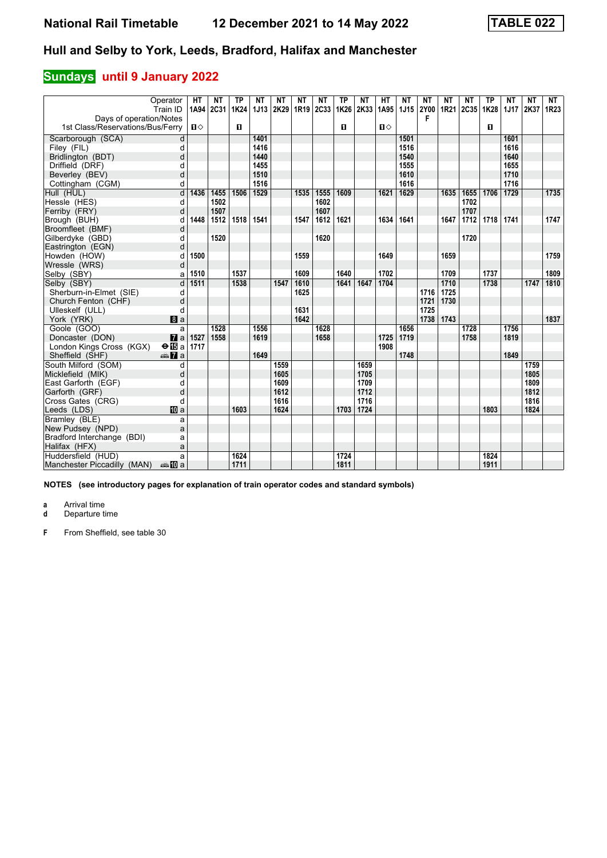### **Sundays** until 9 January 2022

| Operator<br>Train ID                      | <b>HT</b><br>1A94 | NΤ<br>2C31 | <b>TP</b><br>1K24 | NΤ<br>1J13 | NΤ<br>2K29 | NT<br>1R19 | NΤ<br>2C33 | <b>TP</b><br>1K26 | <b>NT</b><br>2K33 | HТ<br>1A95   | <b>NT</b><br>1J15 | NΤ<br><b>2Y00</b> | <b>NT</b><br>1R <sub>21</sub> | NΤ<br>2C35 | <b>TP</b><br>1K28 | NT<br><b>1J17</b> | NΤ<br>2K37 | NT<br>1R <sub>23</sub> |
|-------------------------------------------|-------------------|------------|-------------------|------------|------------|------------|------------|-------------------|-------------------|--------------|-------------------|-------------------|-------------------------------|------------|-------------------|-------------------|------------|------------------------|
| Davs of operation/Notes                   |                   |            |                   |            |            |            |            |                   |                   |              |                   | F                 |                               |            |                   |                   |            |                        |
| 1st Class/Reservations/Bus/Ferry          | $\mathbf{u}$      |            | п                 |            |            |            |            | п                 |                   | $\mathbf{u}$ |                   |                   |                               |            | $\mathbf{u}$      |                   |            |                        |
| Scarborough (SCA)<br>d                    |                   |            |                   | 1401       |            |            |            |                   |                   |              | 1501              |                   |                               |            |                   | 1601              |            |                        |
| Filey (FIL)<br>d                          |                   |            |                   | 1416       |            |            |            |                   |                   |              | 1516              |                   |                               |            |                   | 1616              |            |                        |
| Bridlington (BDT)<br>d                    |                   |            |                   | 1440       |            |            |            |                   |                   |              | 1540              |                   |                               |            |                   | 1640              |            |                        |
| Driffield (DRF)<br>d                      |                   |            |                   | 1455       |            |            |            |                   |                   |              | 1555              |                   |                               |            |                   | 1655              |            |                        |
| d<br>Beverley (BEV)                       |                   |            |                   | 1510       |            |            |            |                   |                   |              | 1610              |                   |                               |            |                   | 1710              |            |                        |
| Cottingham (CGM)<br>d                     |                   |            |                   | 1516       |            |            |            |                   |                   |              | 1616              |                   |                               |            |                   | 1716              |            |                        |
| d<br>Hull (HUL)                           | 1436              | 1455       | 1506              | 1529       |            | 1535       | 1555       | 1609              |                   | 1621         | 1629              |                   | 1635                          | 1655       | 1706              | 1729              |            | 1735                   |
| Hessle (HES)<br>d                         |                   | 1502       |                   |            |            |            | 1602       |                   |                   |              |                   |                   |                               | 1702       |                   |                   |            |                        |
| Ferriby (FRY)<br>d                        |                   | 1507       |                   |            |            |            | 1607       |                   |                   |              |                   |                   |                               | 1707       |                   |                   |            |                        |
| Brough (BUH)<br>d                         | 1448              | 1512       | 1518              | 1541       |            | 1547       | 1612       | 1621              |                   | 1634         | 1641              |                   | 1647                          | 1712       | 1718              | 1741              |            | 1747                   |
| Broomfleet (BMF)<br>d                     |                   |            |                   |            |            |            |            |                   |                   |              |                   |                   |                               |            |                   |                   |            |                        |
| Gilberdyke (GBD)<br>d                     |                   | 1520       |                   |            |            |            | 1620       |                   |                   |              |                   |                   |                               | 1720       |                   |                   |            |                        |
| Eastrington (EGN)<br>d                    |                   |            |                   |            |            |            |            |                   |                   |              |                   |                   |                               |            |                   |                   |            |                        |
| Howden (HOW)<br>d                         | 1500              |            |                   |            |            | 1559       |            |                   |                   | 1649         |                   |                   | 1659                          |            |                   |                   |            | 1759                   |
| Wressle (WRS)<br>d                        |                   |            |                   |            |            |            |            |                   |                   |              |                   |                   |                               |            |                   |                   |            |                        |
| Selby (SBY)<br>a                          | 1510              |            | 1537              |            |            | 1609       |            | 1640              |                   | 1702         |                   |                   | 1709                          |            | 1737              |                   |            | 1809                   |
| Selby (SBY)<br>d                          | 1511              |            | 1538              |            | 1547       | 1610       |            | 1641              | 1647              | 1704         |                   |                   | 1710                          |            | 1738              |                   | 1747       | 1810                   |
| Sherburn-in-Elmet (SIE)<br>d              |                   |            |                   |            |            | 1625       |            |                   |                   |              |                   | 1716              | 1725                          |            |                   |                   |            |                        |
| Church Fenton (CHF)<br>d                  |                   |            |                   |            |            |            |            |                   |                   |              |                   | 1721              | 1730                          |            |                   |                   |            |                        |
| Ulleskelf (ULL)<br>d                      |                   |            |                   |            |            | 1631       |            |                   |                   |              |                   | 1725              |                               |            |                   |                   |            |                        |
| York (YRK)<br>a                           |                   |            |                   |            |            | 1642       |            |                   |                   |              |                   | 1738              | 1743                          |            |                   |                   |            | 1837                   |
| Goole (GOO)<br>a                          |                   | 1528       |                   | 1556       |            |            | 1628       |                   |                   |              | 1656              |                   |                               | 1728       |                   | 1756              |            |                        |
| $\mathbf{z}$ a<br>Doncaster (DON)         | 1527              | 1558       |                   | 1619       |            |            | 1658       |                   |                   | 1725         | 1719              |                   |                               | 1758       |                   | 1819              |            |                        |
| London Kings Cross (KGX)<br>$\Theta$ is a | 1717              |            |                   |            |            |            |            |                   |                   | 1908         |                   |                   |                               |            |                   |                   |            |                        |
| <b>AZ</b> a<br>Sheffield (SHF)            |                   |            |                   | 1649       |            |            |            |                   |                   |              | 1748              |                   |                               |            |                   | 1849              |            |                        |
| South Milford (SOM)<br>d                  |                   |            |                   |            | 1559       |            |            |                   | 1659              |              |                   |                   |                               |            |                   |                   | 1759       |                        |
| Micklefield (MIK)<br>d                    |                   |            |                   |            | 1605       |            |            |                   | 1705              |              |                   |                   |                               |            |                   |                   | 1805       |                        |
| East Garforth (EGF)<br>d                  |                   |            |                   |            | 1609       |            |            |                   | 1709              |              |                   |                   |                               |            |                   |                   | 1809       |                        |
| d<br>Garforth (GRF)                       |                   |            |                   |            | 1612       |            |            |                   | 1712              |              |                   |                   |                               |            |                   |                   | 1812       |                        |
| Cross Gates (CRG)<br>d                    |                   |            |                   |            | 1616       |            |            |                   | 1716              |              |                   |                   |                               |            |                   |                   | 1816       |                        |
| Leeds (LDS)<br><b>ID</b> a                |                   |            | 1603              |            | 1624       |            |            | 1703              | 1724              |              |                   |                   |                               |            | 1803              |                   | 1824       |                        |
| Bramlev (BLE)<br>a                        |                   |            |                   |            |            |            |            |                   |                   |              |                   |                   |                               |            |                   |                   |            |                        |
| New Pudsey (NPD)<br>a                     |                   |            |                   |            |            |            |            |                   |                   |              |                   |                   |                               |            |                   |                   |            |                        |
| Bradford Interchange (BDI)<br>a           |                   |            |                   |            |            |            |            |                   |                   |              |                   |                   |                               |            |                   |                   |            |                        |
| Halifax (HFX)<br>a                        |                   |            |                   |            |            |            |            |                   |                   |              |                   |                   |                               |            |                   |                   |            |                        |
| Huddersfield (HUD)<br>a                   |                   |            | 1624              |            |            |            |            | 1724              |                   |              |                   |                   |                               |            | 1824              |                   |            |                        |
| Manchester Piccadilly (MAN)<br>anno ma    |                   |            | 1711              |            |            |            |            | 1811              |                   |              |                   |                   |                               |            | 1911              |                   |            |                        |

**NOTES (see introductory pages for explanation of train operator codes and standard symbols)**

**a** Arrival time

**d** Departure time

**)** From Sheffield, see table 30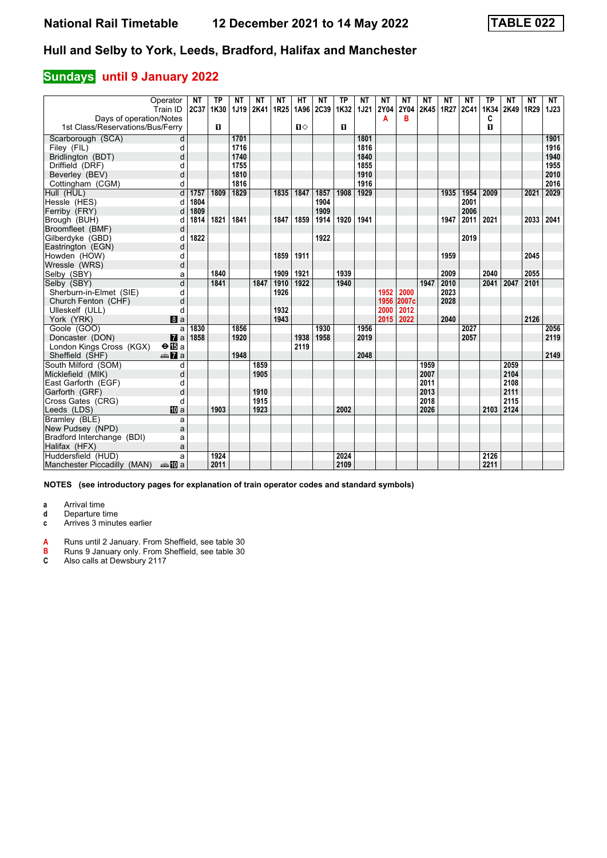#### **Sundays** until 9 January 2022

| Operator                                                    | <b>NT</b> | <b>TP</b>    | <b>NT</b> | NΤ          | <b>NT</b> | HT   | <b>NT</b> | <b>TP</b>    | <b>NT</b> | <b>NT</b> | <b>NT</b> | <b>NT</b> | <b>NT</b> | <b>NT</b> | <b>TP</b> | <b>NT</b> | <b>NT</b> | NT          |
|-------------------------------------------------------------|-----------|--------------|-----------|-------------|-----------|------|-----------|--------------|-----------|-----------|-----------|-----------|-----------|-----------|-----------|-----------|-----------|-------------|
| Train ID                                                    | 2C37      | 1K30         | 1J19      | <b>2K41</b> | 1R25      |      | 1A96 2C39 | 1K32         | 1J21      | 2Y04      | 2Y04      | 2K45      | 1R27      | 2C41      | 1K34      | 2K49      | 1R29      | <b>1J23</b> |
| Days of operation/Notes<br>1st Class/Reservations/Bus/Ferry |           | $\mathbf{u}$ |           |             |           | $\P$ |           | $\mathbf{u}$ |           | A         | в         |           |           |           | C<br>О    |           |           |             |
|                                                             |           |              |           |             |           |      |           |              |           |           |           |           |           |           |           |           |           |             |
| Scarborough (SCA)<br>d                                      |           |              | 1701      |             |           |      |           |              | 1801      |           |           |           |           |           |           |           |           | 1901        |
| Filey (FIL)<br>d                                            |           |              | 1716      |             |           |      |           |              | 1816      |           |           |           |           |           |           |           |           | 1916        |
| Bridlington (BDT)<br>d                                      |           |              | 1740      |             |           |      |           |              | 1840      |           |           |           |           |           |           |           |           | 1940        |
| Driffield (DRF)<br>d                                        |           |              | 1755      |             |           |      |           |              | 1855      |           |           |           |           |           |           |           |           | 1955        |
| Beverley (BEV)<br>d                                         |           |              | 1810      |             |           |      |           |              | 1910      |           |           |           |           |           |           |           |           | 2010        |
| Cottingham (CGM)<br>d                                       |           |              | 1816      |             |           |      |           |              | 1916      |           |           |           |           |           |           |           |           | 2016        |
| d<br>Hull (HUL)                                             | 1757      | 1809         | 1829      |             | 1835      | 1847 | 1857      | 1908         | 1929      |           |           |           | 1935      | 1954      | 2009      |           | 2021      | 2029        |
| Hessle (HES)<br>d                                           | 1804      |              |           |             |           |      | 1904      |              |           |           |           |           |           | 2001      |           |           |           |             |
| Ferriby (FRY)<br>d                                          | 1809      |              |           |             |           |      | 1909      |              |           |           |           |           |           | 2006      |           |           |           |             |
| Brough (BUH)<br>d                                           | 1814      | 1821         | 1841      |             | 1847      | 1859 | 1914      | 1920         | 1941      |           |           |           | 1947      | 2011      | 2021      |           | 2033      | 2041        |
| Broomfleet (BMF)<br>d                                       |           |              |           |             |           |      |           |              |           |           |           |           |           |           |           |           |           |             |
| Gilberdyke (GBD)                                            | 1822      |              |           |             |           |      | 1922      |              |           |           |           |           |           | 2019      |           |           |           |             |
| Eastrington (EGN)<br>d                                      |           |              |           |             |           |      |           |              |           |           |           |           |           |           |           |           |           |             |
| Howden (HOW)<br>d                                           |           |              |           |             | 1859      | 1911 |           |              |           |           |           |           | 1959      |           |           |           | 2045      |             |
| d<br>Wressle (WRS)                                          |           |              |           |             |           |      |           |              |           |           |           |           |           |           |           |           |           |             |
| Selby (SBY)<br>a                                            |           | 1840         |           |             | 1909      | 1921 |           | 1939         |           |           |           |           | 2009      |           | 2040      |           | 2055      |             |
| d<br>Selby (SBY)                                            |           | 1841         |           | 1847        | 1910      | 1922 |           | 1940         |           |           |           | 1947      | 2010      |           | 2041      | 2047      | 2101      |             |
| Sherburn-in-Elmet (SIE)<br>d                                |           |              |           |             | 1926      |      |           |              |           | 1952      | 2000      |           | 2023      |           |           |           |           |             |
| d<br>Church Fenton (CHF)                                    |           |              |           |             |           |      |           |              |           | 1956      | 2007c     |           | 2028      |           |           |           |           |             |
| d<br>Ulleskelf (ULL)                                        |           |              |           |             | 1932      |      |           |              |           | 2000      | 2012      |           |           |           |           |           |           |             |
| York (YRK)<br>a                                             |           |              |           |             | 1943      |      |           |              |           | 2015      | 2022      |           | 2040      |           |           |           | 2126      |             |
| Goole (GOO)<br>a                                            | 1830      |              | 1856      |             |           |      | 1930      |              | 1956      |           |           |           |           | 2027      |           |           |           | 2056        |
| $\mathbf{z}$ a<br>Doncaster (DON)                           | 1858      |              | 1920      |             |           | 1938 | 1958      |              | 2019      |           |           |           |           | 2057      |           |           |           | 2119        |
| London Kings Cross (KGX)<br>$\Theta$ is a                   |           |              |           |             |           | 2119 |           |              |           |           |           |           |           |           |           |           |           |             |
| $\oplus \blacksquare$ a<br>Sheffield (SHF)                  |           |              | 1948      |             |           |      |           |              | 2048      |           |           |           |           |           |           |           |           | 2149        |
| South Milford (SOM)<br>d                                    |           |              |           | 1859        |           |      |           |              |           |           |           | 1959      |           |           |           | 2059      |           |             |
| Micklefield (MIK)<br>d                                      |           |              |           | 1905        |           |      |           |              |           |           |           | 2007      |           |           |           | 2104      |           |             |
| East Garforth (EGF)<br>d                                    |           |              |           |             |           |      |           |              |           |           |           | 2011      |           |           |           | 2108      |           |             |
| d<br>Garforth (GRF)                                         |           |              |           | 1910        |           |      |           |              |           |           |           | 2013      |           |           |           | 2111      |           |             |
| Cross Gates (CRG)<br>d                                      |           |              |           | 1915        |           |      |           |              |           |           |           | 2018      |           |           |           | 2115      |           |             |
| Leeds (LDS)<br><b>ID</b> a                                  |           | 1903         |           | 1923        |           |      |           | 2002         |           |           |           | 2026      |           |           | 2103 2124 |           |           |             |
| Bramley (BLE)<br>a                                          |           |              |           |             |           |      |           |              |           |           |           |           |           |           |           |           |           |             |
| New Pudsey (NPD)<br>a                                       |           |              |           |             |           |      |           |              |           |           |           |           |           |           |           |           |           |             |
| Bradford Interchange (BDI)<br>a                             |           |              |           |             |           |      |           |              |           |           |           |           |           |           |           |           |           |             |
| Halifax (HFX)<br>a                                          |           |              |           |             |           |      |           |              |           |           |           |           |           |           |           |           |           |             |
| Huddersfield (HUD)<br>a                                     |           | 1924         |           |             |           |      |           | 2024         |           |           |           |           |           |           | 2126      |           |           |             |
| Manchester Piccadilly (MAN)<br>anna nDia                    |           | 2011         |           |             |           |      |           | 2109         |           |           |           |           |           |           | 2211      |           |           |             |

**NOTES (see introductory pages for explanation of train operator codes and standard symbols)**

**a** Arrival time

**d** Departure time

**c** Arrives 3 minutes earlier

**A** Runs until 2 January From Sheffield, see table 30

**B** Runs 9 January only From Sheffield, see table 30

**&** Also calls at Dewsbury 211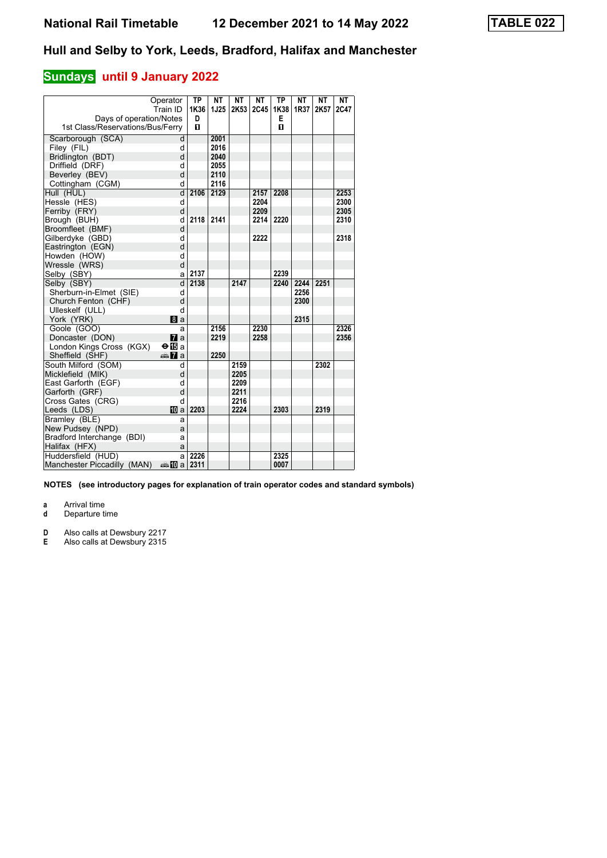### **Sundays** until 9 January 2022

| Days of operation/Notes<br>1st Class/Reservations/Bus/Ferry | Operator<br>Train ID   | <b>TP</b><br>1K36<br>D<br>$\mathbf{u}$ | <b>NT</b><br><b>1J25</b> | NΤ<br>2K53 | <b>NT</b><br>2C45 | <b>TP</b><br>1K38<br>E<br>$\mathbf{u}$ | <b>NT</b><br>1R37 | NΤ<br>2K57 | <b>NT</b><br>2C47 |
|-------------------------------------------------------------|------------------------|----------------------------------------|--------------------------|------------|-------------------|----------------------------------------|-------------------|------------|-------------------|
|                                                             |                        |                                        |                          |            |                   |                                        |                   |            |                   |
| Scarborough (SCA)                                           | d                      |                                        | 2001                     |            |                   |                                        |                   |            |                   |
| Filey (FIL)                                                 | d                      |                                        | 2016                     |            |                   |                                        |                   |            |                   |
| Bridlington (BDT)                                           | d                      |                                        | 2040                     |            |                   |                                        |                   |            |                   |
| Driffield (DRF)                                             | d                      |                                        | 2055                     |            |                   |                                        |                   |            |                   |
| Beverley (BEV)                                              | d                      |                                        | 2110                     |            |                   |                                        |                   |            |                   |
| Cottingham (CGM)                                            | d                      |                                        | 2116                     |            |                   |                                        |                   |            |                   |
| Hull (HUL)                                                  | $\overline{d}$         | 2106                                   | 2129                     |            | 2157              | 2208                                   |                   |            | 2253              |
| Hessle (HES)                                                | d                      |                                        |                          |            | 2204              |                                        |                   |            | 2300              |
| Ferriby (FRY)                                               | d                      |                                        |                          |            | 2209              |                                        |                   |            | 2305              |
| Brough (BUH)                                                | d                      | 2118                                   | 2141                     |            | 2214              | 2220                                   |                   |            | 2310              |
| Broomfleet (BMF)                                            | d                      |                                        |                          |            |                   |                                        |                   |            |                   |
| Gilberdyke (GBD)                                            | d                      |                                        |                          |            | 2222              |                                        |                   |            | 2318              |
| Eastrington (EGN)                                           | d                      |                                        |                          |            |                   |                                        |                   |            |                   |
| Howden (HOW)                                                | d                      |                                        |                          |            |                   |                                        |                   |            |                   |
| Wressle (WRS)                                               | d                      |                                        |                          |            |                   |                                        |                   |            |                   |
| Selby (SBY)                                                 | a                      | 2137                                   |                          |            |                   | 2239                                   |                   |            |                   |
| Selby (SBY)                                                 | d                      | 2138                                   |                          | 2147       |                   | 2240                                   | 2244              | 2251       |                   |
| Sherburn-in-Elmet (SIE)                                     | d                      |                                        |                          |            |                   |                                        | 2256              |            |                   |
| Church Fenton (CHF)                                         | d                      |                                        |                          |            |                   |                                        | 2300              |            |                   |
| Ulleskelf (ULL)                                             | d                      |                                        |                          |            |                   |                                        |                   |            |                   |
| York (YRK)                                                  | <b>B</b> a             |                                        |                          |            |                   |                                        | 2315              |            |                   |
| Goole (GOO)                                                 | a                      |                                        | 2156                     |            | 2230              |                                        |                   |            | 2326              |
| Doncaster (DON)                                             | $\mathbf{z}$           |                                        | 2219                     |            | 2258              |                                        |                   |            | 2356              |
| London Kings Cross (KGX)                                    | $\Theta$ is a          |                                        |                          |            |                   |                                        |                   |            |                   |
| Sheffield (SHF)                                             | <del>⊯</del> 7aa       |                                        | 2250                     |            |                   |                                        |                   |            |                   |
| South Milford (SOM)                                         | d                      |                                        |                          | 2159       |                   |                                        |                   | 2302       |                   |
| Micklefield (MIK)                                           | d                      |                                        |                          | 2205       |                   |                                        |                   |            |                   |
| East Garforth (EGF)                                         | d                      |                                        |                          | 2209       |                   |                                        |                   |            |                   |
| Garforth (GRF)                                              | d                      |                                        |                          | 2211       |                   |                                        |                   |            |                   |
| Cross Gates (CRG)                                           | d                      |                                        |                          | 2216       |                   |                                        |                   |            |                   |
| Leeds (LDS)                                                 | <b>M</b> a             | 2203                                   |                          | 2224       |                   | 2303                                   |                   | 2319       |                   |
| Bramley (BLE)                                               | a                      |                                        |                          |            |                   |                                        |                   |            |                   |
| New Pudsey (NPD)                                            | a                      |                                        |                          |            |                   |                                        |                   |            |                   |
| Bradford Interchange (BDI)                                  | a                      |                                        |                          |            |                   |                                        |                   |            |                   |
| Halifax (HFX)                                               | a                      |                                        |                          |            |                   |                                        |                   |            |                   |
| Huddersfield (HUD)                                          | a                      | 2226                                   |                          |            |                   | 2325                                   |                   |            |                   |
| Manchester Piccadilly (MAN)                                 | den <mark>n</mark> Dia | 2311                                   |                          |            |                   | 0007                                   |                   |            |                   |

**NOTES (see introductory pages for explanation of train operator codes and standard symbols)**

**a** Arrival time

**d** Departure time

**D** Also calls at Dewsbury 221

**E** Also calls at Dewsbury 2315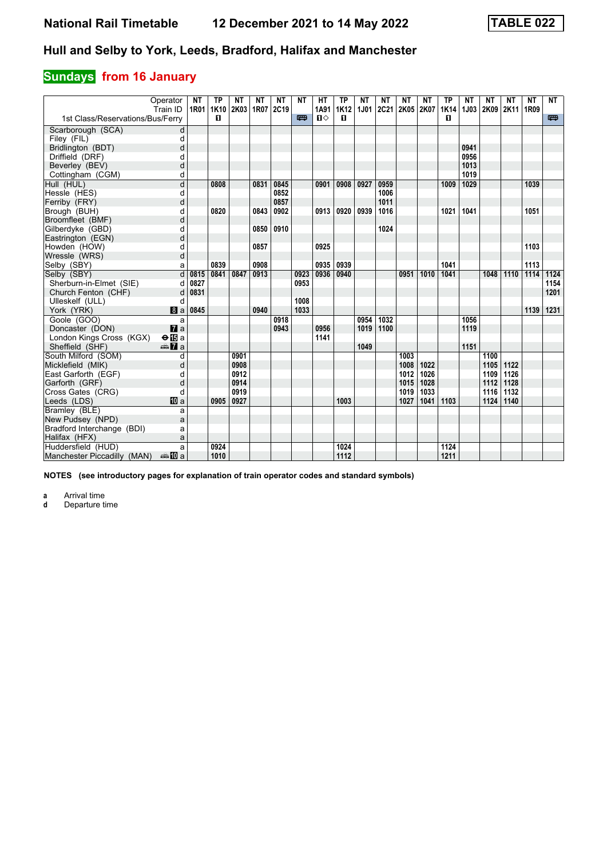# **Sundays** from 16 January

|                                  | Operator<br>Train ID | <b>NT</b><br>1R01 | <b>TP</b><br>1K10 | <b>NT</b><br>2K03 1R07 | <b>NT</b> | <b>NT</b><br>2C19 | <b>NT</b> | <b>HT</b><br>1A91 | <b>TP</b><br><b>1K12</b> | <b>NT</b><br><b>1J01</b> | <b>NT</b><br><b>2C21</b> | <b>NT</b><br>2K05 2K07 | <b>NT</b> | <b>TP</b><br>1K14 | <b>NT</b> | <b>NT</b><br>1J03 2K09 2K11 | <b>NT</b> | <b>NT</b><br>1R09 | <b>NT</b> |
|----------------------------------|----------------------|-------------------|-------------------|------------------------|-----------|-------------------|-----------|-------------------|--------------------------|--------------------------|--------------------------|------------------------|-----------|-------------------|-----------|-----------------------------|-----------|-------------------|-----------|
| 1st Class/Reservations/Bus/Ferry |                      |                   | 0                 |                        |           |                   | 罒         | $\mathbf{u}$      | $\mathbf{u}$             |                          |                          |                        |           | п                 |           |                             |           |                   | 四         |
| Scarborough (SCA)                | d                    |                   |                   |                        |           |                   |           |                   |                          |                          |                          |                        |           |                   |           |                             |           |                   |           |
| Filey (FIL)                      | d                    |                   |                   |                        |           |                   |           |                   |                          |                          |                          |                        |           |                   |           |                             |           |                   |           |
| Bridlington (BDT)                | d                    |                   |                   |                        |           |                   |           |                   |                          |                          |                          |                        |           |                   | 0941      |                             |           |                   |           |
| Driffield (DRF)                  | d                    |                   |                   |                        |           |                   |           |                   |                          |                          |                          |                        |           |                   | 0956      |                             |           |                   |           |
| Beverley (BEV)                   | d                    |                   |                   |                        |           |                   |           |                   |                          |                          |                          |                        |           |                   | 1013      |                             |           |                   |           |
| Cottingham (CGM)                 | d                    |                   |                   |                        |           |                   |           |                   |                          |                          |                          |                        |           |                   | 1019      |                             |           |                   |           |
| Hull (HUL)                       | d                    |                   | 0808              |                        | 0831      | 0845              |           | 0901              | 0908                     | 0927                     | 0959                     |                        |           | 1009              | 1029      |                             |           | 1039              |           |
| Hessle (HES)                     | d                    |                   |                   |                        |           | 0852              |           |                   |                          |                          | 1006                     |                        |           |                   |           |                             |           |                   |           |
| Ferriby (FRY)                    | d                    |                   |                   |                        |           | 0857              |           |                   |                          |                          | 1011                     |                        |           |                   |           |                             |           |                   |           |
| Brough (BUH)                     | d                    |                   | 0820              |                        | 0843      | 0902              |           | 0913              | 0920                     | 0939                     | 1016                     |                        |           | 1021              | 1041      |                             |           | 1051              |           |
| Broomfleet (BMF)                 | d                    |                   |                   |                        |           |                   |           |                   |                          |                          |                          |                        |           |                   |           |                             |           |                   |           |
| Gilberdyke (GBD)                 | d                    |                   |                   |                        | 0850      | 0910              |           |                   |                          |                          | 1024                     |                        |           |                   |           |                             |           |                   |           |
| Eastrington (EGN)                | d                    |                   |                   |                        |           |                   |           |                   |                          |                          |                          |                        |           |                   |           |                             |           |                   |           |
| Howden (HOW)                     | d                    |                   |                   |                        | 0857      |                   |           | 0925              |                          |                          |                          |                        |           |                   |           |                             |           | 1103              |           |
| Wressle (WRS)                    | d                    |                   |                   |                        |           |                   |           |                   |                          |                          |                          |                        |           |                   |           |                             |           |                   |           |
| Selby (SBY)                      | a                    |                   | 0839              |                        | 0908      |                   |           | 0935              | 0939                     |                          |                          |                        |           | 1041              |           |                             |           | 1113              |           |
| Selby (SBY)                      | d                    | 0815              | 0841              | 0847                   | 0913      |                   | 0923      | 0936              | 0940                     |                          |                          | 0951                   | 1010      | 1041              |           | 1048                        | 1110      | 1114              | 1124      |
| Sherburn-in-Elmet (SIE)          | d                    | 0827              |                   |                        |           |                   | 0953      |                   |                          |                          |                          |                        |           |                   |           |                             |           |                   | 1154      |
| Church Fenton (CHF)              | d                    | 0831              |                   |                        |           |                   |           |                   |                          |                          |                          |                        |           |                   |           |                             |           |                   | 1201      |
| Ulleskelf (ULL)                  | d                    |                   |                   |                        |           |                   | 1008      |                   |                          |                          |                          |                        |           |                   |           |                             |           |                   |           |
| York (YRK)                       | a                    | 0845              |                   |                        | 0940      |                   | 1033      |                   |                          |                          |                          |                        |           |                   |           |                             |           | 1139              | 1231      |
| Goole (GOO)                      | a                    |                   |                   |                        |           | 0918              |           |                   |                          | 0954                     | 1032                     |                        |           |                   | 1056      |                             |           |                   |           |
| Doncaster (DON)                  | $\mathbf{z}$ a       |                   |                   |                        |           | 0943              |           | 0956              |                          | 1019                     | 1100                     |                        |           |                   | 1119      |                             |           |                   |           |
| London Kings Cross (KGX)         | $\Theta$ is a        |                   |                   |                        |           |                   |           | 1141              |                          |                          |                          |                        |           |                   |           |                             |           |                   |           |
| Sheffield (SHF)                  | <del>⊯</del> ∎a      |                   |                   |                        |           |                   |           |                   |                          | 1049                     |                          |                        |           |                   | 1151      |                             |           |                   |           |
| South Milford (SOM)              | d                    |                   |                   | 0901                   |           |                   |           |                   |                          |                          |                          | 1003                   |           |                   |           | 1100                        |           |                   |           |
| Micklefield (MIK)                | d                    |                   |                   | 0908                   |           |                   |           |                   |                          |                          |                          | 1008                   | 1022      |                   |           | 1105                        | 1122      |                   |           |
| East Garforth (EGF)              | d                    |                   |                   | 0912                   |           |                   |           |                   |                          |                          |                          | 1012                   | 1026      |                   |           | 1109                        | 1126      |                   |           |
| Garforth (GRF)                   | d                    |                   |                   | 0914                   |           |                   |           |                   |                          |                          |                          | 1015                   | 1028      |                   |           | 1112                        | 1128      |                   |           |
| Cross Gates (CRG)                | d                    |                   |                   | 0919                   |           |                   |           |                   |                          |                          |                          | 1019                   | 1033      |                   |           | 1116                        | 1132      |                   |           |
| Leeds (LDS)                      | <b>ID</b> a          |                   | 0905              | 0927                   |           |                   |           |                   | 1003                     |                          |                          | 1027                   | 1041      | 1103              |           | 1124                        | 1140      |                   |           |
| Bramley (BLE)                    | a                    |                   |                   |                        |           |                   |           |                   |                          |                          |                          |                        |           |                   |           |                             |           |                   |           |
| New Pudsey (NPD)                 | a                    |                   |                   |                        |           |                   |           |                   |                          |                          |                          |                        |           |                   |           |                             |           |                   |           |
| Bradford Interchange (BDI)       | a                    |                   |                   |                        |           |                   |           |                   |                          |                          |                          |                        |           |                   |           |                             |           |                   |           |
| Halifax (HFX)                    | a                    |                   |                   |                        |           |                   |           |                   |                          |                          |                          |                        |           |                   |           |                             |           |                   |           |
| Huddersfield (HUD)               | a                    |                   | 0924              |                        |           |                   |           |                   | 1024                     |                          |                          |                        |           | 1124              |           |                             |           |                   |           |
| Manchester Piccadilly (MAN)      | ⊯ 100 a              |                   | 1010              |                        |           |                   |           |                   | 1112                     |                          |                          |                        |           | 1211              |           |                             |           |                   |           |

**NOTES (see introductory pages for explanation of train operator codes and standard symbols)**

**a** Arrival time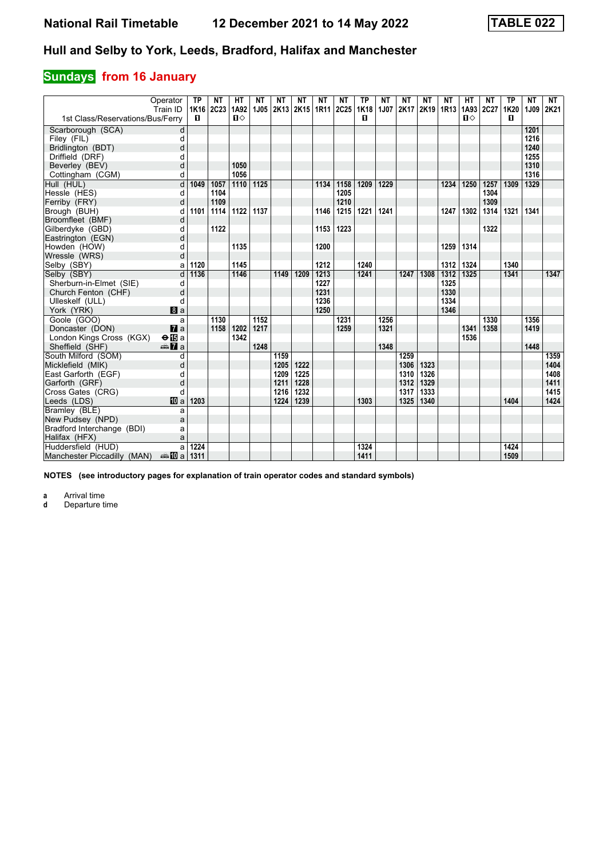# **Sundays** from 16 January

|                                  | Operator<br>Train ID | <b>TP</b> | NΤ<br>1K16 2C23 | HТ<br>1A92   | NΤ<br>1J05 | NΤ   | ΝT<br>2K13 2K15 1R11 | NΤ   | NΤ<br>2C25 1K18 | <b>TP</b> | NΤ<br>1J07 | NΤ<br>2K17 | NΤ<br>2K19 1R13 | ΝT   | HТ<br>1A93 | <b>NT</b><br>2C27 | ΤP<br>1K20 | <b>NT</b><br>1J09 | NT<br>2K21 |
|----------------------------------|----------------------|-----------|-----------------|--------------|------------|------|----------------------|------|-----------------|-----------|------------|------------|-----------------|------|------------|-------------------|------------|-------------------|------------|
| 1st Class/Reservations/Bus/Ferry |                      | п         |                 | $\mathbf{u}$ |            |      |                      |      |                 | п         |            |            |                 |      | $\Pi$      |                   | п          |                   |            |
| Scarborough (SCA)                | d                    |           |                 |              |            |      |                      |      |                 |           |            |            |                 |      |            |                   |            | 1201              |            |
| Filey (FIL)                      | d                    |           |                 |              |            |      |                      |      |                 |           |            |            |                 |      |            |                   |            | 1216              |            |
| Bridlington (BDT)                | d                    |           |                 |              |            |      |                      |      |                 |           |            |            |                 |      |            |                   |            | 1240              |            |
| Driffield (DRF)                  | d                    |           |                 |              |            |      |                      |      |                 |           |            |            |                 |      |            |                   |            | 1255              |            |
| Beverley (BEV)                   | d                    |           |                 | 1050         |            |      |                      |      |                 |           |            |            |                 |      |            |                   |            | 1310              |            |
| Cottingham (CGM)                 | d                    |           |                 | 1056         |            |      |                      |      |                 |           |            |            |                 |      |            |                   |            | 1316              |            |
| Hull (HUL)                       | d                    | 1049      | 1057            | 1110         | 1125       |      |                      | 1134 | 1158            | 1209      | 1229       |            |                 | 1234 | 1250       | 1257              | 1309       | 1329              |            |
| Hessle (HES)                     | d                    |           | 1104            |              |            |      |                      |      | 1205            |           |            |            |                 |      |            | 1304              |            |                   |            |
| Ferriby (FRY)                    | d                    |           | 1109            |              |            |      |                      |      | 1210            |           |            |            |                 |      |            | 1309              |            |                   |            |
| Brough (BUH)                     | d                    | 1101      | 1114            | 1122         | 1137       |      |                      | 1146 | 1215            | 1221      | 1241       |            |                 | 1247 | 1302       | 1314              | 1321       | 1341              |            |
| Broomfleet (BMF)                 | d                    |           |                 |              |            |      |                      |      |                 |           |            |            |                 |      |            |                   |            |                   |            |
| Gilberdyke (GBD)                 | d                    |           | 1122            |              |            |      |                      | 1153 | 1223            |           |            |            |                 |      |            | 1322              |            |                   |            |
| Eastrington (EGN)                | d                    |           |                 |              |            |      |                      |      |                 |           |            |            |                 |      |            |                   |            |                   |            |
| Howden (HOW)                     | d                    |           |                 | 1135         |            |      |                      | 1200 |                 |           |            |            |                 | 1259 | 1314       |                   |            |                   |            |
| Wressle (WRS)                    | d                    |           |                 |              |            |      |                      |      |                 |           |            |            |                 |      |            |                   |            |                   |            |
| Selby (SBY)                      | a                    | 1120      |                 | 1145         |            |      |                      | 1212 |                 | 1240      |            |            |                 | 1312 | 1324       |                   | 1340       |                   |            |
| Selby (SBY)                      | d                    | 1136      |                 | 1146         |            | 1149 | 1209                 | 1213 |                 | 1241      |            | 1247       | 1308            | 1312 | 1325       |                   | 1341       |                   | 1347       |
| Sherburn-in-Elmet (SIE)          | d                    |           |                 |              |            |      |                      | 1227 |                 |           |            |            |                 | 1325 |            |                   |            |                   |            |
| Church Fenton (CHF)              | d                    |           |                 |              |            |      |                      | 1231 |                 |           |            |            |                 | 1330 |            |                   |            |                   |            |
| Ulleskelf (ULL)                  | d                    |           |                 |              |            |      |                      | 1236 |                 |           |            |            |                 | 1334 |            |                   |            |                   |            |
| York (YRK)                       | 8a                   |           |                 |              |            |      |                      | 1250 |                 |           |            |            |                 | 1346 |            |                   |            |                   |            |
| Goole (GOO)                      | a                    |           | 1130            |              | 1152       |      |                      |      | 1231            |           | 1256       |            |                 |      |            | 1330              |            | 1356              |            |
| Doncaster (DON)                  | $\mathbf{z}$         |           | 1158            | 1202         | 1217       |      |                      |      | 1259            |           | 1321       |            |                 |      | 1341       | 1358              |            | 1419              |            |
| London Kings Cross (KGX)         | $\Theta$ is a        |           |                 | 1342         |            |      |                      |      |                 |           |            |            |                 |      | 1536       |                   |            |                   |            |
| Sheffield (SHF)                  | <b>⊯Ma</b>           |           |                 |              | 1248       |      |                      |      |                 |           | 1348       |            |                 |      |            |                   |            | 1448              |            |
| South Milford (SOM)              | d                    |           |                 |              |            | 1159 |                      |      |                 |           |            | 1259       |                 |      |            |                   |            |                   | 1359       |
| Micklefield (MIK)                | d                    |           |                 |              |            | 1205 | 1222                 |      |                 |           |            | 1306       | 1323            |      |            |                   |            |                   | 1404       |
| East Garforth (EGF)              | d                    |           |                 |              |            | 1209 | 1225                 |      |                 |           |            | 1310       | 1326            |      |            |                   |            |                   | 1408       |
| Garforth (GRF)                   | d                    |           |                 |              |            | 1211 | 1228                 |      |                 |           |            | 1312       | 1329            |      |            |                   |            |                   | 1411       |
| Cross Gates (CRG)                | d                    |           |                 |              |            | 1216 | 1232                 |      |                 |           |            | 1317       | 1333            |      |            |                   |            |                   | 1415       |
| Leeds (LDS)                      | <b>10</b> a          | 1203      |                 |              |            | 1224 | 1239                 |      |                 | 1303      |            | 1325       | 1340            |      |            |                   | 1404       |                   | 1424       |
| Bramley (BLE)                    | a                    |           |                 |              |            |      |                      |      |                 |           |            |            |                 |      |            |                   |            |                   |            |
| New Pudsey (NPD)                 | a                    |           |                 |              |            |      |                      |      |                 |           |            |            |                 |      |            |                   |            |                   |            |
| Bradford Interchange (BDI)       | a                    |           |                 |              |            |      |                      |      |                 |           |            |            |                 |      |            |                   |            |                   |            |
| Halifax (HFX)                    | a                    |           |                 |              |            |      |                      |      |                 |           |            |            |                 |      |            |                   |            |                   |            |
| Huddersfield (HUD)               | a                    | 1224      |                 |              |            |      |                      |      |                 | 1324      |            |            |                 |      |            |                   | 1424       |                   |            |
| Manchester Piccadilly (MAN)      | anno ma              | 1311      |                 |              |            |      |                      |      |                 | 1411      |            |            |                 |      |            |                   | 1509       |                   |            |

**NOTES (see introductory pages for explanation of train operator codes and standard symbols)**

**a** Arrival time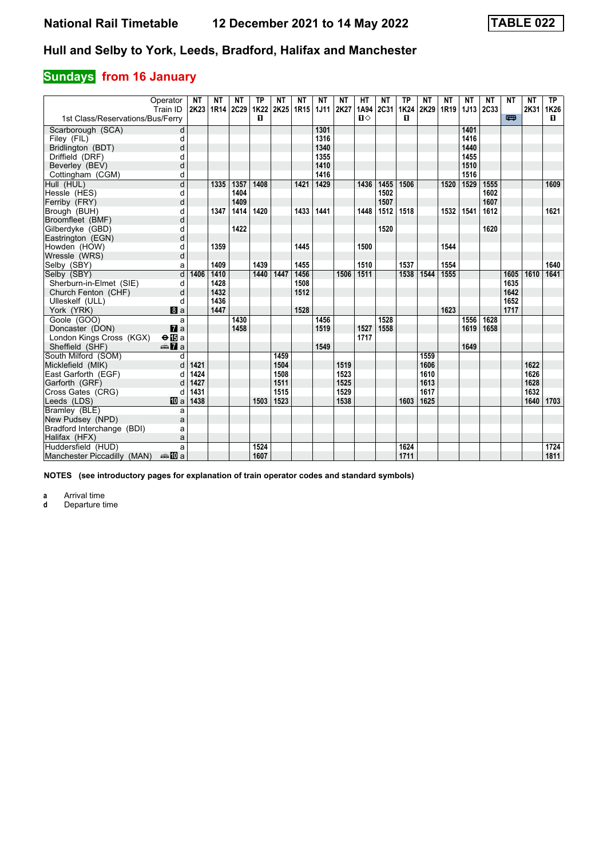# **Sundays** from 16 January

|                                  | Operator<br>Train ID    | <b>NT</b> | <b>NT</b><br>2K23   1R14   2C29 | <b>NT</b> | <b>TP</b><br>1K22 | <b>NT</b><br>2K25 1R15 | <b>NT</b> | <b>NT</b><br><b>1J11</b> | <b>NT</b><br>2K27 | HT<br>1A94   | <b>NT</b><br>2C31 | <b>TP</b><br>1K24 | <b>NT</b><br>2K29 | <b>NT</b><br>1R <sub>19</sub> | <b>NT</b><br>1J13 | <b>NT</b><br>2C33 | <b>NT</b> | <b>NT</b><br>2K31 | <b>TP</b><br>1K26 |
|----------------------------------|-------------------------|-----------|---------------------------------|-----------|-------------------|------------------------|-----------|--------------------------|-------------------|--------------|-------------------|-------------------|-------------------|-------------------------------|-------------------|-------------------|-----------|-------------------|-------------------|
| 1st Class/Reservations/Bus/Ferry |                         |           |                                 |           | п                 |                        |           |                          |                   | $\mathbf{u}$ |                   | п                 |                   |                               |                   |                   | 罒         |                   | П.                |
| Scarborough (SCA)                | d                       |           |                                 |           |                   |                        |           | 1301                     |                   |              |                   |                   |                   |                               | 1401              |                   |           |                   |                   |
| Filey (FIL)                      | d                       |           |                                 |           |                   |                        |           | 1316                     |                   |              |                   |                   |                   |                               | 1416              |                   |           |                   |                   |
| Bridlington (BDT)                | d                       |           |                                 |           |                   |                        |           | 1340                     |                   |              |                   |                   |                   |                               | 1440              |                   |           |                   |                   |
| Driffield (DRF)                  | d                       |           |                                 |           |                   |                        |           | 1355                     |                   |              |                   |                   |                   |                               | 1455              |                   |           |                   |                   |
| Beverley (BEV)                   | d                       |           |                                 |           |                   |                        |           | 1410                     |                   |              |                   |                   |                   |                               | 1510              |                   |           |                   |                   |
| Cottingham (CGM)                 | d                       |           |                                 |           |                   |                        |           | 1416                     |                   |              |                   |                   |                   |                               | 1516              |                   |           |                   |                   |
| Hull (HUL)                       | $\overline{\mathsf{d}}$ |           | 1335                            | 1357      | 1408              |                        | 1421      | 1429                     |                   | 1436         | 1455              | 1506              |                   | 1520                          | 1529              | 1555              |           |                   | 1609              |
| Hessle (HES)                     | d                       |           |                                 | 1404      |                   |                        |           |                          |                   |              | 1502              |                   |                   |                               |                   | 1602              |           |                   |                   |
| Ferriby (FRY)                    | d                       |           |                                 | 1409      |                   |                        |           |                          |                   |              | 1507              |                   |                   |                               |                   | 1607              |           |                   |                   |
| Brough (BUH)                     | d                       |           | 1347                            | 1414      | 1420              |                        | 1433      | 1441                     |                   | 1448         | 1512              | 1518              |                   | 1532                          | 1541              | 1612              |           |                   | 1621              |
| Broomfleet (BMF)                 | d                       |           |                                 |           |                   |                        |           |                          |                   |              |                   |                   |                   |                               |                   |                   |           |                   |                   |
| Gilberdyke (GBD)                 | d                       |           |                                 | 1422      |                   |                        |           |                          |                   |              | 1520              |                   |                   |                               |                   | 1620              |           |                   |                   |
| Eastrington (EGN)                | d                       |           |                                 |           |                   |                        |           |                          |                   |              |                   |                   |                   |                               |                   |                   |           |                   |                   |
| Howden (HOW)                     | d                       |           | 1359                            |           |                   |                        | 1445      |                          |                   | 1500         |                   |                   |                   | 1544                          |                   |                   |           |                   |                   |
| Wressle (WRS)                    | d                       |           |                                 |           |                   |                        |           |                          |                   |              |                   |                   |                   |                               |                   |                   |           |                   |                   |
| Selby (SBY)                      | a                       |           | 1409                            |           | 1439              |                        | 1455      |                          |                   | 1510         |                   | 1537              |                   | 1554                          |                   |                   |           |                   | 1640              |
| Selby (SBY)                      | d                       | 1406      | 1410                            |           | 1440              | 1447                   | 1456      |                          | 1506              | 1511         |                   | 1538              | 1544              | 1555                          |                   |                   | 1605      | 1610              | 1641              |
| Sherburn-in-Elmet (SIE)          | d                       |           | 1428                            |           |                   |                        | 1508      |                          |                   |              |                   |                   |                   |                               |                   |                   | 1635      |                   |                   |
| Church Fenton (CHF)              | d                       |           | 1432                            |           |                   |                        | 1512      |                          |                   |              |                   |                   |                   |                               |                   |                   | 1642      |                   |                   |
| Ulleskelf (ULL)                  | d                       |           | 1436                            |           |                   |                        |           |                          |                   |              |                   |                   |                   |                               |                   |                   | 1652      |                   |                   |
| York (YRK)                       | 8a                      |           | 1447                            |           |                   |                        | 1528      |                          |                   |              |                   |                   |                   | 1623                          |                   |                   | 1717      |                   |                   |
| Goole (GOO)                      | a                       |           |                                 | 1430      |                   |                        |           | 1456                     |                   |              | 1528              |                   |                   |                               | 1556              | 1628              |           |                   |                   |
| Doncaster (DON)                  | $\mathbf{z}$            |           |                                 | 1458      |                   |                        |           | 1519                     |                   | 1527         | 1558              |                   |                   |                               | 1619              | 1658              |           |                   |                   |
| London Kings Cross (KGX)         | $\Theta$ is a           |           |                                 |           |                   |                        |           |                          |                   | 1717         |                   |                   |                   |                               |                   |                   |           |                   |                   |
| Sheffield (SHF)                  | dan <b>7</b> a          |           |                                 |           |                   |                        |           | 1549                     |                   |              |                   |                   |                   |                               | 1649              |                   |           |                   |                   |
| South Milford (SOM)              | q                       |           |                                 |           |                   | 1459                   |           |                          |                   |              |                   |                   | 1559              |                               |                   |                   |           |                   |                   |
| Micklefield (MIK)                | d                       | 1421      |                                 |           |                   | 1504                   |           |                          | 1519              |              |                   |                   | 1606              |                               |                   |                   |           | 1622              |                   |
| East Garforth (EGF)              | d                       | 1424      |                                 |           |                   | 1508                   |           |                          | 1523              |              |                   |                   | 1610              |                               |                   |                   |           | 1626              |                   |
| Garforth (GRF)                   | d                       | 1427      |                                 |           |                   | 1511                   |           |                          | 1525              |              |                   |                   | 1613              |                               |                   |                   |           | 1628              |                   |
| Cross Gates (CRG)                | d                       | 1431      |                                 |           |                   | 1515                   |           |                          | 1529              |              |                   |                   | 1617              |                               |                   |                   |           | 1632              |                   |
| Leeds (LDS)                      | <b>10</b> a             | 1438      |                                 |           | 1503              | 1523                   |           |                          | 1538              |              |                   | 1603              | 1625              |                               |                   |                   |           | 1640              | 1703              |
| Bramley (BLE)                    | a                       |           |                                 |           |                   |                        |           |                          |                   |              |                   |                   |                   |                               |                   |                   |           |                   |                   |
| New Pudsey (NPD)                 | a                       |           |                                 |           |                   |                        |           |                          |                   |              |                   |                   |                   |                               |                   |                   |           |                   |                   |
| Bradford Interchange (BDI)       | a                       |           |                                 |           |                   |                        |           |                          |                   |              |                   |                   |                   |                               |                   |                   |           |                   |                   |
| Halifax (HFX)                    | a                       |           |                                 |           |                   |                        |           |                          |                   |              |                   |                   |                   |                               |                   |                   |           |                   |                   |
| Huddersfield (HUD)               | a                       |           |                                 |           | 1524              |                        |           |                          |                   |              |                   | 1624              |                   |                               |                   |                   |           |                   | 1724              |
| Manchester Piccadilly (MAN)      | anna nDia               |           |                                 |           | 1607              |                        |           |                          |                   |              |                   | 1711              |                   |                               |                   |                   |           |                   | 1811              |

**NOTES (see introductory pages for explanation of train operator codes and standard symbols)**

**a** Arrival time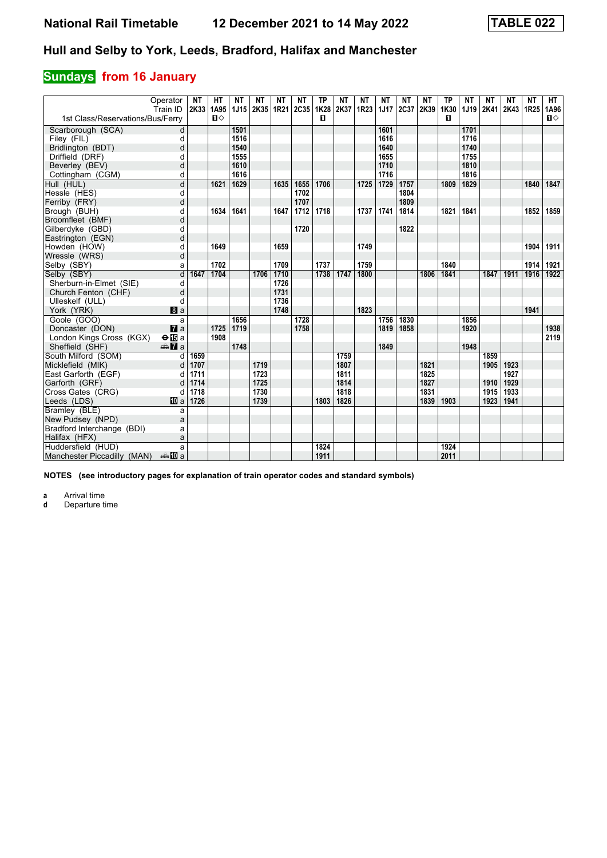# **Sundays** from 16 January

|                                  | Operator<br>Train ID | NΤ<br>2K33 | HТ<br>1A95 | NΤ<br>1J15 | NΤ<br>2K35 | NΤ<br>1R21 | ΝT<br> 2C35 | <b>TP</b><br>1K28 | ΝT<br>2K37 | ΝT<br>1R23 | ΝT<br><b>1J17</b> | <b>NT</b><br>2C37 | ΝT<br>2K39 | <b>TP</b><br>1K30 | ΝT<br>1J19 | <b>NT</b><br>2K41 | NΤ<br>2K43 | <b>NT</b><br>1R <sub>25</sub> | HT.<br>1A96  |
|----------------------------------|----------------------|------------|------------|------------|------------|------------|-------------|-------------------|------------|------------|-------------------|-------------------|------------|-------------------|------------|-------------------|------------|-------------------------------|--------------|
| 1st Class/Reservations/Bus/Ferry |                      |            | $\Pi$      |            |            |            |             | п                 |            |            |                   |                   |            | п                 |            |                   |            |                               | $\mathbf{u}$ |
| Scarborough (SCA)                | d                    |            |            | 1501       |            |            |             |                   |            |            | 1601              |                   |            |                   | 1701       |                   |            |                               |              |
| Filey (FIL)                      | d                    |            |            | 1516       |            |            |             |                   |            |            | 1616              |                   |            |                   | 1716       |                   |            |                               |              |
| Bridlington (BDT)                | d                    |            |            | 1540       |            |            |             |                   |            |            | 1640              |                   |            |                   | 1740       |                   |            |                               |              |
| Driffield (DRF)                  | d                    |            |            | 1555       |            |            |             |                   |            |            | 1655              |                   |            |                   | 1755       |                   |            |                               |              |
| Beverley (BEV)                   | d                    |            |            | 1610       |            |            |             |                   |            |            | 1710              |                   |            |                   | 1810       |                   |            |                               |              |
| Cottingham (CGM)                 | q                    |            |            | 1616       |            |            |             |                   |            |            | 1716              |                   |            |                   | 1816       |                   |            |                               |              |
| Hull (HUL)                       | d                    |            | 1621       | 1629       |            | 1635       | 1655        | 1706              |            | 1725       | 1729              | 1757              |            | 1809              | 1829       |                   |            | 1840                          | 1847         |
| Hessle (HES)                     | d                    |            |            |            |            |            | 1702        |                   |            |            |                   | 1804              |            |                   |            |                   |            |                               |              |
| Ferriby (FRY)                    | d                    |            |            |            |            |            | 1707        |                   |            |            |                   | 1809              |            |                   |            |                   |            |                               |              |
| Brough (BUH)                     | d                    |            | 1634       | 1641       |            | 1647       | 1712        | 1718              |            | 1737       | 1741              | 1814              |            | 1821              | 1841       |                   |            | 1852                          | 1859         |
| Broomfleet (BMF)                 | d                    |            |            |            |            |            |             |                   |            |            |                   |                   |            |                   |            |                   |            |                               |              |
| Gilberdyke (GBD)                 | d                    |            |            |            |            |            | 1720        |                   |            |            |                   | 1822              |            |                   |            |                   |            |                               |              |
| Eastrington (EGN)                | d                    |            |            |            |            |            |             |                   |            |            |                   |                   |            |                   |            |                   |            |                               |              |
| Howden (HOW)                     | d                    |            | 1649       |            |            | 1659       |             |                   |            | 1749       |                   |                   |            |                   |            |                   |            | 1904                          | 1911         |
| Wressle (WRS)                    | d                    |            |            |            |            |            |             |                   |            |            |                   |                   |            |                   |            |                   |            |                               |              |
| Selby (SBY)                      | ă                    |            | 1702       |            |            | 1709       |             | 1737              |            | 1759       |                   |                   |            | 1840              |            |                   |            | 1914                          | 1921         |
| Selby (SBY)                      | d                    | 1647       | 1704       |            | 1706       | 1710       |             | 1738              | 1747       | 1800       |                   |                   | 1806       | 1841              |            | 1847              | 1911       | 1916                          | 1922         |
| Sherburn-in-Elmet (SIE)          | d                    |            |            |            |            | 1726       |             |                   |            |            |                   |                   |            |                   |            |                   |            |                               |              |
| Church Fenton (CHF)              | d                    |            |            |            |            | 1731       |             |                   |            |            |                   |                   |            |                   |            |                   |            |                               |              |
| Ulleskelf (ULL)                  | d                    |            |            |            |            | 1736       |             |                   |            |            |                   |                   |            |                   |            |                   |            |                               |              |
| York (YRK)                       | 8a                   |            |            |            |            | 1748       |             |                   |            | 1823       |                   |                   |            |                   |            |                   |            | 1941                          |              |
| Goole (GOO)                      | a                    |            |            | 1656       |            |            | 1728        |                   |            |            | 1756              | 1830              |            |                   | 1856       |                   |            |                               |              |
| Doncaster (DON)                  | $\mathbf{z}$ a       |            | 1725       | 1719       |            |            | 1758        |                   |            |            | 1819              | 1858              |            |                   | 1920       |                   |            |                               | 1938         |
| London Kings Cross (KGX)         | $\Theta$ is a        |            | 1908       |            |            |            |             |                   |            |            |                   |                   |            |                   |            |                   |            |                               | 2119         |
| Sheffield (SHF)                  | <b>⊯Ma</b>           |            |            | 1748       |            |            |             |                   |            |            | 1849              |                   |            |                   | 1948       |                   |            |                               |              |
| South Milford (SOM)              | d                    | 1659       |            |            |            |            |             |                   | 1759       |            |                   |                   |            |                   |            | 1859              |            |                               |              |
| Micklefield (MIK)                | d                    | 1707       |            |            | 1719       |            |             |                   | 1807       |            |                   |                   | 1821       |                   |            | 1905              | 1923       |                               |              |
| East Garforth (EGF)              | d                    | 1711       |            |            | 1723       |            |             |                   | 1811       |            |                   |                   | 1825       |                   |            |                   | 1927       |                               |              |
| Garforth (GRF)                   |                      | 1714       |            |            | 1725       |            |             |                   | 1814       |            |                   |                   | 1827       |                   |            | 1910              | 1929       |                               |              |
| Cross Gates (CRG)                |                      | 1718       |            |            | 1730       |            |             |                   | 1818       |            |                   |                   | 1831       |                   |            | 1915              | 1933       |                               |              |
| Leeds (LDS)                      | <b>ID</b> a          | 1726       |            |            | 1739       |            |             | 1803              | 1826       |            |                   |                   | 1839       | 1903              |            | 1923              | 1941       |                               |              |
| Bramley (BLE)                    | a                    |            |            |            |            |            |             |                   |            |            |                   |                   |            |                   |            |                   |            |                               |              |
| New Pudsey (NPD)                 | a                    |            |            |            |            |            |             |                   |            |            |                   |                   |            |                   |            |                   |            |                               |              |
| Bradford Interchange (BDI)       | a                    |            |            |            |            |            |             |                   |            |            |                   |                   |            |                   |            |                   |            |                               |              |
| Halifax (HFX)                    | a                    |            |            |            |            |            |             |                   |            |            |                   |                   |            |                   |            |                   |            |                               |              |
| Huddersfield (HUD)               | a                    |            |            |            |            |            |             | 1824              |            |            |                   |                   |            | 1924              |            |                   |            |                               |              |
| Manchester Piccadilly (MAN)      | dannan mann          |            |            |            |            |            |             | 1911              |            |            |                   |                   |            | 2011              |            |                   |            |                               |              |

**NOTES (see introductory pages for explanation of train operator codes and standard symbols)**

**a** Arrival time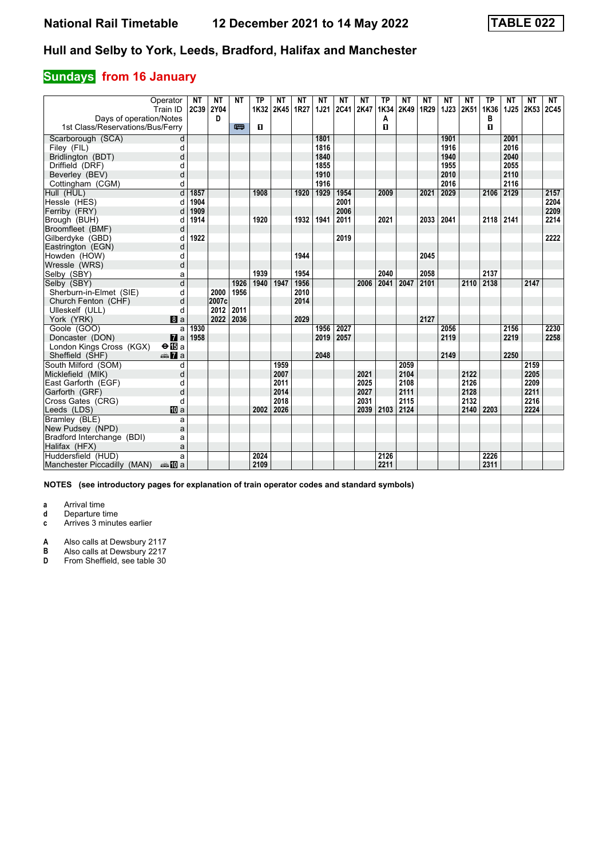### **Sundays** from 16 January

| Days of operation/Notes          | Operator<br>Train ID     | <b>NT</b><br>2C39 | ΝT<br>2Y04<br>D | <b>NT</b> | <b>TP</b><br>1K32 | <b>NT</b><br>2K45 1R27 | ΝT   | <b>NT</b><br>1J21 | NΤ<br><b>2C41</b> | <b>NT</b><br>2K47 | <b>TP</b><br>1K34 | <b>NT</b><br>2K49 | <b>NT</b><br>1R29 | <b>NT</b><br><b>1J23</b> | <b>NT</b><br>2K51 | <b>TP</b><br>1K36<br>в | <b>NT</b><br><b>1J25</b> | <b>NT</b><br>2K53 | <b>NT</b><br> 2C45 |
|----------------------------------|--------------------------|-------------------|-----------------|-----------|-------------------|------------------------|------|-------------------|-------------------|-------------------|-------------------|-------------------|-------------------|--------------------------|-------------------|------------------------|--------------------------|-------------------|--------------------|
| 1st Class/Reservations/Bus/Ferry |                          |                   |                 | 罒         | п                 |                        |      |                   |                   |                   | А<br>п            |                   |                   |                          |                   | п                      |                          |                   |                    |
| Scarborough (SCA)                | d                        |                   |                 |           |                   |                        |      | 1801              |                   |                   |                   |                   |                   | 1901                     |                   |                        | 2001                     |                   |                    |
| Filey (FIL)                      | d                        |                   |                 |           |                   |                        |      | 1816              |                   |                   |                   |                   |                   | 1916                     |                   |                        | 2016                     |                   |                    |
| Bridlington (BDT)                | d                        |                   |                 |           |                   |                        |      | 1840              |                   |                   |                   |                   |                   | 1940                     |                   |                        | 2040                     |                   |                    |
| Driffield (DRF)                  | d                        |                   |                 |           |                   |                        |      | 1855              |                   |                   |                   |                   |                   | 1955                     |                   |                        | 2055                     |                   |                    |
| Beverley (BEV)                   | d                        |                   |                 |           |                   |                        |      | 1910              |                   |                   |                   |                   |                   | 2010                     |                   |                        | 2110                     |                   |                    |
| Cottingham (CGM)                 | d                        |                   |                 |           |                   |                        |      | 1916              |                   |                   |                   |                   |                   | 2016                     |                   |                        | 2116                     |                   |                    |
| Hull (HUL)                       | d                        | 1857              |                 |           | 1908              |                        | 1920 | 1929              | 1954              |                   | 2009              |                   | 2021              | 2029                     |                   | 2106                   | 2129                     |                   | 2157               |
| Hessle (HES)                     | d                        | 1904              |                 |           |                   |                        |      |                   | 2001              |                   |                   |                   |                   |                          |                   |                        |                          |                   | 2204               |
| Ferriby (FRY)                    |                          | 1909              |                 |           |                   |                        |      |                   | 2006              |                   |                   |                   |                   |                          |                   |                        |                          |                   | 2209               |
| Brough (BUH)                     | d                        | 1914              |                 |           | 1920              |                        | 1932 | 1941              | 2011              |                   | 2021              |                   | 2033              | 2041                     |                   | 2118                   | 2141                     |                   | 2214               |
| Broomfleet (BMF)                 | d                        |                   |                 |           |                   |                        |      |                   |                   |                   |                   |                   |                   |                          |                   |                        |                          |                   |                    |
| Gilberdyke (GBD)                 | d                        | 1922              |                 |           |                   |                        |      |                   | 2019              |                   |                   |                   |                   |                          |                   |                        |                          |                   | 2222               |
| Eastrington (EGN)                | d                        |                   |                 |           |                   |                        |      |                   |                   |                   |                   |                   |                   |                          |                   |                        |                          |                   |                    |
| Howden (HOW)                     | d                        |                   |                 |           |                   |                        | 1944 |                   |                   |                   |                   |                   | 2045              |                          |                   |                        |                          |                   |                    |
| Wressle (WRS)                    | d                        |                   |                 |           |                   |                        |      |                   |                   |                   |                   |                   |                   |                          |                   |                        |                          |                   |                    |
| Selby (SBY)                      | a                        |                   |                 |           | 1939              |                        | 1954 |                   |                   |                   | 2040              |                   | 2058              |                          |                   | 2137                   |                          |                   |                    |
| Selby (SBY)                      | d                        |                   |                 | 1926      | 1940              | 1947                   | 1956 |                   |                   | 2006              | 2041              | 2047              | 2101              |                          | 2110              | 2138                   |                          | 2147              |                    |
| Sherburn-in-Elmet (SIE)          | d                        |                   | 2000            | 1956      |                   |                        | 2010 |                   |                   |                   |                   |                   |                   |                          |                   |                        |                          |                   |                    |
| Church Fenton (CHF)              | d                        |                   | 2007c           |           |                   |                        | 2014 |                   |                   |                   |                   |                   |                   |                          |                   |                        |                          |                   |                    |
| Ulleskelf (ULL)                  | d                        |                   | 2012            | 2011      |                   |                        |      |                   |                   |                   |                   |                   |                   |                          |                   |                        |                          |                   |                    |
| York (YRK)                       | a                        |                   | 2022            | 2036      |                   |                        | 2029 |                   |                   |                   |                   |                   | 2127              |                          |                   |                        |                          |                   |                    |
| Goole (GOO)                      | a                        | 1930              |                 |           |                   |                        |      | 1956              | 2027              |                   |                   |                   |                   | 2056                     |                   |                        | 2156                     |                   | 2230               |
| Doncaster (DON)                  | $\mathbf{z}$             | 1958              |                 |           |                   |                        |      | 2019              | 2057              |                   |                   |                   |                   | 2119                     |                   |                        | 2219                     |                   | 2258               |
| London Kings Cross (KGX)         | $\Theta$ is a            |                   |                 |           |                   |                        |      |                   |                   |                   |                   |                   |                   |                          |                   |                        |                          |                   |                    |
| Sheffield (SHF)                  | $\triangle \mathbf{Z}$ a |                   |                 |           |                   |                        |      | 2048              |                   |                   |                   |                   |                   | 2149                     |                   |                        | 2250                     |                   |                    |
| South Milford (SOM)              | d                        |                   |                 |           |                   | 1959                   |      |                   |                   |                   |                   | 2059              |                   |                          |                   |                        |                          | 2159              |                    |
| Micklefield (MIK)                | d                        |                   |                 |           |                   | 2007                   |      |                   |                   | 2021              |                   | 2104              |                   |                          | 2122              |                        |                          | 2205              |                    |
| East Garforth (EGF)              | d                        |                   |                 |           |                   | 2011                   |      |                   |                   | 2025              |                   | 2108              |                   |                          | 2126              |                        |                          | 2209              |                    |
| Garforth (GRF)                   | d                        |                   |                 |           |                   | 2014                   |      |                   |                   | 2027              |                   | 2111              |                   |                          | 2128              |                        |                          | 2211              |                    |
| Cross Gates (CRG)                | d                        |                   |                 |           |                   | 2018                   |      |                   |                   | 2031              |                   | 2115              |                   |                          | 2132              |                        |                          | 2216              |                    |
| Leeds (LDS)                      | <b>ID</b> a              |                   |                 |           | 2002              | 2026                   |      |                   |                   | 2039              | 2103              | 2124              |                   |                          | 2140              | 2203                   |                          | 2224              |                    |
| Bramlev (BLE)                    | a                        |                   |                 |           |                   |                        |      |                   |                   |                   |                   |                   |                   |                          |                   |                        |                          |                   |                    |
| New Pudsey (NPD)                 | a                        |                   |                 |           |                   |                        |      |                   |                   |                   |                   |                   |                   |                          |                   |                        |                          |                   |                    |
| Bradford Interchange (BDI)       | a                        |                   |                 |           |                   |                        |      |                   |                   |                   |                   |                   |                   |                          |                   |                        |                          |                   |                    |
| Halifax (HFX)                    | a                        |                   |                 |           |                   |                        |      |                   |                   |                   |                   |                   |                   |                          |                   |                        |                          |                   |                    |
| Huddersfield (HUD)               | a                        |                   |                 |           | 2024              |                        |      |                   |                   |                   | 2126              |                   |                   |                          |                   | 2226                   |                          |                   |                    |
| Manchester Piccadilly (MAN)      | anna mainm               |                   |                 |           | 2109              |                        |      |                   |                   |                   | 2211              |                   |                   |                          |                   | 2311                   |                          |                   |                    |

**NOTES (see introductory pages for explanation of train operator codes and standard symbols)**

**a** Arrival time<br>**d** Departure time

**d** Departure time

**c** Arrives 3 minutes earlier

**A** Also calls at Dewsbury 2117<br>**B** Also calls at Dewsbury 2217 **B** Also calls at Dewsbury 2217<br>**D** From Sheffield, see table 30

From Sheffield, see table 30